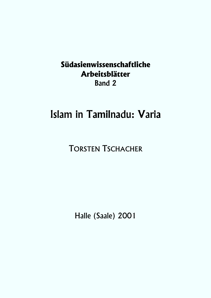### **Südasienwissenschaftliche Arbeitsblätter** Band 2

# Islam in Tamilnadu: Varia

TORSTEN TSCHACHER

Halle (Saale) 2001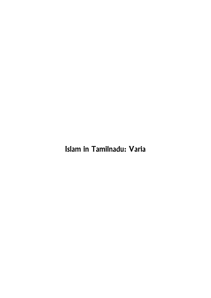Islam in Tamilnadu: Varia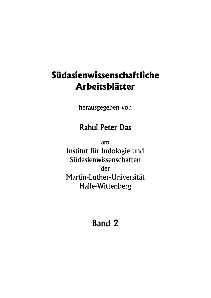## **Südasienwissenschaftliche Arbeitsblätter**

herausgegeben von

### Rahul Peter Das

am Institut für Indologie und Südasienwissenschaften der Martin-Luther-Universität Halle-Wittenberg

## Band 2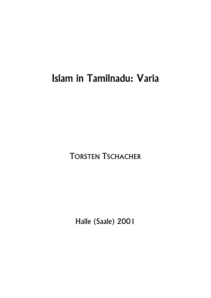# Islam in Tamilnadu: Varia

TORSTEN TSCHACHER

Halle (Saale) 2001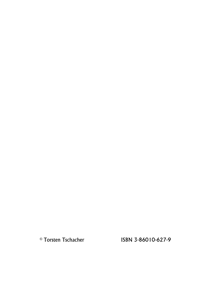© Torsten Tschacher ISBN 3-86010-627-9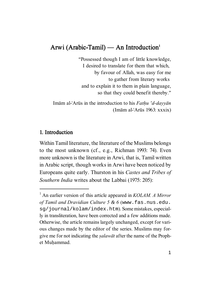#### Arwi (Arabic-Tamil) **—** An Introduction<sup>1</sup>

"Possessed though I am of little knowledge, I desired to translate for them that which, by favour of Allah, was easy for me to gather from literary works and to explain it to them in plain language, so that they could benefit thereby."

Imam al-Arūs in the introduction to his *Fathu 'd-dayyan*  $(Im\bar{a}m$  al-'Arūs 1963: xxxix)

#### 1. Introduction

Within Tamil literature, the literature of the Muslims belongs to the most unknown (cf., e.g., Richman 1993: 74). Even more unknown is the literature in Arwi, that is, Tamil written in Arabic script, though works in Arwi have been noticed by Europeans quite early. Thurston in his *Castes and Tribes of Southern India* writes about the Labbai (1975: 205):

<sup>&</sup>lt;sup>1</sup> An earlier version of this article appeared in *KOLAM. A Mirror of Tamil and Dravidian Culture 5 & 6* (www.fas.nus.edu. sg/journal/kolam/index.htm). Some mistakes, especially in transliteration, have been corrected and a few additions made. Otherwise, the article remains largely unchanged, except for various changes made by the editor of the series. Muslims may forgive me for not indicating the *salawat* after the name of the Prophet Muhammad.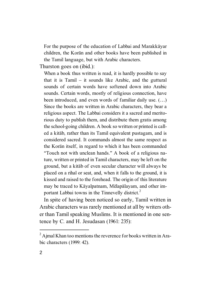For the purpose of the education of Labbai and Marakkayar children, the Koran and other books have been published in the Tamil language, but with Arabic characters.

Thurston goes on (ibid.):

When a book thus written is read, it is hardly possible to say that it is Tamil  $-$  it sounds like Arabic, and the guttural sounds of certain words have softened down into Arabic sounds. Certain words, mostly of religious connection, have been introduced, and even words of familiar daily use. (…) Since the books are written in Arabic characters, they bear a religious aspect. The Labbai considers it a sacred and meritorious duty to publish them, and distribute them gratis among the school-going children. A book so written or printed is called a kitab, rather than its Tamil equivalent pustagam, and is considered sacred. It commands almost the same respect as the Koran itself, in regard to which it has been commanded "Touch not with unclean hands." A book of a religious nature, written or printed in Tamil characters, may be left on the ground, but a kitab of even secular character will always be placed on a rihal or seat, and, when it falls to the ground, it is kissed and raised to the forehead. The origin of this literature may be traced to Kāyalpatnam, Mēlapālayam, and other important Labbai towns in the Tinnevelly district.<sup>2</sup>

In spite of having been noticed so early, Tamil written in Arabic characters was rarely mentioned at all by writers other than Tamil speaking Muslims. It is mentioned in one sentence by C. and H. Jesudasan (1961: 235):

 $2^2$  Ajmal Khan too mentions the reverence for books written in Arabic characters (1999: 42).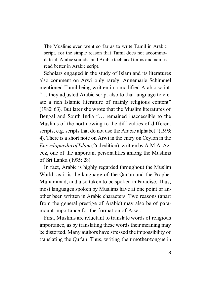The Muslims even went so far as to write Tamil in Arabic script, for the simple reason that Tamil does not accommodate all Arabic sounds, and Arabic technical terms and names read better in Arabic script.

Scholars engaged in the study of Islam and its literatures also comment on Arwi only rarely. Annemarie Schimmel mentioned Tamil being written in a modified Arabic script: "… they adjusted Arabic script also to that language to create a rich Islamic literature of mainly religious content" (1980: 63). But later she wrote that the Muslim literatures of Bengal and South India "… remained inaccessible to the Muslims of the north owing to the difficulties of different scripts, e.g. scripts that do not use the Arabic alphabet" (1993: 4). There is a short note on Arwi in the entry on Ceylon in the *Encyclopaedia of Islam* (2nd edition), written by A.M.A. Azeez, one of the important personalities among the Muslims of Sri Lanka (1995: 28).

In fact, Arabic is highly regarded throughout the Muslim World, as it is the language of the Qur'an and the Prophet Muhammad, and also taken to be spoken in Paradise. Thus, most languages spoken by Muslims have at one point or another been written in Arabic characters. Two reasons (apart from the general prestige of Arabic) may also be of paramount importance for the formation of Arwi.

First, Muslims are reluctant to translate words of religious importance, as by translating these words their meaning may be distorted. Many authors have stressed the impossibility of translating the Qur'an. Thus, writing their mother-tongue in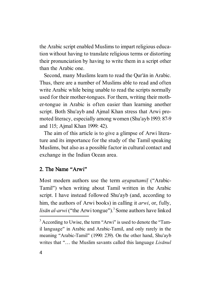the Arabic script enabled Muslims to impart religious education without having to translate religious terms or distorting their pronunciation by having to write them in a script other than the Arabic one.

Second, many Muslims learn to read the Qur'an in Arabic. Thus, there are a number of Muslims able to read and often write Arabic while being unable to read the scripts normally used for their mother-tongues. For them, writing their mother-tongue in Arabic is often easier than learning another script. Both Shu'ayb and Ajmal Khan stress that Arwi promoted literacy, especially among women (Shu'ayb 1993: 87-9 and 115; Ajmal Khan 1999: 42).

The aim of this article is to give a glimpse of Arwi literature and its importance for the study of the Tamil speaking Muslims, but also as a possible factor in cultural contact and exchange in the Indian Ocean area.

#### 2. The Name **"**Arwi**"**

Most modern authors use the term *araputtamil* ("Arabic-Tamil") when writing about Tamil written in the Arabic script. I have instead followed Shu'ayb (and, according to him, the authors of Arwi books) in calling it *arwi*, or, fully, *lisān al-arwi* ("the Arwi tongue").<sup>3</sup> Some authors have linked

<sup>&</sup>lt;sup>3</sup> According to Uwise, the term "Arwi" is used to denote the "Tamil language" in Arabic and Arabic-Tamil, and only rarely in the meaning "Arabic-Tamil" (1990: 239). On the other hand, Shu'ayb writes that "... the Muslim savants called this language *Lisānul*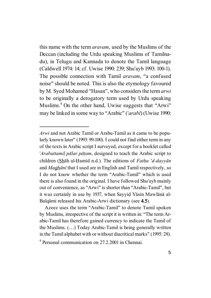this name with the term *aravam*, used by the Muslims of the Deccan (including the Urdu speaking Muslims of Tamilnadu), in Telugu and Kannada to denote the Tamil language (Caldwell 1974: 14; cf. Uwise 1990: 239; Shu'ayb 1993: 100-1). The possible connection with Tamil *aravam*, "a confused noise" should be noted. This is also the etymology favoured by M. Syed Mohamed "Hasan", who considers the term *arwi* to be originally a derogatory term used by Urdu speaking Muslims.<sup>4</sup> On the other hand, Uwise suggests that "Arwi" may be linked in some way to "Arabic" ('arabī) (Uwise 1990:

Azeez uses the term "Arabic-Tamil" to denote Tamil spoken by Muslims, irrespective of the script it is written in: "The term Arabic-Tamil has therefore gained currency to indicate the Tamil of the Muslims. (…) Today Arabic-Tamil is being generally written in the Tamil alphabet with or without diacritical marks" (1995: 28).

*Arwi* and not Arabic Tamil or Arabu-Tamil as it came to be popularly known later" (1993: 99-100). I could not find either term in any of the texts in Arabic script I surveyed, except for a booklet called *<sup>c</sup>Arabuttamil pālar pātam*, designed to teach the Arabic script to children (Shah al-Hamīd n.d.). The editions of *Fathu 'd-dayyan* and *Maghant* that I used are in English and Tamil respectively, so I do not know whether the term "Arabic-Tamil" which is used there is also found in the original. I have followed Shu'ayb mainly out of convenience, as "Arwi" is shorter than "Arabic-Tamil", but it was certainly in use by 1937, when Sayyid Yāsīn Mawlānā al-Balgāmi released his Arabic-Arwi dictionary (see 4.5).

<sup>4</sup> Personal communication on 27.2.2001 in Chennai.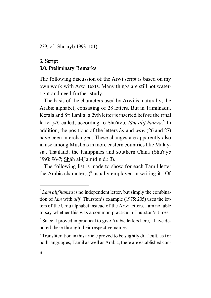239; cf. Shu'ayb 1993: 101).

#### 3. Script 3.0. Preliminary Remarks

The following discussion of the Arwi script is based on my own work with Arwi texts. Many things are still not watertight and need further study.

The basis of the characters used by Arwi is, naturally, the Arabic alphabet, consisting of 28 letters. But in Tamilnadu, Kerala and Sri Lanka, a 29th letter is inserted before the final letter *yā*, called, according to Shu'ayb, *lām alif hamza*.<sup>5</sup> In addition, the positions of the letters  $h\bar{a}$  and *waw* (26 and 27) have been interchanged. These changes are apparently also in use among Muslims in more eastern countries like Malaysia, Thailand, the Philippines and southern China (Shu'ayb 1993: 96-7; **Shah al-Hamid n.d.: 3).** 

The following list is made to show for each Tamil letter the Arabic character(s)<sup>6</sup> usually employed in writing it.<sup>7</sup> Of

 $<sup>5</sup> Lām alif hamza$  is no independent letter, but simply the combina-</sup> tion of *lam* with *alif*. Thurston's example (1975: 205) uses the letters of the Urdu alphabet instead of the Arwi letters. I am not able to say whether this was a common practice in Thurston's times.

 $6$  Since it proved impractical to give Arabic letters here, I have denoted these through their respective names.

 $\sigma$ <sup>7</sup> Transliteration in this article proved to be slightly difficult, as for both languages, Tamil as well as Arabic, there are established con-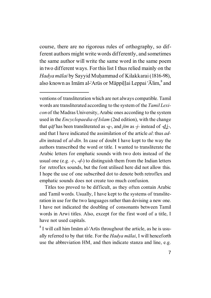course, there are no rigorous rules of orthography, so different authors might write words differently, and sometimes the same author will write the same word in the same poem in two different ways. For this list I thus relied mainly on the *Hadya m¢lai* by Sayyid MuÀammad of Kilakkarai (1816-98), also known as Imām al-ʿArūs or Māppiḷḷai Leppai ʿĀlim,<sup>8</sup> and

ventions of transliteration which are not always compatible. Tamil words are transliterated according to the system of the *Tamil Lexicon* of the Madras University, Arabic ones according to the system used in the *Encyclopaedia of Islam* (2nd edition), with the change that  $q\bar{q}f$  has been transliterated as -*q*-, and *jīm* as -*j*- instead of - $dj$ -, and that I have indicated the assimilation of the article *al*: thus *add* $\bar{u}$  instead of *al-d* $\bar{u}$ *n*. In case of doubt I have kept to the way the authors transcribed the word or title. I wanted to transliterate the Arabic letters for emphatic sounds with two dots instead of the usual one (e.g. -*¿*-, -*Î*-) to distinguish them from the Indian letters for retroflex sounds, but the font utilised here did not allow this. I hope the use of one subscribed dot to denote both retroflex and emphatic sounds does not create too much confusion.

Titles too proved to be difficult, as they often contain Arabic and Tamil words. Usually, I have kept to the systems of transliteration in use for the two languages rather than devising a new one. I have not indicated the doubling of consonants between Tamil words in Arwi titles. Also, except for the first word of a title, I have not used capitals.

 $8$  I will call him Im $\bar{a}$ m al-ʿArūs throughout the article, as he is usually referred to by that title. For the *Hadya mālai*, I will henceforth use the abbreviation HM, and then indicate stanza and line, e.g.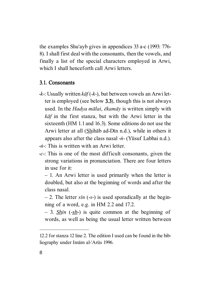the examples Shu'ayb gives in appendices 33 a-c (1993: 776- 8). I shall first deal with the consonants, then the vowels, and finally a list of the special characters employed in Arwi, which I shall henceforth call Arwi letters.

#### 3.1. Consonants

- $-k$ -: Usually written  $k\bar{a}f(-k)$ , but between vowels an Arwi letter is employed (see below 3.3), though this is not always used. In the *Hadya mālai*, *ēkamāy* is written simply with  $k\bar{a}f$  in the first stanza, but with the Arwi letter in the sixteenth (HM 1.1 and 16.3). Some editions do not use the Arwi letter at all (Shihab ad-Dīn n.d.), while in others it appears also after the class nasal  $-\dot{n}$ - (Yūsuf Labbai n.d.). - $\dot{n}$ -: This is written with an Arwi letter.
- -*c*-: This is one of the most difficult consonants, given the strong variations in pronunciation. There are four letters in use for it:

 $-1$ . An Arwi letter is used primarily when the letter is doubled, but also at the beginning of words and after the class nasal.

 $-2$ . The letter *sīn* (-s-) is used sporadically at the beginning of a word, e.g. in HM 2.2 and 17.2.

 $-$  3. *Shin* (-*sh*-) is quite common at the beginning of words, as well as being the usual letter written between

<sup>12.2</sup> for stanza 12 line 2. The edition I used can be found in the bibliography under Imam al-'Arūs 1996.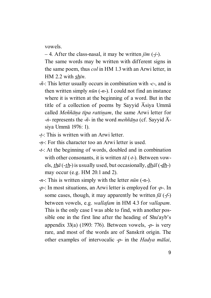vowels.

 $-4$ . After the class-nasal, it may be written  $\overline{ijm}$  (-*j*-).

The same words may be written with different signs in the same poem, thus *col* in HM 1.3 with an Arwi letter, in HM 2.2 with *shin*.

- -*ñ*-: This letter usually occurs in combination with -*c*-, and is then written simply  $n\bar{u}n$  (-*n*-). I could not find an instance where it is written at the beginning of a word. But in the title of a collection of poems by Sayyid  $\overline{A}$ siya Umm $\overline{a}$ called *Meññ¢za t¤pa rattizam*, the same Arwi letter for  $-i\hat{i}$ - represents the  $-i\hat{i}$ - in the word *meññ* $\bar{a}$ *na* (cf. Sayyid Asiya Ummā 1976: 1).
- -*¿*-: This is written with an Arwi letter.
- -*½*-: For this character too an Arwi letter is used.
- -*t*-: At the beginning of words, doubled and in combination with other consonants, it is written  $t\bar{a}$  (-*t*-). Between vowels, *th* $\bar{a}$  (-*th*-) is usually used, but occasionally, *dhal* (-*dh*-) may occur (e.g. HM 20.1 and 2).
- -*n*-: This is written simply with the letter *nūn* (-n-).
- -*p*-: In most situations, an Arwi letter is employed for -*p*-. In some cases, though, it may apparently be written  $f\bar{a}$  (-*f*-) between vowels, e.g. *wallafam* in HM 4.3 for *vallapam*. This is the only case I was able to find, with another possible one in the first line after the heading of Shu'ayb's appendix 33(a) (1993: 776). Between vowels, -*p*- is very rare, and most of the words are of Sanskrit origin. The other examples of intervocalic -*p*- in the *Hadya mālai*,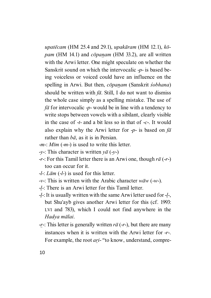*upatēcam* (HM 25.4 and 29.1), *upakāram* (HM 12.1), *kōpam* (HM 14.1) and *c* $\bar{o}p$ *anam* (HM 33.2), are all written with the Arwi letter. One might speculate on whether the Sanskrit sound on which the intervocalic -*p*- is based being voiceless or voiced could have an influence on the spelling in Arwi. But then, *c* $\bar{o}p$ *anam* (Sanskrit *sobhana*) should be written with  $f\bar{a}$ . Still, I do not want to dismiss the whole case simply as a spelling mistake. The use of  $f\bar{a}$  for intervocalic -*p*- would be in line with a tendency to write stops between vowels with a sibilant, clearly visible in the case of -*t*- and a bit less so in that of -*c*-. It would also explain why the Arwi letter for  $-p$ - is based on  $f\bar{a}$ rather than  $b\bar{a}$ , as it is in Persian.

-*m*-: *M¤m* (-*m*-) is used to write this letter.

- -*y*-: This character is written *y¢* (-*y*-)
- $-r$ -: For this Tamil letter there is an Arwi one, though  $r\bar{a}$  (-*r*-) too can occur for it.
- -*l*-: *L¢m* (-*l*-) is used for this letter.
- $-v$ : This is written with the Arabic character  $w\bar{a}w$  (-*w*-).
- -*{*-: There is an Arwi letter for this Tamil letter.
- -*'*-: It is usually written with the same Arwi letter used for -*{*-, but Shu'ayb gives another Arwi letter for this (cf. 1993: LVI and 783), which I could not find anywhere in the *Hadya m¢lai*.
- $-r$ -: This letter is generally written  $r\bar{a}$  (-*r*-), but there are many instances when it is written with the Arwi letter for -*r*-. For example, the root *ari*- "to know, understand, compre-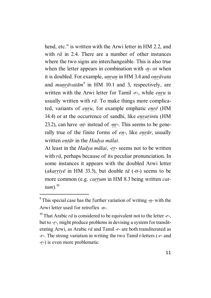hend, etc." is written with the Arwi letter in HM 2.2, and with  $r\bar{a}$  in 2.4. There are a number of other instances where the two signs are interchangeable. This is also true when the letter appears in combination with  $-n$ - or when it is doubled. For example, *unran* in HM 3.4 and *onrāvatu* and *munrāvatām*<sup>9</sup> in HM 10.1 and 3, respectively, are written with the Arwi letter for Tamil -r-, while *enru* is usually written with  $r\bar{a}$ . To make things more complicated, variants of *enru*, for example emphatic *enre* (HM 14.4) or at the occurrence of sandhi, like *enrarintu* (HM 23.2), can have *-nt*- instead of *-nr*-. This seems to be generally true of the finite forms of *en*-, like *enrar*, usually written *entār* in the *Hadya mālai*.

At least in the *Hadya mālai*, -*rr*- seems not to be written with  $r\bar{a}$ , perhaps because of its peculiar pronunciation. In some instances it appears with the doubled Arwi letter (*akarriy* $\bar{e}$  in HM 33.3), but double *t* $\bar{a}$  (-*tt*-) seems to be more common (e.g. *carrum* in HM 8.3 being written *cat* $tum$ <sup> $10$ </sup>

<sup>&</sup>lt;sup>9</sup> This special case has the further variation of writing  $-\underline{n}$ -with the Arwi letter used for retroflex -*n*-.

<sup>&</sup>lt;sup>10</sup> That Arabic  $r\bar{a}$  is considered to be equivalent not to the letter -*r*-, but to -*r*-, might produce problems in devising a system for transliterating Arwi, as Arabic  $r\bar{a}$  and Tamil -*r*- are both transliterated as -*r*-. The strong variation in writing the two Tamil r-letters (-*r*- and -*r*-) is even more problematic.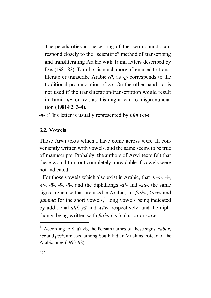The peculiarities in the writing of the two r-sounds correspond closely to the "scientific" method of transcribing and transliterating Arabic with Tamil letters described by Das (1981-82). Tamil -*r*- is much more often used to transliterate or transcribe Arabic  $r\bar{a}$ , as  $-r$ - corresponds to the traditional pronunciation of  $r\bar{a}$ . On the other hand,  $-r$ - is not used if the transliteration/transcription would result in Tamil -*nr*- or -*rr*-, as this might lead to mispronunciation (1981-82: 344).

-*z*- : This letter is usually represented by *n¦n* (-*n*-).

#### 3.2. Vowels

Those Arwi texts which I have come across were all conveniently written with vowels, and the same seems to be true of manuscripts. Probably, the authors of Arwi texts felt that these would turn out completely unreadable if vowels were not indicated.

For those vowels which also exist in Arabic, that is -*a*-, -*i*-,  $-u-$ ,  $-\bar{a}$ ,  $-\bar{i}$ ,  $-\bar{u}$ , and the diphthongs  $-\bar{a}i$  and  $-\bar{a}u$ , the same signs are in use that are used in Arabic, i.e. *fatha*, *kasra* and *damma* for the short vowels,<sup>11</sup> long vowels being indicated by additional *alif*,  $y\bar{a}$  and  $w\bar{a}w$ , respectively, and the diphthongs being written with *fatha* (-*a*-) plus  $y\bar{a}$  or  $w\bar{a}w$ .

<sup>&</sup>lt;sup>11</sup> According to Shu'ayb, the Persian names of these signs, *zabar*, *zer* and *pesh*, are used among South Indian Muslims instead of the Arabic ones (1993: 98).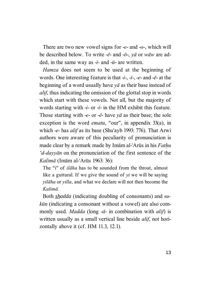There are two new vowel signs for -*e*- and -*o*-, which will be described below. To write  $-\bar{e}$ - and  $-\bar{o}$ -,  $y\bar{a}$  or  $w\bar{a}w$  are added, in the same way as  $-i$ - and  $-i$ - are written.

*Hamza* does not seem to be used at the beginning of words. One interesting feature is that -*i*-, -*¤*-, -*e*- and -*£*- at the beginning of a word usually have *y¢* as their base instead of *alif*, thus indicating the omission of the glottal stop in words which start with these vowels. Not all, but the majority of words starting with -*i*- or -*¤*- in the HM exhibit this feature. Those starting with -*e*- or - $\bar{e}$ - have  $y\bar{a}$  as their base; the sole exception is the word *ematu*, "our", in appendix 33(a), in which -*e*- has *alif* as its base (Shu'ayb 1993: 776). That Arwi authors were aware of this peculiarity of pronunciation is made clear by a remark made by Im $\bar{a}$ m al-'Arūs in his *Fathu 'd-dayy¢n* on the pronunciation of the first sentence of the *Kalimā* (Imām al-ʿArūs 1963: 36):

The "i" of *ilaha* has to be sounded from the throat, almost like a guttural. If we give the sound of *yi* we will be saying *yilāha* or *yilla*, and what we declare will not then become the *Kalim¢.*

Both *shadda* (indicating doubling of consonants) and *sukūn* (indicating a consonant without a vowel) are also commonly used. *Madda* (long -*¢*- in combination with *alif*) is written usually as a small vertical line beside *alif*, not horizontally above it (cf. HM 11.3, 12.1).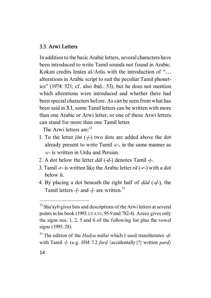#### 3.3. Arwi Letters

In addition to the basic Arabic letters, several characters have been introduced to write Tamil sounds not found in Arabic. Kokan credits Im $\bar{a}$ m al-'Arūs with the introduction of "... alterations in Arabic script to suit the peculiar Tamil phonetics" (1974: 521; cf. also ibid.: 53), but he does not mention which alterations were introduced and whether there had been special characters before. As can be seen from what has been said in 3.1, some Tamil letters can be written with more than one Arabic or Arwi letter, or one of these Arwi letters can stand for more than one Tamil letter.

The Arwi letters are: $12$ 

- 1. To the letter *j¤m* (-*j*-) two dots are added above the dot already present to write Tamil -*c*-, in the same manner as -*c*- is written in Urdu and Persian.
- 2. A dot below the letter  $d\bar{a}l$  (-*d*-) denotes Tamil -*t*-.
- 3. Tamil -*r* is written like the Arabic letter  $r\bar{a}$  (-*r*-) with a dot below it.
- 4. By placing a dot beneath the right half of  $d\bar{a}d$  (- $d$ -), the Tamil letters -*l*- and -*l*- are written.<sup>13</sup>

 $12$  Shu'ayb gives lists and descriptions of the Arwi letters at several points in his book (1993: LV-LVI, 95-9 and 782-4). Azeez gives only the signs nos. 1, 2, 5 and 6 of the following list plus the vowel signs (1995: 28).

<sup>&</sup>lt;sup>13</sup> The edition of the *Hadya malai* which I used transliterates -*d*with Tamil -*[*- (e.g. HM 7.2 *fard*  $\langle \text{accidentally} \rangle$ ?} written *pard*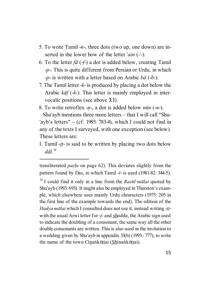- 5. To write Tamil -*n*<sup>-</sup>, three dots (two up, one down) are inserted in the lower bow of the letter *'ain* (- $\dot{\cdot}$ -).
- 6. To the letter  $f\bar{a}$  ( $-f$ -) a dot is added below, creating Tamil -*p*-. This is quite different from Persian or Urdu, in which  $-p$ - is written with a letter based on Arabic  $b\bar{a}$  (-*b*-).
- 7. The Tamil letter -*k* is produced by placing a dot below the Arabic  $k\bar{a}f$  (-k-). This letter is mainly employed in intervocalic positions (see above 3.1).
- 8. To write retroflex -*n*-, a dot is added below *nūn* (-*n*-).

Shu'ayb mentions three more letters  $-$  that I will call "Shu-'ayb's letters"  $-$  (cf. 1993: 783-4), which I could not find in any of the texts I surveyed, with one exception (see below). These letters are:

1. Tamil -*tt*- is said to be written by placing two dots below *d¢l*. 14

transliterated *parlu* on page 62). This deviates slightly from the pattern found by Das, in which Tamil -*l*- is used (1981-82: 344-5).

<sup>&</sup>lt;sup>14</sup> I could find it only in a line from the  $Ras\bar{u}l$  malai quoted by Shu'ayb (1993: 693). It might also be employed in Thurston's example, which elsewhere uses mainly Urdu chraracters (1975: 205 in the first line of the example towards the end). The edition of the *Hadya mālai* which I consulted does not use it, instead writing -*tt*with the usual Arwi letter for -*t*- and *shadda*, the Arabic sign used to indicate the doubling of a consonant, the same way all the other double consonants are written. This is also used in the invitation to a wedding given by Shu'ayb in appendix 33(b) (1993.: 777), to write the name of the town Cīnankōttai (Shīnankōttai).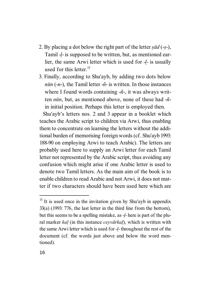- 2. By placing a dot below the right part of the letter  $\frac{\partial d}{\partial t}$  (-*s*-), Tamil -*'*- is supposed to be written, but, as mentioned earlier, the same Arwi letter which is used for -*{*- is usually used for this letter.<sup>15</sup>
- 3. Finally, according to Shu'ayb, by adding two dots below  $n\bar{u}n$  (-*n*-), the Tamil letter - $\tilde{n}$ - is written. In those instances where I found words containing -*ñ*-, it was always written *nūn*, but, as mentioned above, none of these had  $-\tilde{n}$ in initial position. Perhaps this letter is employed then.

Shu'ayb's letters nos. 2 and 3 appear in a booklet which teaches the Arabic script to children via Arwi, thus enabling them to concentrate on learning the letters without the additional burden of memorising foreign words (cf. Shu'ayb 1993: 188-90 on employing Arwi to teach Arabic). The letters are probably used here to supply an Arwi letter for each Tamil letter not represented by the Arabic script, thus avoiding any confusion which might arise if one Arabic letter is used to denote two Tamil letters. As the main aim of the book is to enable children to read Arabic and not Arwi, it does not matter if two characters should have been used here which are

 $15$  It is used once in the invitation given by Shu'ayb in appendix 33(a) (1993: 776, the last letter in the third line from the bottom), but this seems to be a spelling mistake, as -*'*- here is part of the plural marker *kal* (in this instance *ceyvārkal*), which is written with the same Arwi letter which is used for -*{*- throughout the rest of the document (cf. the words just above and below the word mentioned).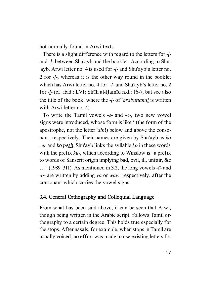not normally found in Arwi texts.

There is a slight difference with regard to the letters for -*'* and -*{*- between Shu'ayb and the booklet. According to Shu- 'ayb, Arwi letter no. 4 is used for -*{*- and Shu'ayb's letter no. 2 for -*'*-, whereas it is the other way round in the booklet which has Arwi letter no. 4 for -*'*- and Shu'ayb's letter no. 2 for  $-I$ - (cf. ibid.: LVI; Shah al-Hamid n.d.: 16-7; but see also the title of the book, where the -*{*- of *©arabuttami{* is written with Arwi letter no. 4).

To write the Tamil vowels -*e*- and -*o*-, two new vowel signs were introduced, whose form is like ' (the form of the apostrophe, not the letter *'ain*!) below and above the consonant, respectively. Their names are given by Shu'ayb as *ko zer* and *ko pesh*. Shu'ayb links the syllable *ko* in these words with the prefix *ku*-, which according to Winslow is "a prefix to words of Sanscrit origin implying bad, evil, ill, unfair, &c …" (1989: 311). As mentioned in 3.2, the long vowels -*£*- and  $-\bar{\sigma}$ - are written by adding  $y\bar{a}$  or  $w\bar{a}w$ , respectively, after the consonant which carries the vowel signs.

#### 3.4. General Orthography and Colloquial Language

From what has been said above, it can be seen that Arwi, though being written in the Arabic script, follows Tamil orthography to a certain degree. This holds true especially for the stops. After nasals, for example, when stops in Tamil are usually voiced, no effort was made to use existing letters for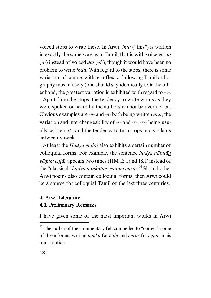voiced stops to write these. In Arwi, *inta* ("this") is written in exactly the same way as in Tamil, that is with voiceless  $t\bar{a}$  $(-t-)$  instead of voiced  $d\bar{a}l$  (- $d$ -), though it would have been no problem to write *inda*. With regard to the stops, there is some variation, of course, with retroflex -*¿*- following Tamil orthography most closely (one should say identically). On the other hand, the greatest variation is exhibited with regard to -*c*-.

Apart from the stops, the tendency to write words as they were spoken or heard by the authors cannot be overlooked. Obvious examples are  $-n$ - and  $-n$ - both being written  $n\bar{u}n$ , the variation and interchangeability of -*r*- and -*r*-, -*rr*- being usually written -*tt*-, and the tendency to turn stops into sibilants between vowels.

At least the *Hadya mālai* also exhibits a certain number of colloquial forms. For example, the sentence *hadya nalutan vēnum entār* appears two times (HM 13.1 and 18.1) instead of the "classical" *hadya n¢zkut¢z v£½¿um ez|¢r*. <sup>16</sup> Should other Arwi poems also contain colloquial forms, then Arwi could be a source for colloquial Tamil of the last three centuries.

#### 4. Arwi Literature 4.0. Preliminary Remarks

I have given some of the most important works in Arwi

<sup>&</sup>lt;sup>16</sup> The author of the commentary felt compelled to "correct" some of these forms, writing *nānku* for *nālu* and *enrār* for *entār* in his transcription.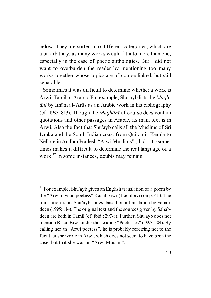below. They are sorted into different categories, which are a bit arbitrary, as many works would fit into more than one, especially in the case of poetic anthologies. But I did not want to overburden the reader by mentioning too many works together whose topics are of course linked, but still separable.

Sometimes it was difficult to determine whether a work is Arwi, Tamil or Arabic. For example, Shu'ayb lists the *Magh*- $\bar{a}n\bar{i}$  by Imam al-Arus as an Arabic work in his bibliography (cf. 1993: 813). Though the *Maghant* of course does contain quotations and other passages in Arabic, its main text is in Arwi. Also the fact that Shu'ayb calls all the Muslims of Sri Lanka and the South Indian coast from Quilon in Kerala to Nellore in Andhra Pradesh "Arwi Muslims" (ibid.: LII) sometimes makes it difficult to determine the real language of a work.<sup>17</sup> In some instances, doubts may remain.

<sup>&</sup>lt;sup>17</sup> For example, Shu'ayb gives an English translation of a poem by the "Arwi mystic-poetess" Rasūl Bīwī (Iracūlpīvi) on p. 413. The translation is, as Shu'ayb states, based on a translation by Sahabdeen (1995: 114). The original text and the sources given by Sahabdeen are both in Tamil (cf. ibid.: 297-8). Further, Shu'ayb does not mention Rasūl Bīwī under the heading "Poetesses" (1993: 504). By calling her an "Arwi poetess", he is probably referring not to the fact that she wrote in Arwi, which does not seem to have been the case, but that she was an "Arwi Muslim".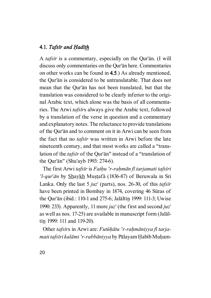#### 4.1. *Tafs¤r and Áad¤th*

A *tafsīr* is a commentary, especially on the Qur'an. (I will discuss only commentaries on the Qur'an here. Commentaries on other works can be found in 4.5.) As already mentioned, the Qur'an is considered to be untranslatable. That does not mean that the Qur'an has not been translated, but that the translation was considered to be clearly inferior to the original Arabic text, which alone was the basis of all commentaries. The Arwi *tafs¤r*s always give the Arabic text, followed by a translation of the verse in question and a commentary and explanatory notes. The reluctance to provide translations of the Qur'an and to comment on it in Arwi can be seen from the fact that no *tafs¤r* was written in Arwi before the late nineteenth century, and that most works are called a "translation of the *tafsīr* of the Qur'an" instead of a "translation of the Qur' $\bar{a}$ n" (Shu'ayb 1993: 274-6).

The first Arwi *tafs¤r* is *FatÀu 'r-raÀm¢n f¤ tarjamati tafs¤ri* '*l-qur*'*an* by **Shaykh** Mușțafā (1836-87) of Beruwala in Sri Lanka. Only the last 5 *juz*<sup>2</sup> (parts), nos. 26-30, of this *tafsīr* have been printed in Bombay in 1874, covering 46 Sūras of the Qur' $\bar{a}$ n (ibid.: 110-1 and 275-6; Jal $\bar{a}$ ltīn 1999: 111-3; Uwise 1990: 233). Apparently, 11 more *juz*<sup> $\prime$ </sup> (the first and second *juz*<sup> $\prime$ </sup> as well as nos. 17-25) are available in manuscript form (Jalāltīn 1999: 111 and 119-20).

Other *tafsīrs* in Arwi are: *Futūhātu 'r-rahmāniyya fī tarjamati tafsīri kalāmi 'r-rabbāniyya* by Pālayam Habīb Muham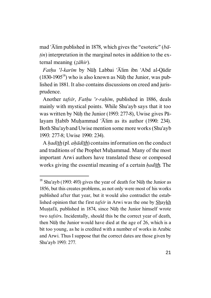mad <sup>'</sup>Alim published in 1878, which gives the "esoteric" (*b* $\bar{a}$ - $\chi$ *in*) interpretation in the marginal notes in addition to the external meaning (*zahir*).

*Fathu 'l-karīm* by Nūh Labbai 'Ālim ibn 'Abd al-Qādir  $(1830-1905^{18})$  who is also known as Nūḥ the Junior, was published in 1881. It also contains discussions on creed and jurisprudence.

Another *tafsīr*, *Fathu 'r-rahīm*, published in 1886, deals mainly with mystical points. While Shu'ayb says that it too was written by Nūh the Junior (1993:  $277-8$ ), Uwise gives P $\bar{a}$ layam Habīb Muḥammad ' $\bar{A}$ lim as its author (1990: 234). Both Shu'ayb and Uwise mention some more works (Shu'ayb 1993: 277-8; Uwise 1990: 234).

A *hadīth* (pl. *ahādīth*) contains information on the conduct and traditions of the Prophet Muhammad. Many of the most important Arwi authors have translated these or composed works giving the essential meaning of a certain *had<u>ith</u>*. The

<sup>&</sup>lt;sup>18</sup> Shu'ayb (1993: 493) gives the year of death for Nūḥ the Junior as 1856, but this creates problems, as not only were most of his works published after that year, but it would also contradict the established opinion that the first *tafsīr* in Arwi was the one by **Shaykh** Mustaf $\bar{a}$ , published in 1874, since N $\bar{u}$ h the Junior himself wrote two *tafs¤r*s. Incidentally, should this be the correct year of death, then Nūh the Junior would have died at the age of 26, which is a bit too young, as he is credited with a number of works in Arabic and Arwi. Thus I suppose that the correct dates are those given by Shu'ayb 1993: 277.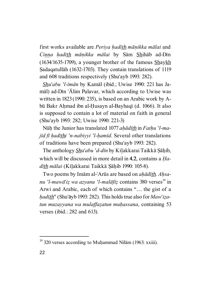first works available are *Periya hadīth mānikka mālai* and *Cinna hadīth mānikka mālai* by Sām Shihāb ad-Dīn  $(1634/1635-1709)$ , a younger brother of the famous Shaykh Sadaqatullāh (1632-1703). They contain translations of 1119 and 608 traditions respectively (Shu'ayb 1993: 282).

*S\_h\_u©abu 'l-¤m¢n* by Kam¢l (ibid.; Uwise 1990: 221 has Jamāl) ad-Dīn 'Ālim Pulavar, which according to Uwise was written in 1823 (1990: 235), is based on an Arabic work by Abū Bakr Ahmad ibn al-Husayn al-Bayhaqī (d. 1066). It also is supposed to contain a lot of material on faith in general (Shu'ayb 1993: 282; Uwise 1990: 221-3)

Nūh the Junior has translated 1077 *ahādīth* in *Fathu 'l-maj¤d f¤ Àad¤\_ht\_i 'n-nabiyyi 'l-Àam¤d*. Several other translations of traditions have been prepared (Shu'ayb 1993: 282).

The anthology *Shu<sup><i>'abu 'd-dīn* by Kīlakkarai Taikkā Şāḥib,</sup> which will be discussed in more detail in 4.2, contains a *Hadīth mālai* (Kīlakkarai Taikkā Sāhib 1990: 105-8).

Two poems by Imam al-'Arūs are based on *ahādīth*. *Ahsanu 'l-mawā'iz wa azyanu 'l-malāfiz* contains 380 verses<sup>19</sup> in Arwi and Arabic, each of which contains "… the gist of a *hadīth*" (Shu'ayb 1993: 282). This holds true also for *Maw*<sup>*iza*</sup>*tun muzayyana wa mulaffa'atun muÀassana*, containing 53 verses (ibid.: 282 and 613).

 $19$  320 verses according to Muhammad Nilām (1963: xxiii).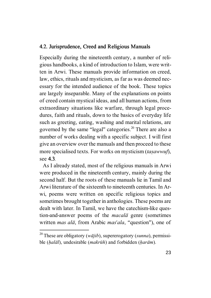#### 4.2. Jurisprudence, Creed and Religious Manuals

Especially during the nineteenth century, a number of religious handbooks, a kind of introduction to Islam, were written in Arwi. These manuals provide information on creed, law, ethics, rituals and mysticism, as far as was deemed necessary for the intended audience of the book. These topics are largely inseparable. Many of the explanations on points of creed contain mystical ideas, and all human actions, from extraordinary situations like warfare, through legal procedures, faith and rituals, down to the basics of everyday life such as greeting, eating, washing and marital relations, are governed by the same "legal" categories.<sup>20</sup> There are also a number of works dealing with a specific subject. I will first give an overview over the manuals and then proceed to these more specialised texts. For works on mysticism *(tasawwuf)*, see 4.3.

As I already stated, most of the religious manuals in Arwi were produced in the nineteenth century, mainly during the second half. But the roots of these manuals lie in Tamil and Arwi literature of the sixteenth to nineteenth centuries. In Arwi, poems were written on specific religious topics and sometimes brought together in anthologies. These poems are dealt with later. In Tamil, we have the catechism-like question-and-answer poems of the *macal¢* genre (sometimes written *mas alā*, from Arabic *mas'ala*, "question"), one of

<sup>&</sup>lt;sup>20</sup> These are obligatory (*w* $\bar{a}jib$ ), supererogatory (*sunna*), permissible (*Àal¢l*), undesirable (*makr¦h*) and forbidden (*Àar¢m*).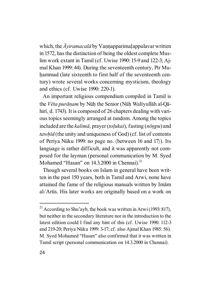which, the  $\bar{A}$ *yiramacal* $\bar{a}$  by Vannapparimal appulavar written in 1572, has the distinction of being the oldest complete Muslim work extant in Tamil (cf. Uwise 1990: 15-9 and 122-3; Ajmal Khan 1999: 44). During the seventeenth century, Pir Muhammad (late sixteenth to first half of the seventeenth century) wrote several works concerning mysticism, theology and ethics (cf. Uwise 1990: 220-1).

An important religious compendium compiled in Tamil is the *Vēta purānam* by Nūḥ the Senior (Nūḥ Walīyullāh al-Qāhirī, d. 1743). It is composed of 26 chapters dealing with various topics seemingly arranged at random. Among the topics included are the *kalima*, prayer (*tolukai*), fasting ( $n\bar{o}npu$ ) and *tawÀ¤d* (the unity and uniqueness of God) (cf. list of contents of Periya N¦ku 1999: no page no. 〈between 16 and 17〉). Its language is rather difficult, and it was apparently not composed for the layman (personal communication by M. Syed Mohamed "Hasan" on  $14.3.2000$  in Chennai).<sup>21</sup>

Though several books on Islam in general have been written in the past 150 years, both in Tamil and Arwi, none have attained the fame of the religious manuals written by Im $\bar{a}$ m al-Arūs. His later works are originally based on a work on

<sup>&</sup>lt;sup>21</sup> According to Shu'ayb, the book was written in Arwi (1993: 817), but neither in the secondary literature nor in the introduction to the latest edition could I find any hint of this (cf. Uwise 1990: 112-3 and 219-20; Periya N¦ku 1999: 3-17; cf. also Ajmal Khan 1985: 56). M. Syed Mohamed "Hasan" also confirmed that it was written in Tamil script (personal communication on 14.3.2000 in Chennai).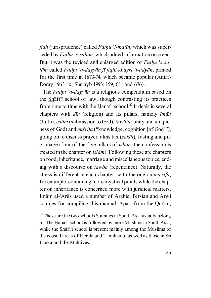*figh* (jurisprudence) called *Fathu 'l-matīn*, which was superseded by *Fathu 's-salām*, which added information on creed. But it was the revised and enlarged edition of *Fathu 's-sal¢m* called *FatÀu 'd-dayy¢n f¤ fiqhi k\_h\_ayri 'l-ady¢n*, printed for the first time in 1873-74, which became popular (Aniff-Doray 1963: ix; Shu'ayb 1993: 159, 611 and 636).

The *Fathu 'd-dayyan* is a religious compendium based on the Shafi<sup>\*</sup> school of law, though contrasting its practices from time to time with the Hanaf $\bar{\text{i}}$  school.<sup>22</sup> It deals in several chapters with *dīn* (religion) and its pillars, namely *īmān* (faith), *isl¢m* (submission to God), *tawÀ¤d* (unity and uniqueness of God) and *ma*<sup>*cifa* ("knowledge, cognition [of God]"),</sup> going on to discuss prayer, alms tax (*zak¢t*), fasting and pilgrimage (four of the five pillars of *isl¢m*; the confession is treated in the chapter on  $is l\bar{a}m$ ). Following these are chapters on food, inheritance, marriage and miscellaneous topics, ending with a discourse on *tawba* (repentance). Naturally, the stress is different in each chapter, with the one on  $ma<sup>c</sup> rifa$ , for example, containing more mystical points while the chapter on inheritance is concerned more with juridical matters. Imam al-Arūs used a number of Arabic, Persian and Arwi sources for compiling this manual. Apart from the Qur'an,

<sup>&</sup>lt;sup>22</sup> These are the two schools Sunnites in South Asia usually belong to. The Hanafī school is followed by more Muslims in South Asia, while the  $\underline{Sh}$  $\bar{a}$ fi<sup> $\dagger$ </sup> school is present mainly among the Muslims of the coastal areas of Kerala and Tamilnadu, as well as those in Sri Lanka and the Maldives.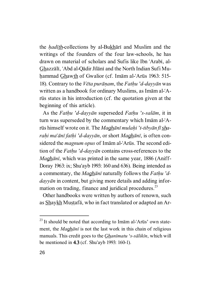the *hadīth*-collections by al-Bukharī and Muslim and the writings of the founders of the four law-schools, he has drawn on material of scholars and Sufis like Ibn 'Arabī, al-Ghazzālī, ʿAbd al-Qādir Jīlānī and the North Indian Sufi Muhammad Ghawth of Gwalior (cf. Imām al-ʿArūs 1963: 515-18). Contrary to the *Vēta purānam*, the *Fathu 'd-dayyān* was written as a handbook for ordinary Muslims, as Imam al-'Arūs states in his introduction (cf. the quotation given at the beginning of this article).

As the *FatÀu 'd-dayy¢n* superseded *FatÀu 's-sal¢m*, it in turn was superseded by the commentary which Imam al-'Arūs himself wrote on it. The *Maghanī mulahi* '*t-tibyan fī sharahi ma'* $\bar{a}$ *nī fathi 'd-dayyān*, or short *Maghānī*, is often considered the *magnum opus* of Imam al-'Arūs. The second edition of the *Fathu 'd-dayyan* contains cross-references to the *Maghānī*, which was printed in the same year, 1886 (Aniff-Doray 1963: ix; Shu'ayb 1993: 160 and 636). Being intended as a commentary, the *Maghani* naturally follows the *Fathu 'ddayy¢n* in content, but giving more details and adding information on trading, finance and juridical procedures.<sup>23</sup>

Other handbooks were written by authors of renown, such as Shaykh Muștafā, who in fact translated or adapted an Ar-

 $^{23}$  It should be noted that according to Im $\bar{a}$ m al-'Arūs' own statement, the *Maghant* is not the last work in this chain of religious manuals. This credit goes to the *Ghanīmatu 's-sālikīn*, which will be mentioned in 4.3 (cf. Shu'ayb 1993: 160-1).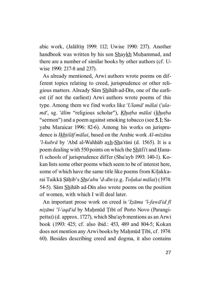abic work, (Jalāltīn 1999: 112; Uwise 1990: 237). Another handbook was written by his son Shaykh Muhammad, and there are a number of similar books by other authors (cf. Uwise 1990: 217-8 and 237).

As already mentioned, Arwi authors wrote poems on different topics relating to creed, jurisprudence or other religious matters. Already Sām Shihāb ad-Dīn, one of the earliest (if not the earliest) Arwi authors wrote poems of this type. Among them we find works like *'Ulama' malai* (*'ulam¢¬*, sg. *©¢lim* "religious scholar"), *K\_h\_u¿ba m¢lai* (*k\_h\_u¿ba* "sermon") and a poem against smoking tobacco (see 5.1; Sayabu Maraicar 1996: 82-6). Among his works on jurisprudence is *Ikhtil* $\bar{a}$ *f m* $\bar{a}$ *lai*, based on the Arabic work *Al-mīz* $\bar{a}$ *nu 'l-kubrā* by 'Abd al-Wahhāb ash-Sha'rāni (d. 1565). It is a poem dealing with 550 points on which the Shafi<sup> $\tilde{f}$ </sup> and Hanafī schools of jurisprudence differ (Shu'ayb 1993: 140-1). Kokan lists some other poems which seem to be of interest here, some of which have the same title like poems from K $i$ lakkarai Taikkā Sāhib's *Shu'abu 'd-dīn* (e.g. *Tolukai mālai*) (1974: 54-5). S<sub>am</sub> Shih<sub>ab</sub> ad-D<sub>I</sub> also wrote poems on the position of women, with which I will deal later.

An important prose work on creed is *'Izamu 'l-fawa'id fi nizāmi 'l-ʿaqā`id* by Mahmūd Tībī of Porto Novo (Parangipettai) (d. approx. 1727), which Shu'ayb mentions as an Arwi book (1993: 425; cf. also ibid.: 453, 489 and 804-5; Kokan does not mention any Arwi books by Mahmūd Tībī, cf. 1974: 60). Besides describing creed and dogma, it also contains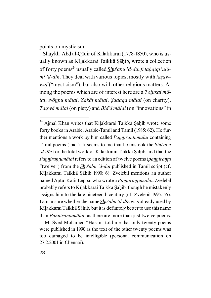points on mysticism.

Shaykh 'Abd al-Qādir of Kilakkarai (1778-1850), who is usually known as Kīlakkarai Taikkā Sāhib, wrote a collection of forty poems<sup>24</sup> usually called *Shu<sup><i>*</sup></sup>abu 'd-dīn fī tahqīqi 'ulū*mi* '*d*-*din*. They deal with various topics, mostly with *tasawwuf* ("mysticism"), but also with other religious matters. Among the poems which are of interest here are a *Tolukai malai*, *N¥zpu m¢lai*, *Zak¢t m¢lai*, *Ìadaqa m¢lai* (on charity), *Taqw¢ m¢lai* (on piety) and *Bid©¢ m¢lai* (on "innovations" in

<sup>&</sup>lt;sup>24</sup> Ajmal Khan writes that Kīlakkarai Taikkā Şāḥib wrote some forty books in Arabic, Arabic-Tamil and Tamil (1985: 62). He further mentions a work by him called *Pannirantumalai* containing Tamil poems (ibid.). It seems to me that he mistook the *Shu<sup><i>c*</sup>abu</sup> *'d-dīn* for the total work of Kīlakkarai Taikkā Şāḥib, and that the *Pannirantumālai* refers to an edition of twelve poems (*pannirantu* "twelve") from the *Shu'abu 'd-dīn* published in Tamil script (cf. Kīlakkarai Taikkā Sāhib 1990: 6). Zvelebil mentions an author named Aptul Kātir Leppai who wrote a *Pannirantumālai*. Zvelebil probably refers to Kīlakkarai Taikkā Sāhib, though he mistakenly assigns him to the late nineteenth century (cf. Zvelebil 1995: 55). I am unsure whether the name *Shu<sup><i>c*</sup>abu 'd-dīn was already used by Kīlakkarai Taikkā Şāḥib, but it is definitely better to use this name than *Pannirantumālai*, as there are more than just twelve poems.

M. Syed Mohamed "Hasan" told me that only twenty poems were published in 1990 as the text of the other twenty poems was too damaged to be intelligible (personal communication on 27.2.2001 in Chennai).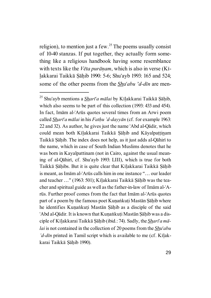religion), to mention just a few.<sup>25</sup> The poems usually consist of 10-40 stanzas. If put together, they actually form something like a religious handbook having some resemblance with texts like the *Vēta purānam*, which is also in verse (Kīlakkarai Taikkā Şāḥib 1990: 5-6; Shu'ayb 1993: 165 and 524; some of the other poems from the *Shu<sup><i>c*</sup>abu 'd-dīn are men-

<sup>&</sup>lt;sup>25</sup> Shu'ayb mentions a *Sharī<sup>c</sup>a mālai* by Kīlakkarai Taikkā Şāḥib, which also seems to be part of this collection (1993: 433 and 454). In fact, Imam al-Arus quotes several times from an Arwi poem called *S\_h\_ar¤©a m¢lai* in his *FatÀu 'd-dayy¢n* (cf. for example 1963:  $22$  and  $32$ ). As author, he gives just the name 'Abd al-Q $\bar{a}$ dir, which could mean both Kīlakkarai Taikkā Sāhib and Kāyalpattinam Taikk $\bar{a}$  S $\bar{a}$ hib. The index does not help, as it just adds al-Q $\bar{a}$ hir $\bar{a}$  to the name, which in case of South Indian Muslims denotes that he was born in Kayalpattinam (not in Cairo, against the usual meaning of al-Qāhirī, cf. Shu'ayb 1993: LIII), which is true for both Taikkā Şāḥibs. But it is quite clear that Kīlakkarai Taikkā Şāḥib is meant, as Im $\bar{a}$ m al-'Arūs calls him in one instance "... our leader and teacher ..." (1963: 501); Kīlakkarai Taikkā Sāhib was the teacher and spiritual guide as well as the father-in-law of Im $\bar{a}$ m al-'Arūs. Further proof comes from the fact that Imām al-`Arūs quotes part of a poem by the famous poet Kunankuti Mastan Sahib where he identifies Kunankuti Mastan Sahib as a disciple of the said 'Abd al-Qādir. It is known that Kuņankuți Mastān Şāhib was a disciple of Kīlakkarai Taikkā Şāḥib (ibid.: 74). Sadly, the *Sharī'a mālai* is not contained in the collection of 20 poems from the *Shu<sup><i>c*</sup>abu</sup> *'d-dīn* printed in Tamil script which is available to me (cf. Kīlakkarai Taikkā Sāhib 1990).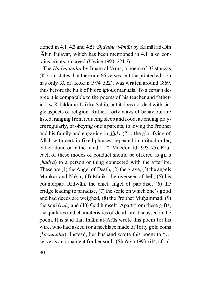tioned in 4.1, 4.3 and 4.5). *Shu<sup><i>cabu*</sup> 'l- $\bar{z}$ m $\bar{a}$ n by Kamal ad-Din  $\Delta$ im Pulavar, which has been mentioned in 4.1, also contains points on creed (Uwise 1990: 221-3).

The *Hadya mālai* by Imām al-ʿArūs, a poem of 33 stanzas (Kokan states that there are 66 verses, but the printed edition has only 33, cf. Kokan 1974: 522), was written around 1869, thus before the bulk of his religious manuals. To a certain degree it is comparable to the poems of his teacher and fatherin-law Kīlakkarai Taikkā Şāḥib, but it does not deal with single aspects of religion. Rather, forty ways of behaviour are listed, ranging from reducing sleep and food, attending prayers regularly, or obeying one's parents, to loving the Prophet and his family and engaging in *dhikr* ("... the glorifying of Allah with certain fixed phrases, repeated in a ritual order, either aloud or in the mind, …", Macdonald 1995: 75). Four each of these modes of conduct should be offered as gifts (*hadya*) to a person or thing connected with the afterlife. These are (1) the Angel of Death, (2) the grave, (3) the angels Munkar and Nakīr,  $(4)$  Mālik, the overseer of hell,  $(5)$  his counterpart Ridwān, the chief angel of paradise,  $(6)$  the bridge leading to paradise, (7) the scale on which one's good and bad deeds are weighed, (8) the Prophet Muhammad, (9) the soul  $(r\bar{u}h)$  and (10) God himself. Apart from these gifts, the qualities and characteristics of death are discussed in the poem. It is said that Imam al-'Arūs wrote this poem for his wife, who had asked for a necklace made of forty gold coins (*k* $\bar{a}$ *cum* $\bar{a}$ *lai*). Instead, her husband wrote this poem to "... serve as an ornament for her soul" (Shu'ayb 1993: 614; cf. al-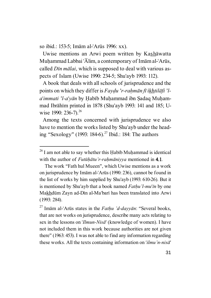so ibid.: 153-5; Imām al-ʿArūs 1996: xx).

Uwise mentions an Arwi poem written by Kas\_h\_¢watta Muhammad Labbai ' $\overline{A}$ lim, a contemporary of Im $\overline{a}$ m al-'Ar $\overline{u}$ s, called *Dīn mālai*, which is supposed to deal with various aspects of Islam (Uwise 1990: 234-5; Shu'ayb 1993: 112).

A book that deals with all schools of jurisprudence and the points on which they differ is *Faydu 'r-rahmān fī ikhtilāfi 'la¬immati 'l-a©y¢n* by Áab¤b MuÀammad ibn Ìadaq MuÀammad Ibrāhīm printed in 1878 (Shu'ayb 1993: 141 and 185; Uwise 1990: 236-7).<sup>26</sup>

Among the texts concerned with jurisprudence we also have to mention the works listed by Shu'ayb under the heading "Sexology" (1993: 184-6).<sup>27</sup> Ibid.: 184: The authors

 $26$  I am not able to say whether this Habīb Muḥammad is identical with the author of *Futūhātu'r-rahmāniyya* mentioned in 4.1.

The work "Fath hul Mueen", which Uwise mentions as a work on jurisprudence by Im $\bar{a}$ m al-'Arūs (1990: 236), cannot be found in the list of works by him supplied by Shu'ayb (1993: 610-26). But it is mentioned by Shu'ayb that a book named *Fathu'l-mu'in* by one Makhdūm Zayn ad-Dīn al-Ma°barī has been translated into Arwi (1993: 284).

<sup>&</sup>lt;sup>27</sup> Im $\bar{a}$ m al-'Arūs states in the *Fathu 'd-dayy* $\bar{a}$ *n*: "Several books, that are not works on jurisprudence, describe many acts relating to sex in the lessons on *´Ilmun-Nis* $\vec{a}$ <sup>*'*</sup> (knowledge of women). I have not included them in this work because authorities are not given there" (1963: 453). I was not able to find any information regarding these works. All the texts containing information on *'ilmu'n-nisa*<sup>*'*</sup>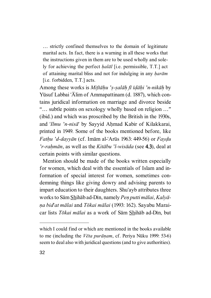… strictly confined themselves to the domain of legitimate marital acts. In fact, there is a warning in all these works that the instructions given in them are to be used wholly and solely for achieving the perfect *Àal¢l* [i.e. permissible, T.T.] act of attaining marital bliss and not for indulging in any *Àar¢m* [i.e. forbidden, T.T.] acts.

Among these works is *Miftahu 's-salah fī īdāhi 'n-nikāh* by Yūsuf Labbai ' $\overline{A}$ lim of Ammapattinam (d. 1887), which contains juridical information on marriage and divorce beside "… subtle points on sexology wholly based on religion …" (ibid.) and which was proscribed by the British in the 1930s, and *'Ilmu 'n-nisa*' by Sayyid Ahmad Kabir of Kilakkarai, printed in 1949. Some of the books mentioned before, like *FatÀu 'd-dayy¢n* (cf. Im¢m al-©Ar¦s 1963: 449-56) or *FayÎu 'r-raÀm¢n*, as well as the *Kit¢bu 'l-wis¢da* (see 4.3), deal at certain points with similar questions.

Mention should be made of the books written especially for women, which deal with the essentials of Islam and information of special interest for women, sometimes condemning things like giving dowry and advising parents to impart education to their daughters. Shu'ayb attributes three works to Sām Shihāb ad-Dīn, namely *Pen putti mālai*, *Kalyāna bid<sup><i>cat mālai* and *Tōkai mālai* (1993: 162). Sayabu Marai-</sup> car lists *Tōkai mālai* as a work of Sām Shihāb ad-Dīn, but

which I could find or which are mentioned in the books available to me (including the *Vēta purānam*, cf. Periya Nūku 1999: 53-6) seem to deal also with juridical questions (and to give authorities).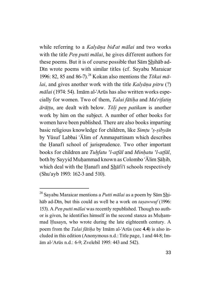while referring to a *Kalyana bid<sup>\*</sup>at malai* and two works with the title *Pen putti mālai*, he gives different authors for these poems. But it is of course possible that Sam Shihab ad-D<sub>I</sub>n wrote poems with similar titles (cf. Sayabu Maraicar 1996: 82, 85 and 86-7).<sup>28</sup> Kokan also mentions the *Tōkai mālai*, and gives another work with the title *Kalyāna pitru* (?) *mālai* (1974: 54). Imām al-ʿArūs has also written works especially for women. Two of them, *Talai fātiha* and *Ma*<sup>*c*</sup>*rifatin*  $\bar{a}$ *r* $\bar{a}$ *ttu*, are dealt with below. *Toli pen patikam* is another work by him on the subject. A number of other books for women have been published. There are also books imparting basic religious knowledge for children, like *Simtu 's-sibyan* by Yūsuf Labbai 'Ālim of Ammapattinam which describes the Hanafī school of jurisprudence. Two other important books for children are *TuÀfatu 'l-a¿f¢l* and *MinÀatu 'l-a¿f¢l*, both by Sayyid Muhammad known as Colombo ' $\overline{A}$ lim S $\overline{a}$ hib, which deal with the Hanafī and Shafi<sup> $\tilde{I}$ </sup> schools respectively (Shu'ayb 1993: 162-3 and 510).

<sup>&</sup>lt;sup>28</sup> Sayabu Maraicar mentions a *Putti mālai* as a poem by Sām Shihāb ad-Dīn, but this could as well be a work on *tasawwuf* (1996: 153). A *Pen putti mālai* was recently republished. Though no author is given, he identifies himself in the second stanza as Muhammad Husayn, who wrote during the late eighteenth century. A poem from the *Talai fātiha* by Imām al-`Arūs (see 4.4) is also included in this edition (Anonymous n.d.: Title page, 1 and 44-8; Im ām al-ʿArūs n.d.: 6-9; Zvelebil 1995: 443 and 542).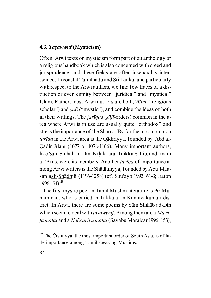# 4.3. Taşawwuf (Mysticism)

Often, Arwi texts on mysticism form part of an anthology or a religious handbook which is also concerned with creed and jurisprudence, and these fields are often inseparably intertwined. In coastal Tamilnadu and Sri Lanka, and particularly with respect to the Arwi authors, we find few traces of a distinction or even enmity between "juridical" and "mystical" Islam. Rather, most Arwi authors are both, *©¢lim* ("religious scholar") and *sūfī* ("mystic"), and combine the ideas of both in their writings. The *tarīqas* (*sūfī*-orders) common in the area where Arwi is in use are usually quite "orthodox" and stress the importance of the Sharī<sup>*'a*</sup>. By far the most common *tarīqa* in the Arwi area is the Qādiriyya, founded by 'Abd al-Qādir Jīlānī (1077 o. 1078-1166). Many important authors, like Sām Shihāb ad-Dīn, Kīlakkarai Taikkā Sāḥib, and Imām al-`Arūs, were its members. Another *tarīqa* of importance among Arwi writers is the Shadhiliyya, founded by Abu'l-Hasan ash-Shadhili (1196-1258) (cf. Shu'ayb 1993: 61-3; Eaton 1996:  $54$ ).<sup>29</sup>

The first mystic poet in Tamil Muslim literature is Pir Muhammad, who is buried in Takkalai in Kanniyakumari district. In Arwi, there are some poems by Sām Shihāb ad-Dīn which seem to deal with *tasawwuf*. Among them are a *Ma*<sup>*c*</sup>*rifa m¢lai* and a *Neñca|ivu m¢lai* (Sayabu Maraicar 1996: 153),

<sup>&</sup>lt;sup>29</sup> The Čishtiyya, the most important order of South Asia, is of little importance among Tamil speaking Muslims.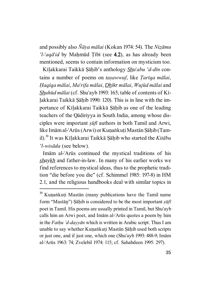and possibly also  $\tilde{N} \bar{a}$ *ya mālai* (Kokan 1974: 54). The *Nizāmu*  $'l$ <sup>2</sup> $aq\bar{q}$  *id* by Mahmūd Tībī (see 4.2), as has already been mentioned, seems to contain information on mysticism too.

Kīlakkarai Taikkā Sāhib's anthology *Shu'abu 'd-dīn* contains a number of poems on *tasawwuf*, like *Tarīqa mālai*, *Haqīqa mālai, Ma*<sup>*cifa mālai, <u>Dh</u>ikr mālai, Wujūd mālai* and</sup> *Shuhūd mālai* (cf. Shu'ayb 1993: 165; table of contents of Kīlakkarai Taikkā Şāḥib 1990: 120). This is in line with the importance of Kīlakkarai Taikkā Şāḥib as one of the leading teachers of the Qādiriyya in South India, among whose disciples were important *şūfī* authors in both Tamil and Arwi, like Imām al-ʿArūs (Arwi) or Kunankuti Mastān Sāhib (Tamil).<sup>30</sup> It was Kīlakkarai Taikkā Sāhib who started the *Kitābu 'l-wis¢da* (see below).

Imam al-Arūs continued the mystical traditions of his *shaykh* and father-in-law. In many of his earlier works we find references to mystical ideas, thus to the prophetic tradition "die before you die" (cf. Schimmel 1985: 197-8) in HM 2.1, and the religious handbooks deal with similar topics in

 $30$  Kunankuti Mastan (many publications have the Tamil name form "Mast<del>an"</del>) Sahib is considered to be the most important *suft* poet in Tamil. His poems are usually printed in Tamil, but Shu'ayb calls him an Arwi poet, and Imam al-Arūs quotes a poem by him in the *Fathu 'd-dayyān* which is written in Arabic script. Thus I am unable to say whether Kuṇaṅkuṭi Mastān Şāḥib used both scripts or just one, and if just one, which one (Shu'ayb 1993: 488-9; Imam al-`Arūs 1963: 74; Zvelebil 1974: 115; cf. Sahabdeen 1995: 297).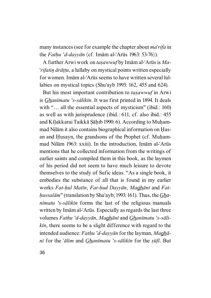many instances (see for example the chapter about *ma*<sup>*rifa* in</sup> the *Fathu 'd-dayyān*  $\langle cf. \text{Im} \bar{a} \text{Im} \text{ } a \text{Im} \text{Im} \text{ } 1963$ : 53-76 $\rangle$ ).

A further Arwi work on *tasawwuf* by Imam al-'Arus is *Ma-Crifatin*  $\bar{a}$ *rāttu*, a lullaby on mystical points written especially for women. Imam al-`Arūs seems to have written several lullabies on mystical topics (Shu'ayb 1993: 162, 455 and 624).

But his most important contribution to *tasawwuf* in Arwi is *Ghanīmatu 's-sālikīn*. It was first printed in 1894. It deals with "... all the essential aspects of mysticism" (ibid.: 160) as well as with jurisprudence (ibid.: 611, cf. also ibid.: 455 and Kīlakkarai Taikkā Sāhib 1990: 6). According to Muhammad Nilām it also contains biographical information on Hasan and Husayn, the grandsons of the Prophet (cf. Muhammad Nilām 1963: xxiii). In the introduction, Imām al-'Arūs mentions that he collected information from the writings of earlier saints and compiled them in this book, as the laymen of his period did not seem to have much leisure to devote themselves to the study of Sufic ideas. "As a single book, it embodies the substance of all that is found in my earlier works *Fat-hul Matīn*, *Fat-hud Dayyān*, *Maghānī* and *Fathussalām*" (translation by Shu'ayb; 1993: 161). Thus, the *Ghanīmatu 's-sālikīn* forms the last of the religious manuals written by Imam al-'Arūs. Especially as regards the last three volumes *Fathu 'd-dayyān*, *Maghānī* and *Ghanīmatu 's-sālikin*, there seems to be a slight difference with regard to the intended audience: *Fathu* '*d-dayyān* for the layman, *Maghān* $\bar{i}$  for the *'* $\bar{a}$ *lim* and *Ghanīmatu 's-s* $\bar{a}$ *likīn* for the *sūfī*. But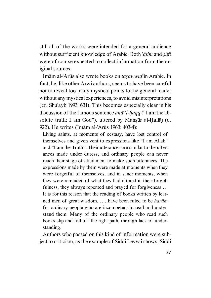still all of the works were intended for a general audience without sufficient knowledge of Arabic. Both *'* $\bar{a}$ *lim* and  $s\bar{u}$ *ft* were of course expected to collect information from the original sources.

Imām al-ʿArūs also wrote books on *tasawwuf* in Arabic. In fact, he, like other Arwi authors, seems to have been careful not to reveal too many mystical points to the general reader without any mystical experiences, to avoid misinterpretations (cf. Shu'ayb 1993: 631). This becomes especially clear in his discussion of the famous sentence *an¢ 'l-Àaqq* ("I am the absolute truth; I am God"), uttered by Mansūr al-Hallāj (d. 922). He writes (Imam al-ʿArūs 1963: 403-4):

Living saints, at moments of ecstasy, have lost control of themselves and given vent to expressions like "I am Allah" and "I am the Truth". Their utterances are similar to the utterances made under duress, and ordinary people can never reach their stage of attainment to make such utterances. The expressions made by them were made at moments when they were forgetful of themselves, and in saner moments, when they were reminded of what they had uttered in their forgetfulness, they always repented and prayed for forgiveness … It is for this reason that the reading of books written by learned men of great wisdom, ..., have been ruled to be *harām* for ordinary people who are incompetent to read and understand them. Many of the ordinary people who read such books slip and fall off the right path, through lack of understanding.

Authors who passed on this kind of information were subject to criticism, as the example of Siddi Levvai shows. Siddi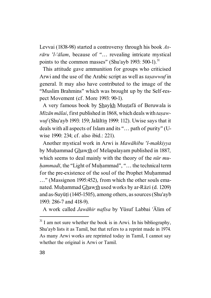Levvai (1838-98) started a controversy through his book *Asr* $\bar{a}$ *ru 'l*- $\bar{a}$ *lam*, because of "... revealing intricate mystical points to the common masses" (Shu'ayb 1993: 500-1).<sup>31</sup>

This attitude gave ammunition for groups who criticised Arwi and the use of the Arabic script as well as *tasawwuf* in general. It may also have contributed to the image of the "Muslim Brahmins" which was brought up by the Self-respect Movement (cf. More 1993: 90-1).

A very famous book by Shaykh Mustafa of Beruwala is *M* $\bar{z}$ *an malai*, first published in 1868, which deals with *tasawwuf* (Shu'ayb 1993: 159; Jalahtīn 1999: 112). Uwise says that it deals with all aspects of Islam and its "… path of purity" (Uwise 1990: 234; cf. also ibid.: 221).

Another mystical work in Arwi is *Maw¢hibu 'l-makkiyya* by Muhammad Ghawth of Melapalayam published in 1887, which seems to deal mainly with the theory of the *nūr muhammadī*, the "Light of Muhammad", "... the technical term for the pre-existence of the soul of the Prophet Muhammad …" (Massignon 1995:452), from which the other souls emanated. Muhammad Ghawth used works by ar-R $\bar{a}z\bar{i}$  (d. 1209) and as-Suyūțī (1445-1505), among others, as sources (Shu'ayb 1993: 286-7 and 418-9).

A work called *Jawāhir nafīsa* by Yūsuf Labbai 'Ālim of

 $31$  I am not sure whether the book is in Arwi. In his bibliography, Shu'ayb lists it as Tamil, but that refers to a reprint made in 1974. As many Arwi works are reprinted today in Tamil, I cannot say whether the original is Arwi or Tamil.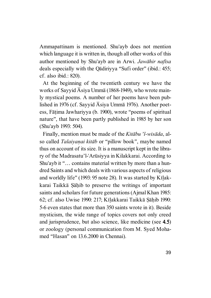Ammapattinam is mentioned. Shu'ayb does not mention which language it is written in, though all other works of this author mentioned by Shu'ayb are in Arwi. *Jawāhir nafīsa* deals especially with the Qādiriyya "Sufi order" (ibid.: 455; cf. also ibid.: 820).

At the beginning of the twentieth century we have the works of Sayyid  $\overline{A}$ siya Umm $\overline{a}$  (1868-1949), who wrote mainly mystical poems. A number of her poems have been published in 1976 (cf. Sayyid  $\overline{A}$ siya Umm $\overline{a}$  1976). Another poetess, Fātima Jawhariyya (b. 1900), wrote "poems of spiritual nature", that have been partly published in 1985 by her son (Shu'ayb 1993: 504).

Finally, mention must be made of the *Kitābu 'l-wisāda*, also called *Talaivanai kitāb* or "pillow book", maybe named thus on account of its size. It is a manuscript kept in the library of the Madrasatu'l-'Arūsiyya in Kilakkarai. According to Shu'ayb it "… contains material written by more than a hundred Saints and which deals with various aspects of religious and worldly life" (1993: 95 note 28). It was started by Kīlakkarai Taikkā Sāhib to preserve the writings of important saints and scholars for future generations (Ajmal Khan 1985: 62; cf. also Uwise 1990: 217; Kīlakkarai Taikkā Şāḥib 1990: 5-6 even states that more than 350 saints wrote in it). Beside mysticism, the wide range of topics covers not only creed and jurisprudence, but also science, like medicine (see 4.5) or zoology (personal communication from M. Syed Mohamed "Hasan" on 13.6.2000 in Chennai).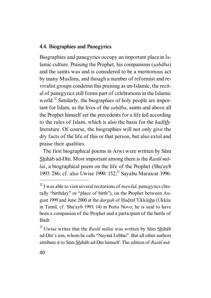# 4.4. Biographies and Panegyrics

Biographies and panegyrics occupy an important place in Islamic culture. Praising the Prophet, his companions *(sahaba)* and the saints was and is considered to be a meritorious act by many Muslims, and though a number of reformist and revivalist groups condemn this praising as un-Islamic, the recital of panegyrics still forms part of celebrations in the Islamic world.<sup>32</sup> Similarly, the biographies of holy people are important for Islam, as the lives of the *sahaba*, saints and above all the Prophet himself set the precedents for a life led according to the rules of Islam, which is also the basis for the *hadith*literature. Of course, the biographies will not only give the dry facts of the life of this or that person, but also extol and praise their qualities.

The first biographical poems in Arwi were written by Sām Shihāb ad-Dīn. Most important among them is the *Rasūl mālai*, a biographical poem on the life of the Prophet (Shu'ayb 1993: 286; cf. also Uwise 1990: 152;<sup>33</sup> Sayabu Maraicar 1996:

<sup>33</sup> Uwise writes that the *Rasūl mālai* was written by Sām Shihāb ad-Dīn's son, whom he calls "Nayina Lebbai". But all other authors attribute it to Sām Shihāb ad-Dīn himself. The edition of *Rasūl mā*-

<sup>&</sup>lt;sup>32</sup> I was able to visit several recitations of *mawlid*, panegyrics (literally "birthday" or "place of birth"), on the Prophet between August 1999 and June 2000 at the *dargah* of Hadrat Ukkāsha (Ukkās in Tamil, cf. Shu'ayb 1993: 14) in Porto Novo; he is said to have been a companion of the Prophet and a participant of the battle of Badr.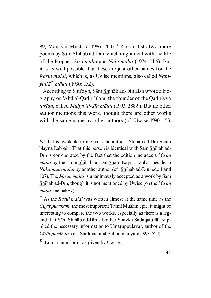89; Manavai Mustafa 1986: 200).<sup>34</sup> Kokan lists two more poems by Sām Shihāb ad-Dīn which might deal with the life of the Prophet: *S¤ra m¢lai* and *Nab¤ m¢lai* (1974: 54-5). But it is as well possible that these are just other names for the *Rasūl mālai*, which is, as Uwise mentions, also called *Napiyull¢*<sup>35</sup> *m¢lai* (1990: 152).

According to Shu'ayb, Sām Shihāb ad-Dīn also wrote a biography on 'Abd al-Qādir Jīlānī, the founder of the Qādiriyya *¿ar¤qa*, called *MuÀyi 'd-d¤n m¢lai* (1993: 288-9). But no other author mentions this work, though there are other works with the same name by other authors (cf. Uwise 1990: 153;

*lai* that is available to me calls the author "Shihab ad-Dīn Shām Naynā Labbai". That this person is identical with Sām Shihāb ad-Dīn is corroborated by the fact that the edition includes a *Mīrān mālai* by the same Shihāb ad-Dīn Shām Naynā Labbai, besides a *N* $\bar{a}$ *kaimani m* $\bar{a}$ *lai* by another author (cf. Shih $\bar{a}$ b ad-Dīn n.d.: 1 and 107). The *Mīrān mālai* is unanimously accepted as a work by Sām Shihab ad-Dīn, though it is not mentioned by Uwise (on the *Mīrān*  $m\bar{a}lai$  see below).

<sup>&</sup>lt;sup>34</sup> As the *Rasūl mālai* was written almost at the same time as the *Cīrāppurānam*, the most important Tamil Muslim epic, it might be interesting to compare the two works, especially as there is a legend that Sām Shihāb ad-Dīn's brother Shaykh Sadaqatullāh supplied the necessary information to Umaruppulavar, author of the *Cīrāppurānam* (cf. Shulman and Subrahmanyam 1993: 524).

 $35$  Tamil name form, as given by Uwise.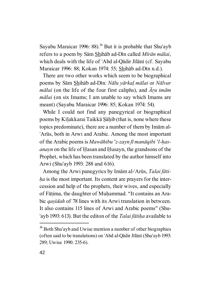Sayabu Maraicar 1996: 88).<sup>36</sup> But it is probable that Shu'ayb refers to a poem by Sām Shihāb ad-Dīn called *Mīrān mālai*, which deals with the life of 'Abd al-Qādir Jīlānī (cf. Sayabu Maraicar 1996: 88; Kokan 1974: 55; Shihāb ad-Dīn n.d.).

There are two other works which seem to be biographical poems by Sām Shihāb ad-Dīn: *Nālu yārkal mālai* or *Nālvar m* $\bar{a}$ *lai* (on the life of the four first caliphs), and  $\bar{A}ru$  *im* $\bar{a}m$ *mālai* (on six Imams; I am unable to say which Imams are meant) (Sayabu Maraicar 1996: 85; Kokan 1974: 54).

While I could not find any panegyrical or biographical poems by Kīlakkarai Taikkā Şāḥib (that is, none where these topics predominate), there are a number of them by Im $\bar{a}$ m al-'Arūs, both in Arwi and Arabic. Among the most important of the Arabic poems is *Maw¢hibu 'z-zayn f¤ man¢qibi 'l-Àasanayn* on the life of Hasan and Husayn, the grandsons of the Prophet, which has been translated by the author himself into Arwi (Shu'ayb 1993: 288 and 616).

Among the Arwi panegyrics by Imam al-'Arūs, *Talai fati-Àa* is the most important. Its content are prayers for the intercession and help of the prophets, their wives, and especially of Fāṭima, the daughter of Muḥammad. "It contains an Arabic *qasīdah* of 78 lines with its Arwi translation in between. It also contains 115 lines of Arwi and Arabic poems" (Shu- 'ayb 1993: 613). But the editon of the *Talai fātiha* available to

<sup>&</sup>lt;sup>36</sup> Both Shu'ayb and Uwise mention a number of other biographies (often said to be translations) on 'Abd al-Qādir Jīlānī (Shu'ayb 1993: 289; Uwise 1990: 235-6).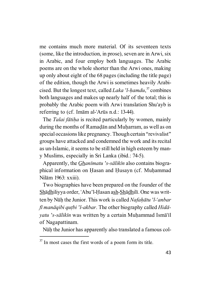me contains much more material. Of its seventeen texts (some, like the introduction, in prose), seven are in Arwi, six in Arabic, and four employ both languages. The Arabic poems are on the whole shorter than the Arwi ones, making up only about eight of the 68 pages (including the title page) of the edition, though the Arwi is sometimes heavily Arabicised. But the longest text, called *Laka 'l-hamdu*,<sup>37</sup> combines both languages and makes up nearly half of the total; this is probably the Arabic poem with Arwi translation Shu'ayb is referring to (cf. Imam al-'Arūs n.d.: 13-44).

The *Talai fātiha* is recited particularly by women, mainly during the months of Ramadan and Muharram, as well as on special occasions like pregnancy. Though certain "revivalist" groups have attacked and condemned the work and its recital as un-Islamic, it seems to be still held in high esteem by many Muslims, especially in Sri Lanka (ibid.: 74-5).

Apparently, the *Ghanīmatu* '*s*-*sālikīn* also contains biographical information on Hasan and Husayn (cf. Muhammad Nil¢m 1963: xxiii).

Two biographies have been prepared on the founder of the Shādhiliyya order, 'Abu'l-Hasan ash-Shādhilī. One was written by N¦À the Junior. This work is called *Nafaˢtu 'l-©anbar f¤ man¢qibi qu¿bi 'l-akbar*. The other biography called *Hid¢ yatu* 's-sālikīn was written by a certain Muhammad Ismā'īl of Nagapattinam.

Nūḥ the Junior has apparently also translated a famous col-

 $37$  In most cases the first words of a poem form its title.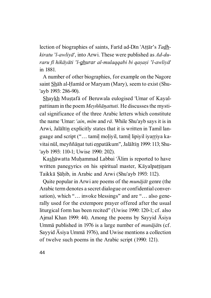lection of biographies of saints, Farīd ad-Dīn 'Attār's *Tadhkiratu 'l-awliy¢¬*, into Arwi. These were published as *Ad-duraru f¤ hik¢y¢ti 'l-g\_h\_urar al-mulaqqabi bi qa¼a¼i 'l-awliy¢* in 1881.

A number of other biographies, for example on the Nagore saint Shah al-Hamīd or Maryam (Mary), seem to exist (Shu-'ayb 1993: 286-90).

Shaykh Mustafā of Beruwala eulogised Umar of Kayalpattinam in the poem *Meyññ¢zattuti*. He discusses the mystical significance of the three Arabic letters which constitute the name ©Umar: *©ain*, *m¤m* and *r¢*. While Shu'ayb says it is in Arwi, Jalāltīn explicitly states that it is written in Tamil language and script ("... tamil moliyil, tamil lipiyil iyarriya kavitai nūl, meyññānat tuti enpatākum", Jalāltīn 1999: 113; Shu-'ayb 1993: 110-1; Uwise 1990: 202).

Kashāwatta Muhammad Labbai ' $\overline{A}$ lim is reported to have written panegyrics on his spiritual master, Kāyalpattinam Taikkā Sāhib, in Arabic and Arwi (Shu'ayb 1993: 112).

Quite popular in Arwi are poems of the *munajat* genre (the Arabic term denotes a secret dialogue or confidential conversation), which "… invoke blessings" and are "… also generally used for the extempore prayer offered after the usual liturgical form has been recited" (Uwise 1990: 120-1; cf. also Ajmal Khan 1999: 44). Among the poems by Sayyid  $\overline{A}$ siya Ummā published in 1976 is a large number of *munājāts* (cf. Sayyid  $\overline{A}$ siya Umm $\overline{a}$  1976), and Uwise mentions a collection of twelve such poems in the Arabic script (1990: 121).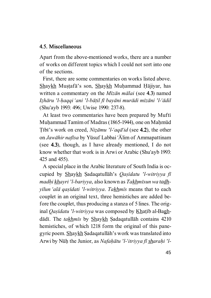#### 4.5. Miscellaneous

Apart from the above-mentioned works, there are a number of works on different topics which I could not sort into one of the sections.

First, there are some commentaries on works listed above. Shaykh Mustafā's son, Shaykh Muhammad Hājiyar, has written a commentary on the *Mīzān mālai* (see 4.3) named *I'h¢ru 'l-Àaqqi ©ani 'l-b¢¿il f¤ bay¢ni mur¢di m¤z¢ni 'l-©¢dil* (Shu'ayb 1993: 496; Uwise 1990: 237-8).

At least two commentaries have been prepared by Muftī Muhammad Tamīm of Madras (1865-1944), one on Mahmūd Tibī's work on creed, *Nizāmu 'l-*<sup>*'aqā'id* (see 4.2), the other</sup> on *Jawāhir nafīsa* by Yūsuf Labbai 'Ālim of Ammapattinam (see 4.3), though, as I have already mentioned, I do not know whether that work is in Arwi or Arabic (Shu'ayb 1993: 425 and 455).

A special place in the Arabic literature of South India is occupied by **Shaykh** Şadaqatullāh's *Qaşīdatu 'l-witriyya fī madÀi k\_h\_ayri 'l-bariyya*, also known as *Tak\_h\_m¤sun wa tad\_h\_ y* $\frac{d}{dx}$  *qas* $\frac{d}{dx}$  *'l-witriyya*. *Takhmis* means that to each couplet in an original text, three hemistiches are added before the couplet, thus producing a stanza of 5 lines. The original *Qasīdatu 'l-witriyya* was composed by Khatīb al-Baghdādī. The *takhmīs* by Shaykh Sadaqatullāh contains 4210 hemistiches, of which 1218 form the original of this panegyric poem. <u>Shaykh</u> Şadaqatullāh's work was translated into Arwi by Nūh the Junior, as *Nafahātu 'l-*<sup> $\iota$ </sup>*itriyya fī sharahi 'l-*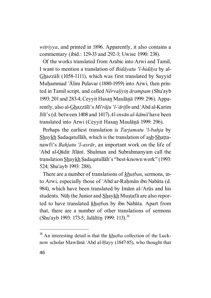*witriyya*, and printed in 1896. Apparently, it also contains a commentary (ibid.: 129-33 and 292-3; Uwise 1990: 238).

Of the works translated from Arabic into Arwi and Tamil, I want to mention a translation of *Bidāvatu 'l-hidāva* by al-Ghazzālī (1058-1111), which was first translated by Sayyid Muhammad  $\overline{A}$ lim Pulavar (1880-1959) into Arwi, then printed in Tamil script, and called *N£rva{iyiz ¢rampam* (Shu'ayb 1993: 201 and 283-4; Ceyyit Hasan Maulana 1999: 296). Apparently, also al-G\_h\_azz¢l¤'s *Mi©r¢ju 'l-©¢rif¤n* and ©Abd al-Kar¤m Jīlī's (d. between 1408 and 1417) *Al-insān al-kāmil* have been translated into Arwi (Ceyyit Hasan Maulānā 1999: 296).

Perhaps the earliest translation is *Tarjamatu 'l-bahja* by Shaykh Sadaqatullāh, which is the translation of ash-Shattanawfi's *Bahjatu 'l-asrār*, an important work on the life of 'Abd al-Qādir Jīlānī. Shulman and Subrahmanyam call the translation Shaykh Şadaqatullāh's "best-known work" (1993: 524; Shu'ayb 1993: 288).

There are a number of translations of *khutbas*, sermons, into Arwi, especially those of 'Abd ar-Rahmān ibn Nabāta (d. 984), which have been translated by Imam al-Arūs and his students. Nūh the Junior and Shaykh Mustafā are also reported to have translated *khutbas* by ibn Nabāta. Apart from that, there are a number of other translations of sermons (Shu'ayb 1993: 173-5; Jalāltīn 1999: 113).<sup>38</sup>

<sup>&</sup>lt;sup>38</sup> An interesting detail is that the *khutha* collection of the Lucknow scholar Mawlānā ʿAbd al-Ḥayy (1847-85), who thought that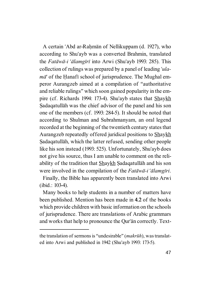A certain 'Abd ar-Rahmān of Nellikuppam (d. 1927), who according to Shu'ayb was a converted Brahmin, translated the *Fatāwā-i 'ālamgīrī* into Arwi (Shu'ayb 1993: 285). This collection of rulings was prepared by a panel of leading *'ulam* $\vec{a}$  of the Hanafi school of jurisprudence. The Mughal emperor Aurangzeb aimed at a compilation of "authoritative and reliable rulings" which soon gained popularity in the empire (cf. Richards 1994: 173-4). Shu'ayb states that S\_h\_ayk\_h\_ Sadaqatullah was the chief advisor of the panel and his son one of the members (cf. 1993: 284-5). It should be noted that according to Shulman and Subrahmanyam, an oral legend recorded at the beginning of the twentieth century states that Aurangzeb repeatedly offered juridical positions to Shaykh Sadaqatull $\bar{a}h$ , which the latter refused, sending other people like his son instead (1993: 525). Unfortunately, Shu'ayb does not give his source, thus I am unable to comment on the reliability of the tradition that Shaykh Sadaqatullah and his son were involved in the compilation of the *Fat* $\bar{a}$ *wa-i 'alamgiri*.

Finally, the Bible has apparently been translated into Arwi (ibid.: 103-4).

Many books to help students in a number of matters have been published. Mention has been made in 4.2 of the books which provide children with basic information on the schools of jurisprudence. There are translations of Arabic grammars and works that help to pronounce the Qur'an correctly. Text-

the translation of sermons is "undesirable" (*makrūh*), was translated into Arwi and published in 1942 (Shu'ayb 1993: 173-5).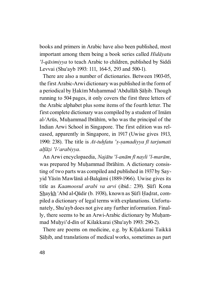books and primers in Arabic have also been published, most important among them being a book series called *Hidāyatu 'l-qāsimiyya* to teach Arabic to children, published by Siddi Levvai (Shu'ayb 1993: 111, 164-5, 293 and 500-1).

There are also a number of dictionaries. Between 1903-05, the first Arabic-Arwi dictionary was published in the form of a periodical by Hakīm Muhammad ʿAbdullāh Sāhib. Though running to 504 pages, it only covers the first three letters of the Arabic alphabet plus some items of the fourth letter. The first complete dictionary was compiled by a student of Imam al-`Arūs, Muhammad Ibrāhīm, who was the principal of the Indian Arwi School in Singapore. The first edition was released, apparently in Singapore, in 1917 (Uwise gives 1913, 1990: 238). The title is *At-tuhfatu* 's-samadiyya fī tarjumati *alf¢'i 'l-©arabiyya*.

An Arwi encyclopaedia, *Naj¢tu 'l-an¢m f¤ nayli 'l-mar¢m*, was prepared by Muhammad Ibrāhīm. A dictionary consisting of two parts was compiled and published in 1937 by Sayyid Yāsīn Mawlānā al-Balqāmi (1889-1966). Uwise gives its title as *Kaamoosul arabi va arvi* (ibid.: 239). Sūfī Kona Shaykh 'Abd al-Qādir (b. 1938), known as Sūfī Hadrat, compiled a dictionary of legal terms with explanations. Unfortunately, Shu'ayb does not give any further information. Finally, there seems to be an Arwi-Arabic dictionary by Muhammad Muhyi'd-dīn of Kilakkarai (Shu'ayb 1993: 290-2).

There are poems on medicine, e.g. by Kīlakkarai Taikkā Sāhib, and translations of medical works, sometimes as part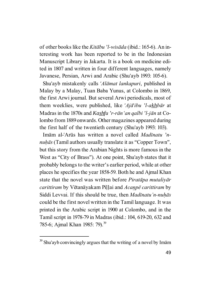of other books like the *Kit¢bu 'l-wis¢da* (ibid.: 165-6). An interesting work has been reported to be in the Indonesian Manuscript Library in Jakarta. It is a book on medicine edited in 1807 and written in four different languages, namely Javanese, Persian, Arwi and Arabic (Shu'ayb 1993: 105-6).

Shu'ayb mistakenly calls 'Alamat lankapuri, published in Malay by a Malay, Tuan Baba Yunus, at Colombo in 1869, the first Arwi journal. But several Arwi periodicals, most of them weeklies, were published, like *Aj* $\vec{a}$ *ibu 'l-akhbar* at Madras in the 1870s and *Kashfu* '*r-rān* '*an qalbi* '*l-jān* at Colombo from 1889 onwards. Other magazines appeared during the first half of the twentieth century (Shu'ayb 1993: 103).

Im<sub>a</sub>m al-Arūs has written a novel called *Madūnatu* '*nnuhās* (Tamil authors usually translate it as "Copper Town", but this story from the Arabian Nights is more famous in the West as "City of Brass"). At one point, Shu'ayb states that it probably belongs to the writer's earlier period, while at other places he specifies the year 1858-59. Both he and Ajmal Khan state that the novel was written before *Piratapa mutaliyar carittiram* by Vētanāyakam Pillai and *Acanpē carittiram* by Siddi Levvai. If this should be true, then *Madīnatu'n-nuhās* could be the first novel written in the Tamil language. It was printed in the Arabic script in 1900 at Colombo, and in the Tamil script in 1978-79 in Madras (ibid.: 104, 619-20, 632 and 785-6; Ajmal Khan 1985: 79).<sup>39</sup>

 $39$  Shu'ayb convincingly argues that the writing of a novel by Im $\bar{a}$ m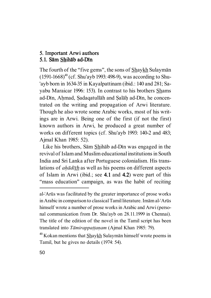#### 5. Important Arwi authors 5.1. Sām Shihāb ad-Dīn

The fourth of the "five gems", the sons of Shaykh Sulayman  $(1591-1668)^{40}$  (cf. Shu'ayb 1993: 498-9), was according to Shu-'ayb born in 1634-35 in Kayalpattinam (ibid.: 140 and 281; Sayabu Maraicar 1996: 153). In contrast to his brothers Shams ad-Dīn, Ahmad, Sadaqatullāh and Salāh ad-Dīn, he concentrated on the writing and propagation of Arwi literature. Though he also wrote some Arabic works, most of his writings are in Arwi. Being one of the first (if not the first) known authors in Arwi, he produced a great number of works on different topics (cf. Shu'ayb 1993: 140-2 and 483; Ajmal Khan 1985: 52).

Like his brothers, Sam Shihab ad-Dīn was engaged in the revival of Islam and Muslim educational institutions in South India and Sri Lanka after Portuguese colonialism. His translations of *ahādīth* as well as his poems on different aspects of Islam in Arwi (ibid.; see 4.1 and 4.2) were part of this "mass education" campaign, as was the habit of reciting

al-Arūs was facilitated by the greater importance of prose works in Arabic in comparison to classical Tamil literature. Imam al-Arus himself wrote a number of prose works in Arabic and Arwi (personal communication from Dr. Shu'ayb on 28.11.1999 in Chennai). The title of the edition of the novel in the Tamil script has been translated into *Tāmirappattanam* (Ajmal Khan 1985: 79).

 $40$  Kokan mentions that  $\underline{Shaykh}$  Sulaym $\overline{a}n$  himself wrote poems in Tamil, but he gives no details (1974: 54).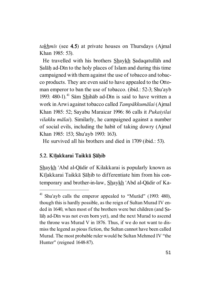*takhm* $\overline{u}$ *s* (see 4.5) at private houses on Thursdays (Ajmal Khan 1985: 53).

He travelled with his brothers Shaykh Sadaqatullāh and Salāh ad-Dīn to the holy places of Islam and during this time campaigned with them against the use of tobacco and tobacco products. They are even said to have appealed to the Ottoman emperor to ban the use of tobacco. (ibid.: 52-3; Shu'ayb 1993: 480-1).<sup>41</sup> S $\bar{a}$ m Shih $\bar{a}$ b ad-D $\bar{b}$ n is said to have written a work in Arwi against tobacco called *Tampākkumālai* (Ajmal Khan 1985: 52; Sayabu Maraicar 1996: 86 calls it *Pukaiyilai vilakku mālai*). Similarly, he campaigned against a number of social evils, including the habit of taking dowry (Ajmal Khan 1985: 153; Shu'ayb 1993: 163).

He survived all his brothers and died in 1709 (ibid.: 53).

### 5.2. Kīlakkarai Taikkā Şāhib

Shaykh 'Abd al-Qādir of Kilakkarai is popularly known as Kīlakkarai Taikkā Şāḥib to differentiate him from his contemporary and brother-in-law, Shaykh 'Abd al-Qādir of Ka-

 $41$  Shu'ayb calls the emperor appealed to "Mur $\overline{a}d$ " (1993: 480), though this is hardly possible, as the reign of Sultan Murad IV ended in 1640, when most of the brothers were but children (and Salāh ad-Dīn was not even born yet), and the next Murad to ascend the throne was Murad V in 1876. Thus, if we do not want to dismiss the legend as pious fiction, the Sultan cannot have been called Murad. The most probable ruler would be Sultan Mehmed IV "the Hunter" (reigned 1648-87).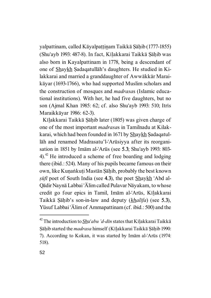yalpattinam, called Kāyalpaṭṭinam Taikkā Şāḥib (1777-1855) (Shu'ayb 1993: 487-8). In fact, Kīlakkarai Taikkā Şāḥib was also born in Kayalpattinam in 1778, being a descendant of one of Shaykh Sadaqatullāh's daughters. He studied in Kilakkarai and married a granddaughter of Awwākkār Maraik $\bar{a}$ yar (1693-1766), who had supported Muslim scholars and the construction of mosques and *madrasa*s (Islamic educational institutions). With her, he had five daughters, but no son (Ajmal Khan 1985: 62; cf. also Shu'ayb 1993: 510; Itrīs Maraikk¢yar 1986: 62-3).

Kīlakkarai Taikkā Şāḥib later (1805) was given charge of one of the most important *madrasa*s in Tamilnadu at Kilakkarai, which had been founded in 1671 by Shaykh Sadaqatullāh and renamed Madrasatu'l-`Arūsiyya after its reorganisation in 1851 by Imam al-'Arūs (see 5.3; Shu'ayb 1993: 803-4).<sup>42</sup> He introduced a scheme of free boarding and lodging there (ibid.: 524). Many of his pupils became famous on their own, like Kunankuti Mastān Sāhib, probably the best known  $s\bar{u}f\bar{i}$  poet of South India (see 4.3), the poet Shaykh 'Abd al-Qādir Naynā Labbai ' $\overline{A}$ lim called Pulavar Nāyakam, to whose credit go four epics in Tamil, Imām al-ʿArūs, Kīlakkarai Taikkā Şāḥib's son-in-law and deputy (*khalīfa*) (see 5.3), Yūsuf Labbai ' $\overline{A}$ lim of Ammapattinam (cf. ibid.: 500) and the

<sup>&</sup>lt;sup>42</sup> The introduction to *Shu<sup><i>c*</sup>abu</sup> 'd-dīn states that Kīlakkarai Taikkā Sāhib started the *madrasa* himself (Kīlakkarai Taikkā Sāhib 1990: 7). According to Kokan, it was started by Imam al-Arus (1974: 518).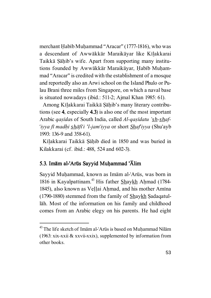merchant Habīb Muḥammad "Aracar" (1777-1816), who was a descendant of Awwākkār Maraikāyar like Kīlakkarai Taikkā Sāhib's wife. Apart from supporting many institutions founded by Awwākkār Maraikāyar, Habīb Muhammad "Aracar" is credited with the establishment of a mosque and reportedly also an Arwi school on the Island Phulo or Pulau Brani three miles from Singapore, on which a naval base is situated nowadays (ibid.: 511-2; Ajmal Khan 1985: 61).

Among Kīlakkarai Taikkā Şāḥib's many literary contributions (see 4, especially 4.3) is also one of the most important Arabic *qasīdas* of South India, called *Al-qasīdatu 'sh-shaf-©iyya f¤ madÀi s\_h\_¢fi©i 'l-jam©iyya* or short *S\_h\_af©iyya* (Shu'ayb 1993: 136-9 and 358-61).

Kīlakkarai Taikkā Sāhib died in 1850 and was buried in Kilakkarai (cf. ibid.: 488, 524 and 602-3).

### 5.3. Imām al-ʿArūs Sayyid Muhammad ʿĀlim

Sayyid Muhammad, known as Imām al-ʿArūs, was born in 1816 in Kayalpattinam.<sup>43</sup> His father Shaykh Ahmad (1784-1845), also known as Veļļai Aḥmad, and his mother Amīna  $(1790-1880)$  stemmed from the family of Shaykh Sadaqatullāh. Most of the information on his family and childhood comes from an Arabic elegy on his parents. He had eight

<sup>&</sup>lt;sup>43</sup> The life sketch of Imam al-`Arūs is based on Muḥammad Nilam (1963: xix-xxii & xxvii-xxix), supplemented by information from other books.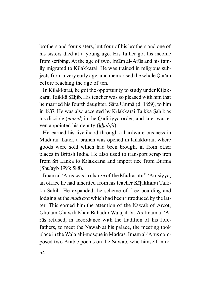brothers and four sisters, but four of his brothers and one of his sisters died at a young age. His father got his income from scribing. At the age of two, Imam al-Arūs and his family migrated to Kilakkarai. He was trained in religious subjects from a very early age, and memorised the whole Qur'an before reaching the age of ten.

In Kilakkarai, he got the opportunity to study under Kīlakkarai Taikkā Sāhib. His teacher was so pleased with him that he married his fourth daughter, Sara Umma (d. 1859), to him in 1837. He was also accepted by Kīlakkarai Taikkā Sāhib as his disciple *(murīd)* in the Qādiriyya order, and later was even appointed his deputy (*khalīfa*).

He earned his livelihood through a hardware business in Madurai. Later, a branch was opened in Kilakkarai, where goods were sold which had been brought in from other places in British India. He also used to transport scrap iron from Sri Lanka to Kilakkarai and import rice from Burma (Shu'ayb 1993: 588).

Imām al-ʿArūs was in charge of the Madrasatu'l-ʿArūsiyya, an office he had inherited from his teacher Kīlakkarai Taikkā Şāḥib. He expanded the scheme of free boarding and lodging at the *madrasa* which had been introduced by the latter. This earned him the attention of the Nawab of Arcot, Ghulām Ghawth Khān Bahādur Wālājāh V. As Imām al-ʿArūs refused, in accordance with the tradition of his forefathers, to meet the Nawab at his palace, the meeting took place in the Wālājāhi-mosque in Madras. Imām al-ʿArūs composed two Arabic poems on the Nawab, who himself intro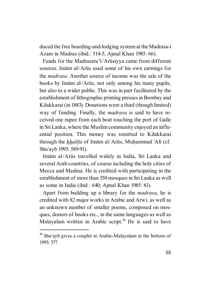duced the free boarding-and-lodging system at the Madrasa-i Azam in Madras (ibid.: 514-5; Ajmal Khan 1985: 66).

Funds for the Madrasatu'l-'Arūsiyya came from different sources. Imam al-'Arūs used some of his own earnings for the *madrasa*. Another source of income was the sale of the books by Imam al-Arus, not only among his many pupils, but also to a wider public. This was in part facilitated by the establishment of lithographic printing presses in Bombay and Kilakkarai (in 1883). Donations were a third (though limited) way of funding. Finally, the *madrasa* is said to have received one rupee from each boat touching the port of Galle in Sri Lanka, where the Muslim community enjoyed an influential position. This money was remitted to Kilakkarai through the *khalīfa* of Imām al-ʿArūs, Muhammad ʿAlī (cf. Shu'ayb 1993: 589-91).

Imām al-ʿArūs travelled widely in India, Sri Lanka and several Arab countries, of course including the holy cities of Mecca and Medina. He is credited with participating in the establishment of more than 350 mosques in Sri Lanka as well as some in India (ibid.: 640; Ajmal Khan 1985: 81).

Apart from building up a library for the *madrasa*, he is credited with 82 major works in Arabic and Arwi, as well as an unknown number of smaller poems, composed on mosques, donors of books etc., in the same languages as well as Malayalam written in Arabic script.<sup>44</sup> He is said to have

<sup>&</sup>lt;sup>44</sup> Shu'ayb gives a couplet in Arabic-Malayalam at the bottom of 1993: 377.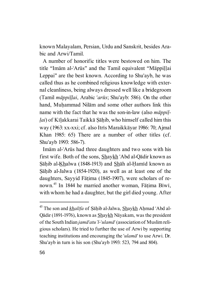known Malayalam, Persian, Urdu and Sanskrit, besides Arabic and Arwi/Tamil.

A number of honorific titles were bestowed on him. The title "Imam al-'Arūs" and the Tamil equivalent "Mappillai Leppai" are the best known. According to Shu'ayb, he was called thus as he combined religious knowledge with external cleanliness, being always dressed well like a bridegroom (Tamil *māppillai*, Arabic '*arūs*; Shu'ayb: 586). On the other hand, Muhammad Nilām and some other authors link this name with the fact that he was the son-in-law (also *mappillai*) of Kīlakkarai Taikkā Sāḥib, who himself called him this way (1963: xx-xxi; cf. also Itrīs Maraikkāyar 1986: 70; Ajmal Khan 1985: 65) There are a number of other titles (cf. Shu'ayb 1993: 586-7).

Imam al-Arus had three daughters and two sons with his first wife. Both of the sons, Shaykh 'Abd al-Qādir known as Şāḥib al-Khalwa (1848-1913) and Shah al-Ḥamīd known as Sāhib al-Jalwa (1854-1920), as well as at least one of the daughters, Sayyid Fāṭima (1845-1907), were scholars of renown.<sup>45</sup> In 1844 he married another woman, Fāțima Bīwī, with whom he had a daughter, but the girl died young. After

<sup>&</sup>lt;sup>45</sup> The son and *khalīfa* of Sāhib al-Jalwa, Shaykh Ahmad 'Abd al-Qādir (1891-1976), known as Shaykh Nāyakam, was the president of the South Indian *jam¢©atu'l-©ulam¢¬* (association of Muslim religious scholars). He tried to further the use of Arwi by supporting teaching institutions and encouraging the *'ulama'* to use Arwi. Dr. Shu'ayb in turn is his son (Shu'ayb 1993: 523, 794 and 804).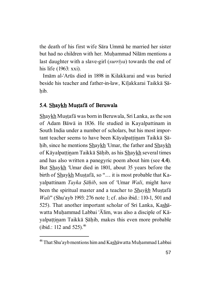the death of his first wife Sara Umma he married her sister but had no children with her. Muhammad Nilām mentions a last daughter with a slave-girl *(surrīya)* towards the end of his life (1963: xxi).

Imām al-ʿArūs died in 1898 in Kilakkarai and was buried beside his teacher and father-in-law, Kīlakkarai Taikkā Sāhib.

# 5.4. **Shaykh** Mustafa of Beruwala

Shaykh Mustafā was born in Beruwala, Sri Lanka, as the son of Adam Bāwā in 1836. He studied in Kayalpattinam in South India under a number of scholars, but his most important teacher seems to have been K $\bar{a}$ yalpattinam Taikk $\bar{a}$  S $\bar{a}$ hib, since he mentions Shaykh Umar, the father and Shaykh of Kāyalpattinam Taikkā Sāhib, as his Shaykh several times and has also written a panegyric poem about him (see 4.4). But Shaykh 'Umar died in 1801, about 35 years before the birth of Shaykh Muṣṭafā, so "... it is most probable that Kayalpattinam *Tayka Şāḥib*, son of 'Umar *Wali*, might have been the spiritual master and a teacher to **Shaykh** Mustafa *Wali*" (Shu'ayb 1993: 276 note 1; cf. also ibid.: 110-1, 501 and 525). That another important scholar of Sri Lanka, Kashawatta Muḥammad Labbai 'Ālim, was also a disciple of Kāyalpattinam Taikkā Şāḥib, makes this even more probable (ibid.: 112 and 525). $^{46}$ 

<sup>&</sup>lt;sup>46</sup> That Shu'ayb mentions him and Kashawatta Muhammad Labbai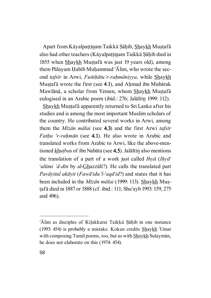Apart from Kāyalpattinam Taikkā Şāḥib, Shaykh Muștafā also had other teachers (K $\bar{a}$ yalpattinam Taikk $\bar{a}$  Ş $\bar{a}$ hib died in 1855 when Shaykh Mustafā was just 19 years old), among them Pālayam Habīb Muḥammad ' $\overline{A}$ lim, who wrote the second *tafsīr* in Arwi, *Futūhātu'r-rahmāniyya*, while Shaykh Mușțaf $\bar{a}$  wrote the first (see 4.1), and Ahmad ibn Mub $\bar{a}$ rak Mawlānā, a scholar from Yemen, whom Shaykh Mustafā eulogised in an Arabic poem (ibid.: 276; Jalāltīn 1999: 112).

Shaykh Mustafā apparently returned to Sri Lanka after his studies and is among the most important Muslim scholars of the country. He contributed several works in Arwi, among them the *M¤z¢n m¢lai* (see 4.3) and the first Arwi *tafs¤r Fathu 'r-rahmān* (see 4.1). He also wrote in Arabic and translated works from Arabic to Arwi, like the above-mentioned *khutba*s of ibn Nabāta (see 4.5). Jalāltīn also mentions the translation of a part of a work just called *Ihya* (*Ihya*<sup> $\alpha$ </sup> *<sup>culūmi 'd-dīn* by al-Ghazzālī?). He calls the translated part</sup> *Pavāyitul akāyit* (*Fawā*<sup>*idu'l*-<sup>*a*</sup>*d*?) and states that it has</sup> been included in the *Mīzān mālai* (1999: 113). Shaykh Mustafā died in 1887 or 1888 (cf. ibid.: 111; Shu'ayb 1993: 159, 275 and 496).

 $\Delta$ im as disciples of K $\overline{\text{1}}$ lakkarai Taikk $\overline{\text{a}}$  Sahib in one instance (1993: 454) is probably a mistake. Kokan credits  $\frac{Shaykh}{Umar}$ with composing Tamil poems, too, but as with  $Shaykh$  Sulayman, he does not elaborate on this (1974: 454).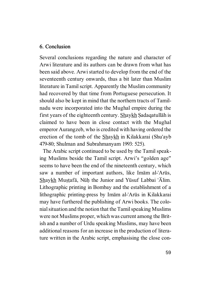#### 6. Conclusion

Several conclusions regarding the nature and character of Arwi literature and its authors can be drawn from what has been said above. Arwi started to develop from the end of the seventeenth century onwards, thus a bit later than Muslim literature in Tamil script. Apparently the Muslim community had recovered by that time from Portuguese persecution. It should also be kept in mind that the northern tracts of Tamilnadu were incorporated into the Mughal empire during the first years of the eighteenth century. Shaykh Sadaqatullah is claimed to have been in close contact with the Mughal emperor Aurangzeb, who is credited with having ordered the erection of the tomb of the **Shaykh** in Kilakkarai (Shu'ayb 479-80; Shulman and Subrahmanyam 1993: 525).

The Arabic script continued to be used by the Tamil speaking Muslims beside the Tamil script. Arwi's "golden age" seems to have been the end of the nineteenth century, which saw a number of important authors, like Imam al-Arūs, Shaykh Mustaf $\bar{a}$ , Nūh the Junior and Yūsuf Labbai 'Alim. Lithographic printing in Bombay and the establishment of a lithographic printing-press by Imam al-'Arūs in Kilakkarai may have furthered the publishing of Arwi books. The colonial situation and the notion that the Tamil speaking Muslims were not Muslims proper, which was current among the British and a number of Urdu speaking Muslims, may have been additional reasons for an increase in the production of literature written in the Arabic script, emphasising the close con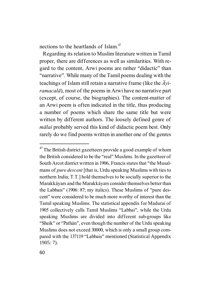nections to the heartlands of Islam.<sup>47</sup>

Regarding its relation to Muslim literature written in Tamil proper, there are differences as well as similarities. With regard to the content, Arwi poems are rather "didactic" than "narrative". While many of the Tamil poems dealing with the teachings of Islam still retain a narrative frame (like the  $\overline{A}$ *yiramacala*), most of the poems in Arwi have no narrative part (except, of course, the biographies). The content-matter of an Arwi poem is often indicated in the title, thus producing a number of poems which share the same title but were written by different authors. The loosely defined genre of *m* $\bar{a}$ *lai* probably served this kind of didactic poem best. Only rarely do we find poems written in another one of the genres

<sup>&</sup>lt;sup>47</sup> The British district gazetteers provide a good example of whom the British considered to be the "real" Muslims. In the gazetteer of South Arcot district written in 1906, Francis states that "the Musalmans of *pure descent* [that is, Urdu speaking Muslims with ties to northern India; T.T.] hold themselves to be socially superior to the Marakkáyars and the Marakkáyars consider themselves better than the Labbais" (1906: 87; my italics). These Muslims of "pure descent" were considered to be much more worthy of interest than the Tamil speaking Muslims. The statistical appendix for Madurai of 1905 collectively calls Tamil Muslims "Labbai", while the Urdu speaking Muslims are divided into different sub-groups like "Sheik" or "Pathán", even though the number of the Urdu speaking Muslims does not exceed 30000, which is only a small group compared with the 137119 "Labbais" mentioned (Statistical Appendix 1905: 7).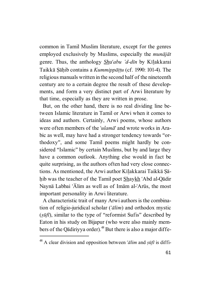common in Tamil Muslim literature, except for the genres employed exclusively by Muslims, especially the *munajat* genre. Thus, the anthology *Shu<sup><i>cabu 'd-dīn* by Kīlakkarai</sup> Taikkā Sāhib contains a *Kummippāttu* (cf. 1990: 101-4). The religious manuals written in the second half of the nineteenth century are to a certain degree the result of these developments, and form a very distinct part of Arwi literature by that time, especially as they are written in prose.

But, on the other hand, there is no real dividing line between Islamic literature in Tamil or Arwi when it comes to ideas and authors. Certainly, Arwi poems, whose authors were often members of the *'ulama*<sup>2</sup> and wrote works in Arabic as well, may have had a stronger tendency towards "orthodoxy", and some Tamil poems might hardly be considered "Islamic" by certain Muslims, but by and large they have a common outlook. Anything else would in fact be quite surprising, as the authors often had very close connections. As mentioned, the Arwi author K $\overline{1}$ lakkarai Taikk $\overline{a}$  S $\overline{a}$ hib was the teacher of the Tamil poet Shaykh 'Abd al-Qādir Naynā Labbai 'Ālim as well as of Imām al-'Arūs, the most important personality in Arwi literature.

A characteristic trait of many Arwi authors is the combination of religio-juridical scholar (*©¢lim*) and orthodox mystic (*sūfī*), similar to the type of "reformist Sufis" described by Eaton in his study on Bijapur (who were also mainly members of the Qādiriyya order).<sup>48</sup> But there is also a major diffe-

<sup>&</sup>lt;sup>48</sup> A clear division and opposition between *<sup><i>alim*</sup> and *suft* is diffi-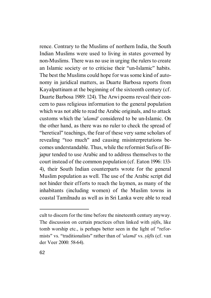rence. Contrary to the Muslims of northern India, the South Indian Muslims were used to living in states governed by non-Muslims. There was no use in urging the rulers to create an Islamic society or to criticise their "un-Islamic" habits. The best the Muslims could hope for was some kind of autonomy in juridical matters, as Duarte Barbosa reports from Kayalpattinam at the beginning of the sixteenth century (cf. Duarte Barbosa 1989: 124). The Arwi poems reveal their concern to pass religious information to the general population which was not able to read the Arabic originals, and to attack customs which the *©ulam¢¬* considered to be un-Islamic. On the other hand, as there was no ruler to check the spread of "heretical" teachings, the fear of these very same scholars of revealing "too much" and causing misinterpretations becomes understandable. Thus, while the reformist Sufis of Bijapur tended to use Arabic and to address themselves to the court instead of the common population (cf. Eaton 1996: 133- 4), their South Indian counterparts wrote for the general Muslim population as well. The use of the Arabic script did not hinder their efforts to reach the laymen, as many of the inhabitants (including women) of the Muslim towns in coastal Tamilnadu as well as in Sri Lanka were able to read

cult to discern for the time before the nineteenth century anyway. The discussion on certain practices often linked with *sūfīs*, like tomb worship etc., is perhaps better seen in the light of "reformists" vs. "traditionalists" rather than of *'ulama*' vs. *sūfīs* (cf. van der Veer 2000: 58-64).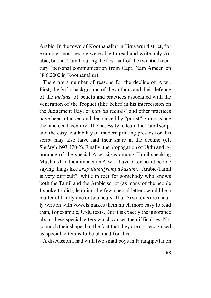Arabic. In the town of Koothanallur in Tiruvarur district, for example, most people were able to read and write only Arabic, but not Tamil, during the first half of the twentieth century (personal communication from Capt. Nam Ameen on 18.6.2000 in Koothanallur).

There are a number of reasons for the decline of Arwi. First, the Sufic background of the authors and their defence of the *tariqas*, of beliefs and practices associated with the veneration of the Prophet (like belief in his intercession on the Judgement Day, or *mawlid* recitals) and other practices have been attacked and denounced by "purist" groups since the nineteenth century. The necessity to learn the Tamil script and the easy availability of modern printing presses for this script may also have had their share in the decline (cf. Shu'ayb 1993: 120-2). Finally, the propagation of Urdu and ignorance of the special Arwi signs among Tamil speaking Muslims had their impact on Arwi. I have often heard people saying things like *araputtamil rompa kastam*, "Arabic-Tamil" is very difficult", while in fact for somebody who knows both the Tamil and the Arabic script (as many of the people I spoke to did), learning the few special letters would be a matter of hardly one or two hours. That Arwi texts are usually written with vowels makes them much more easy to read than, for example, Urdu texts. But it is exactly the ignorance about these special letters which causes the difficulties. Not so much their shape, but the fact that they are not recognised as special letters is to be blamed for this.

A discussion I had with two small boys in Parangipettai on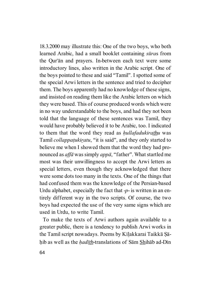18.3.2000 may illustrate this: One of the two boys, who both learned Arabic, had a small booklet containing *sūras* from the Qur'an and prayers. In-between each text were some introductory lines, also written in the Arabic script. One of the boys pointed to these and said "Tamil". I spotted some of the special Arwi letters in the sentence and tried to decipher them. The boys apparently had no knowledge of these signs, and insisted on reading them like the Arabic letters on which they were based. This of course produced words which were in no way understandable to the boys, and had they not been told that the language of these sentences was Tamil, they would have probably believed it to be Arabic, too. I indicated to them that the word they read as *hullafadukirathu* was Tamil *collappatukiratu*, "it is said", and they only started to believe me when I showed them that the word they had pronounced as *affa* was simply *appa*, "father". What startled me most was their unwillingness to accept the Arwi letters as special letters, even though they acknowledged that there were some dots too many in the texts. One of the things that had confused them was the knowledge of the Persian-based Urdu alphabet, especially the fact that -*p*- is written in an entirely different way in the two scripts. Of course, the two boys had expected the use of the very same signs which are used in Urdu, to write Tamil.

To make the texts of Arwi authors again available to a greater public, there is a tendency to publish Arwi works in the Tamil script nowadays. Poems by Kīlakkarai Taikkā Şāhib as well as the *hadīth*-translations of S<del>am Shihab ad-Dīn</del>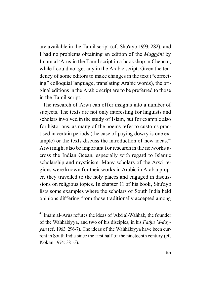are available in the Tamil script (cf. Shu'ayb 1993: 282), and I had no problems obtaining an edition of the *Maghani* by Imam al-Arūs in the Tamil script in a bookshop in Chennai, while I could not get any in the Arabic script. Given the tendency of some editors to make changes in the text ("correcting" colloquial language, translating Arabic words), the original editions in the Arabic script are to be preferred to those in the Tamil script.

The research of Arwi can offer insights into a number of subjects. The texts are not only interesting for linguists and scholars involved in the study of Islam, but for example also for historians, as many of the poems refer to customs practised in certain periods (the case of paying dowry is one example) or the texts discuss the introduction of new ideas.<sup>49</sup> Arwi might also be important for research in the networks across the Indian Ocean, especially with regard to Islamic scholarship and mysticism. Many scholars of the Arwi regions were known for their works in Arabic in Arabia proper, they travelled to the holy places and engaged in discussions on religious topics. In chapter 11 of his book, Shu'ayb lists some examples where the scholars of South India held opinions differing from those traditionally accepted among

<sup>&</sup>lt;sup>49</sup> Imam al-ʿArūs refutes the ideas of ʿAbd al-Wahhab, the founder of the Wahhābiyya, and two of his disciples, in his *Fathu 'd-dayy* $\bar{a}$ *n* (cf. 1963: 296-7). The ideas of the Wahhābiyya have been current in South India since the first half of the nineteenth century (cf. Kokan 1974: 381-3).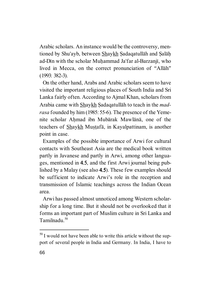Arabic scholars. An instance would be the controversy, mentioned by Shu'ayb, between Shaykh Sadaqatullāh and Salāh ad-Dīn with the scholar Muhammad Ja'far al-Barzanjī, who lived in Mecca, on the correct pronunciation of "Allah" (1993: 382-3).

On the other hand, Arabs and Arabic scholars seem to have visited the important religious places of South India and Sri Lanka fairly often. According to Ajmal Khan, scholars from Arabia came with **Shaykh** Sadaqatullah to teach in the *madrasa* founded by him (1985: 55-6). The presence of the Yemenite scholar Ahmad ibn Mubārak Mawlānā, one of the teachers of Shaykh Mustafā, in Kayalpattinam, is another point in case.

Examples of the possible importance of Arwi for cultural contacts with Southeast Asia are the medical book written partly in Javanese and partly in Arwi, among other languages, mentioned in 4.5, and the first Arwi journal being published by a Malay (see also 4.5). These few examples should be sufficient to indicate Arwi's role in the reception and transmission of Islamic teachings across the Indian Ocean area.

Arwi has passed almost unnoticed among Western scholarship for a long time. But it should not be overlooked that it forms an important part of Muslim culture in Sri Lanka and Tamilnadu.<sup>50</sup>

 $50$  I would not have been able to write this article without the support of several people in India and Germany. In India, I have to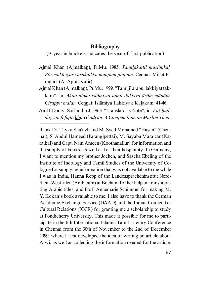#### Bibliography

(A year in brackets indicates the year of first publication)

- Ajmal Khan (Ajmalkān), Pī.Mu. 1985. *Tamilakattil muslimkaļ*. *Pōrccukīciyar varukaikku munpum pinpum.* Cennai: Millat Pi $r$ ințars (A. Aptul Kātir).
- Ajmal Khan (Ajmalkān), Pī.Mu. 1999. "Tamilil arapu ilakkiyat tākkam", in: Akila ulaka islāmiyat tamil ilakkiya ārām mānāțu. *Cirappu malar*. Cennai: Islāmiya Ilakkiyak Kalakam: 41-46.
- Aniff-Doray, Saifuddin J. 1963. "Translator's Note", in: *Fat-Àuddayy¢n fi fiqhi k\_h\_airil ady¢n. A Compendium on Muslim Theo-*

thank Dr. Tayka Shu'ayb and M. Syed Mohamed "Hasan" (Chennai), S. Abdul Hameed (Parangipettai), M. Sayabu Maraicar (Karaikal) and Capt. Nam Ameen (Koothanallur) for information and the supply of books, as well as for their hospitality. In Germany, I want to mention my brother Jochen, and Sascha Ebeling of the Institute of Indology and Tamil Studies of the University of Cologne for supplying information that was not available to me while I was in India, Hanna Repp of the Landesspracheninstitut Nordrhein-Westfalen (Arabicum) at Bochum for her help on transliterating Arabic titles, and Prof. Annemarie Schimmel for making M. Y. Kokan's book available to me. I also have to thank the German Academic Exchange Service (DAAD) and the Indian Council for Cultural Relations (ICCR) for granting me a scholarship to study at Pondicherry University. This made it possible for me to participate in the 6th International Islamic Tamil Literary Conference in Chennai from the 30th of November to the 2nd of December 1999, where I first developed the idea of writing an article about Arwi, as well as collecting the information needed for the article.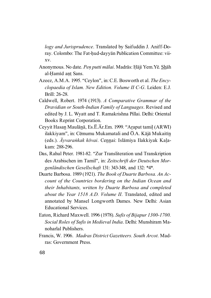*logy and Jurisprudence*. Translated by Saifuddin J. Aniff-Doray. Colombo: The Fat-hud-dayyan Publication Committee: viixv.

- Anonymous. No date. *Pen putti mālai*. Madrās: Ḥājī Yem.Yē. Shāh al-Hamīd ant Sans.
- Azeez, A.M.A. 1995. "Ceylon", in: C.E. Bosworth et al. *The Encyclopaedia of Islam. New Edition. Volume II C-G*. Leiden: E.J. Brill: 26-28.
- Caldwell, Robert. 1974 (1913). *A Comparative Grammar of the Dravidian or South-Indian Family of Languages*. Revised and edited by J. L. Wyatt and T. Ramakrishna Pillai. Delhi: Oriental Books Reprint Corporation.
- Ceyyit Hasan Maulānā, Es. $\overline{E}$ .  $\overline{A}$ r. Em. 1999. "Araput tamil (ARWI) ilakkiyam", in: Cēmumu Mukamatali and  $\overline{O}A$ . Kājā Mukaitīn (eds.). *Ayvarankak kōvai*. Cennai: Islāmiya Ilakkiyak Kalakam: 288-296.
- Das, Rahul Peter. 1981-82. "Zur Transliteration und Transkription des Arabischen im Tamil", in: *Zeitschrift der Deutschen Morgenländischen Gesellschaft* 131: 343-348, and 132: \*4\*.
- Duarte Barbosa. 1989 (1921). *The Book of Duarte Barbosa. An Account of the Countries bordering on the Indian Ocean and their Inhabitants, written by Duarte Barbosa and completed about the Year 1518 A.D. Volume II*. Translated, edited and annotated by Mansel Longworth Dames. New Delhi: Asian Educational Services.
- Eaton, Richard Maxwell. 1996 (1978). *Sufis of Bijapur 1300-1700. Social Roles of Sufis in Medieval India*. Delhi: Munshiram Manoharlal Publishers.
- Francis, W. 1906. *Madras District Gazetteers. South Arcot*. Madras: Government Press.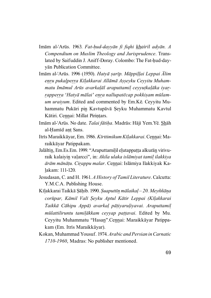- Im¢m al-©Ar¦s. 1963. *Fat-Àud-dayy¢n fi fiqhi k\_h\_airil ady¢n. A Compendium on Muslim Theology and Jurisprudence*. Translated by Saifuddin J. Aniff-Doray. Colombo: The Fat-hud-dayyān Publication Committee.
- Imām al-ʿArūs. 1996 (1950). *Hatyā sarīp. Māppiļļai Leppai Ālim ez|u puka{pe||a K¤{akkarai All¢m¢ A¼¼eyku Ceyyitu Muhammatu Imāmul Arūs avarkaļāl araputtamil ceyyutkaļāka iyar-|appe||a 'Haty¢ m¢lai' ez|a nallupat£cap pokki¼am m¦lamum uraiyum*. Edited and commented by Em.Ke. Ceyyitu Muhammatu Pukāri pin Kavtupāvā Şeyku Muhammatu Kavtul Kātiri. Cennai: Millat Pirintars.
- Imām al-ʿArūs. No date. *Talai fātiha*. Madrās: Hājī Yem.Yē. Shāh al-Hamīd ant Sans.
- Itrīs Maraikkāyar, Em. 1986. Kīrttimikum Kīlakkarai. Cennai: Maraikkāyar Patippakam.
- Jalāltīn, Em.Es.Em. 1999. "Araputtamilil elutappatta alkurān virivuraik kalaiyin vaļarcci", in: *Akila ulaka islāmiyat tamil ilakkiya ārām mānāțu. Cirappu malar. Cennai: Islāmiya Ilakkiyak Ka-*{akam: 111-120.
- Jesudasan, C. and H. 1961. *A History of Tamil Literature*. Calcutta: Y.M.C.A. Publishing House.
- Kīlakkarai Taikkā Şāḥib. 1990. *Suaputtīn mālaikaļ 20. Meyññāna cor¦par, K¢mil Val¤ Ìeyku Aptul K¢tir Leppai (K¤{akkarai* Taikkā Cāhipu Appā) avarkaļ pāțiyaruļiyavai. Araputtamil *mūlattiliruntu tamilākkam ceyyap pattavai*. Edited by Mu. Ceyyitu Muhammatu "Hasan".Cennai: Maraikkāyar Patippakam (Em. Itrīs Maraikkāyar).
- Kokan, Muhammad Yousuf. 1974. *Arabic and Persian in Carnatic 1710-1960*, Madras: No publisher mentioned.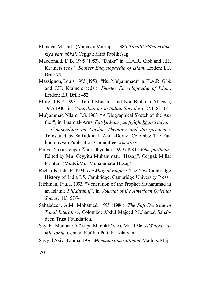- Manavai Mustafa (Ma½avai Mustap¢). 1986. *Tami{il isl¢miya ilakkiya vativankal*. Cennai: Mīrā Paplikēsan.
- Macdonald, D.B. 1995 (1953). "D\_h\_ikr" in: H.A.R. Gibb and J.H. Kramers (eds.). *Shorter Encyclopaedia of Islam*. Leiden: E.J. Brill: 75.
- Massignon, Louis. 1995 (1953). "Nūr Muḥammadī" in: H.A.R. Gibb and J.H. Kramers (eds.). *Shorter Encyclopaedia of Islam*. Leiden: E.J. Brill: 452.
- More, J.B.P. 1993. "Tamil Muslims and Non-Brahmin Atheists, 1925-1940" in: *Contributions to Indian Sociology* 27.1: 83-104.
- Muhammad Nilām, I.S. 1963. "A Biographical Sketch of the Author", in: Im¢m al-©Ar¦s. *Fat-Àud-dayy¢n fi fiqhi k\_h\_airil ady¢n. A Compendium on Muslim Theology and Jurisprudence*. Translated by Saifuddin J. Aniff-Doray. Colombo: The Fat-Àud-dayy¢n Publication Committee: xix-xxxvi.
- Periya Nūku Leppai Ālim Oliyullāh. 1999 (1984). *Vēta purānam*. Edited by Mu. Ceyyitu Muhammatu "Hasan". Cennai: Millat Pirintars (Mu.Ki.Mu. Muhammatu Hasan).
- Richards, John F. 1993. *The Mughal Empire*. The New Cambridge History of India I.5. Cambridge: Cambridge University Press.
- Richman, Paula. 1993. "Veneration of the Prophet Muhammad in an Islamic *Pillaittamil*", in: *Journal of the American Oriental Society* 113: 57-74.
- Sahabdeen, A.M. Mohamed. 1995 (1986). *The Sufi Doctrine in Tamil Literature*. Colombo: Abdul Majeed Mohamed Sahabdeen Trust Foundation.
- Sayabu Maraicar (Cāyapu Maraikkāyar), Mu. 1996. *Islāmiyar tamilt tontu.* Cennai: Kankai Puttaka Nilaiyam.
- Sayyid Āsiya Ummā. 1976. *Meññāna tīpa rattinam*. Madrās: Majī-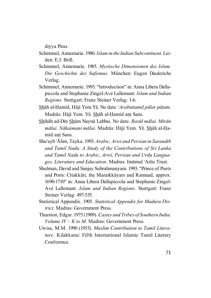diyya Piras.

- Schimmel, Annemarie. 1980. *Islam in the Indian Subcontinent*. Leiden: E.J. Brill.
- Schimmel, Annemarie. 1985. *Mystische Dimensionen des Islam. Die Geschichte des Sufismus*. München: Eugen Diederichs Verlag.
- Schimmel, Annemarie. 1993. "Introduction" in: Anna Libera Dallapiccola and Stephanie Zingel-Avé Lallemant. *Islam and Indian Regions*. Stuttgart: Franz Steiner Verlag: 1-6.
- Shāh al-Hamīd, Hājī Yem.Yē. No date. *<sup><i>Arabuttamil pālar pātam*.</sup> Madrās: Hājī Yem. Yē. Shāh al-Ḥamīd aṇṭ Sans.
- S\_h\_ih¢b ad-D¤n S\_h\_¢m Nayn¢ Labbai. No date. *Ras¦l m¢lai. M¤r¢n mālai. Nākaimani mālai.* Madrās: Hājī Yem. Yē. Shāh al-Hamīd ant Sans.
- Shu'ayb ©¨lim, Tayka. 1993. *Arabic, Arwi and Persian in Sarandib and Tamil Nadu. A Study of the Contributions of Sri Lanka and Tamil Nadu to Arabic, Arwi, Persian and Urdu Langua*ges, Literature and Education. Madras: Imāmul 'Arūs Trust.
- Shulman, David and Sanjay Subrahmanyam. 1993. "Prince of Poets and Ports: Cītakkāti, the Maraikkāyars and Ramnad, approx. 1690-1710" in: Anna Libera Dallapiccola and Stephanie Zingel-Avé Lallemant. *Islam and Indian Regions*. Stuttgart: Franz Steiner Verlag: 497-535.
- Statistical Appendix. 1905. *Statistical Appendix for Madura District*. Madras: Government Press.
- Thurston, Edgar. 1975 (1909). *Castes and Tribes of Southern India. Volume IV – K to M.* Madras: Government Press.
- Uwise, M.M. 1990 (1953). *Muslim Contribution to Tamil Literature*. Kilakkarai: Fifth International Islamic Tamil Literary Conference.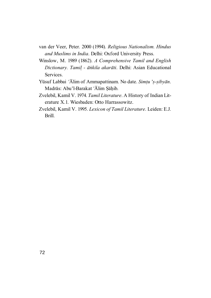- van der Veer, Peter. 2000 (1994). *Religious Nationalism. Hindus and Muslims in India*. Delhi: Oxford University Press.
- Winslow, M. 1989 (1862). *A Comprehensive Tamil and English Dictionary. Tamil - āñkila akarāti. Delhi: Asian Educational* Services.
- Yūsuf Labbai 'Ālim of Ammapattinam. No date. *Simțu 'ș-șibyān*. Madrās: Abu'l-Barakat 'Ālim Şāhib.
- Zvelebil, Kamil V. 1974. *Tamil Literature*. A History of Indian Literature X.1. Wiesbaden: Otto Harrassowitz.
- Zvelebil, Kamil V. 1995. *Lexicon of Tamil Literature*. Leiden: E.J. Brill.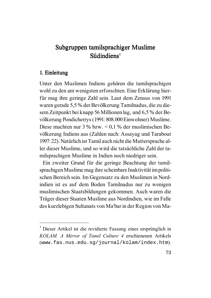# Subgruppen tamilsprachiger Muslime  $Südindiens<sup>1</sup>$

#### 1. Einleitung

Unter den Muslimen Indiens gehören die tamilsprachigen wohl zu den am wenigsten erforschten. Eine Erklärung hierfür mag ihre geringe Zahl sein. Laut dem Zensus von 1991 waren gerade 5,5 % der Bevölkerung Tamilnadus, die zu diesem Zeitpunkt bei knapp 56 Millionen lag, und 6,5 % der Bevölkerung Pondicherrys (1991: 808.000 Einwohner) Muslime. Diese machten nur 3 % bzw. < 0,1 % der muslimischen Bevölkerung Indiens aus (Zahlen nach: Assayag und Tarabout 1997: 22). Natürlich ist Tamil auch nicht die Muttersprache aller dieser Muslime, und so wird die tatsächliche Zahl der tamilsprachigen Muslime in Indien noch niedriger sein.

Ein zweiter Grund für die geringe Beachtung der tamilsprachigen Muslime mag ihre scheinbare Inaktivität im politischen Bereich sein. Im Gegensatz zu den Muslimen in Nordindien ist es auf dem Boden Tamilnadus nur zu wenigen muslimischen Staatsbildungen gekommen. Auch waren die Träger dieser Staaten Muslime aus Nordindien, wie im Falle des kurzlebigen Sultanats von Ma©bar in der Region von Ma-

<sup>1</sup> Dieser Artikel ist die revidierte Fassung eines ursprünglich in *KOLAM. A Mirror of Tamil Culture 4* erschienenen Artikels (www.fas.nus.edu.sg/journal/kolam/index.htm).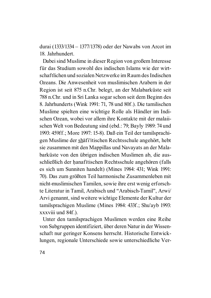durai (1333/1334 – 1377/1378) oder der Nawabs von Arcot im 18. Jahrhundert.

Dabei sind Muslime in dieser Region von großem Interesse für das Studium sowohl des indischen Islams wie der wirtschaftlichen und sozialen Netzwerke im Raum des Indischen Ozeans. Die Anwesenheit von muslimischen Arabern in der Region ist seit 875 n.Chr. belegt, an der Malabarküste seit 788 n.Chr. und in Sri Lanka sogar schon seit dem Beginn des 8. Jahrhunderts (Wink 1991: 71, 78 und 80f.). Die tamilischen Muslime spielten eine wichtige Rolle als Händler im Indischen Ozean, wobei vor allem ihre Kontakte mit der malaiischen Welt von Bedeutung sind (ebd.: 79; Bayly 1989: 74 und 1993: 459ff.; More 1997: 15-8). Daß ein Teil der tamilsprachigen Muslime der shāfi°itischen Rechtsschule angehört, hebt sie zusammen mit den Mappillas und Navayats an der Malabarküste von den übrigen indischen Muslimen ab, die ausschließlich der hanafītischen Rechtsschule angehören (falls es sich um Sunniten handelt) (Mines 1984: 431; Wink 1991: 70). Das zum größten Teil harmonische Zusammenleben mit nicht-muslimischen Tamilen, sowie ihre erst wenig erforschte Literatur in Tamil, Arabisch und "Arabisch-Tamil", Arwi/ Arvi genannt, sind weitere wichtige Elemente der Kultur der tamilsprachigen Muslime (Mines 1984: 433f.; Shu'ayb 1993: xxxviii und 84f.).

Unter den tamilsprachigen Muslimen werden eine Reihe von Subgruppen identifiziert, über deren Natur in der Wissenschaft nur geringer Konsens herrscht. Historische Entwicklungen, regionale Unterschiede sowie unterschiedliche Ver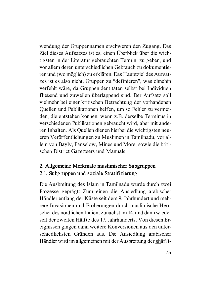wendung der Gruppennamen erschweren den Zugang. Das Ziel dieses Aufsatzes ist es, einen Überblick über die wichtigsten in der Literatur gebrauchten Termini zu geben, und vor allem deren unterschiedlichen Gebrauch zu dokumentieren und (wo möglich) zu erklären. Das Hauptziel des Aufsatzes ist es also nicht, Gruppen zu "definieren", was ohnehin verfehlt wäre, da Gruppenidentitäten selbst bei Individuen fließend und zuweilen überlappend sind. Der Aufsatz soll vielmehr bei einer kritischen Betrachtung der vorhandenen Quellen und Publikationen helfen, um so Fehler zu vermeiden, die entstehen können, wenn z.B. derselbe Terminus in verschiedenen Publikationen gebraucht wird, aber mit anderen Inhalten. Als Quellen dienen hierbei die wichtigsten neueren Veröffentlichungen zu Muslimen in Tamilnadu, vor allem von Bayly, Fanselow, Mines und More, sowie die britischen District Gazetteers und Manuals.

### 2. Allgemeine Merkmale muslimischer Subgruppen 2. Allgemeine Subgruppen 2.1. Subgruppen und soziale Stratifizierung

Die Ausbreitung des Islam in Tamilnadu wurde durch zwei Prozesse geprägt: Zum einen die Ansiedlung arabischer Händler entlang der Küste seit dem 9. Jahrhundert und mehrere Invasionen und Eroberungen durch muslimische Herrscher des nördlichen Indien, zunächst im 14. und dann wieder seit der zweiten Hälfte des 17. Jahrhunderts. Von diesen Ereignissen gingen dann weitere Konversionen aus den unterschiedlichsten Gründen aus. Die Ansiedlung arabischer Händler wird im allgemeinen mit der Ausbreitung der shāfi<sup> $\bar{c}$ -</sup>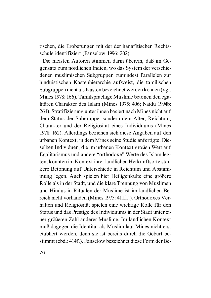tischen, die Eroberungen mit der der hanafītischen Rechtsschule identifiziert (Fanselow 1996: 202).

Die meisten Autoren stimmen darin überein, daß im Gegensatz zum nördlichen Indien, wo das System der verschiedenen muslimischen Subgruppen zumindest Parallelen zur hinduistischen Kastenhierarchie aufweist, die tamilischen Subgruppen nicht als Kasten bezeichnet werden können (vgl. Mines 1978: 166). Tamilsprachige Muslime betonen den egalitären Charakter des Islam (Mines 1975: 406; Naidu 1994b: 264). Stratifizierung unter ihnen basiert nach Mines nicht auf dem Status der Subgruppe, sondern dem Alter, Reichtum, Charakter und der Religiösität eines Individuums (Mines 1978: 162). Allerdings beziehen sich diese Angaben auf den urbanen Kontext, in dem Mines seine Studie anfertigte. Dieselben Individuen, die im urbanen Kontext großen Wert auf Egalitarismus und andere "orthodoxe" Werte des Islam legten, konnten im Kontext ihrer ländlichen Herkunftsorte stärkere Betonung auf Unterschiede in Reichtum und Abstammung legen. Auch spielen hier Heiligenkulte eine größere Rolle als in der Stadt, und die klare Trennung von Muslimen und Hindus in Ritualen der Muslime ist im ländlichen Bereich nicht vorhanden (Mines 1975: 411ff.). Orthodoxes Verhalten und Religiösität spielen eine wichtige Rolle für den Status und das Prestige des Individuums in der Stadt unter einer größeren Zahl anderer Muslime. Im ländlichen Kontext muß dagegen die Identität als Muslim laut Mines nicht erst etabliert werden, denn sie ist bereits durch die Geburt bestimmt (ebd.: 414f.). Fanselow bezeichnet diese Form der Be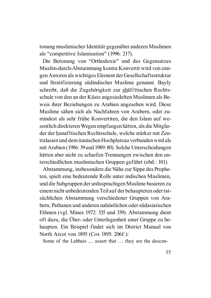tonung muslimischer Identität gegenüber anderen Muslimen als "competitive Islamisation" (1996: 217).

Die Betonung von "Orthodoxie" und des Gegensatzes Muslim-durch-Abstammung kontra Konvertit wird von einigen Autoren als wichtiges Element der Gesellschaftsstruktur und Stratifizierung südindischer Muslime genannt. Bayly schreibt, daß die Zugehörigkeit zur shāfi°itischen Rechtsschule von den an der Küste angesiedelten Muslimen als Beweis ihrer Beziehungen zu Arabien angesehen wird. Diese Muslime sähen sich als Nachfahren von Arabern, oder zumindest als sehr frühe Konvertiten, die den Islam auf wesentlich direkteren Wegen empfangen hätten, als die Mitglieder der hanafītischen Rechtsschule, welche stärker mit Zentralasien und dem iranischen Hochplateau verbunden wird als mit Arabien (1986: 39 und 1989: 80). Solche Unterscheidungen hätten aber nicht zu scharfen Trennungen zwischen den unterschiedlichen muslimischen Gruppen geführt (ebd.: 101).

Abstammung, insbesondere die Nähe zur Sippe des Propheten, spielt eine bedeutende Rolle unter indischen Muslimen, und die Subgruppen der urdusprachigen Muslime basieren zu einem nicht unbedeutenden Teil auf der behaupteten oder tatsächlichen Abstammung verschiedener Gruppen von Arabern, Pathanen und anderen nahöstlichen oder südasiatischen Ethnien (vgl. Mines 1972: 335 und 339). Abstammung dient oft dazu, die Über- oder Unterlegenheit einer Gruppe zu behaupten. Ein Beispiel findet sich im District Manual von North Arcot von 1895 (Cox 1895: 206f.):

Some of the Labbais … assert that … they are the descen-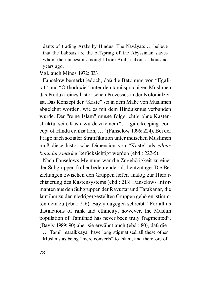dants of trading Arabs by Hindus. The Naváyats … believe that the Labbais are the offspring of the Abyssinian slaves whom their ancestors brought from Arabia about a thousand years ago.

Vgl. auch Mines 1972: 333.

Fanselow bemerkt jedoch, daß die Betonung von "Egalität" und "Orthodoxie" unter den tamilsprachigen Muslimen das Produkt eines historischen Prozesses in der Kolonialzeit ist. Das Konzept der "Kaste" sei in dem Maße von Muslimen abgelehnt worden, wie es mit dem Hinduismus verbunden wurde. Der "reine Islam" mußte folgerichtig ohne Kastenstruktur sein, Kaste wurde zu einem "… 'gate-keeping' concept of Hindu civilisation, …" (Fanselow 1996: 224). Bei der Frage nach sozialer Stratifikation unter indischen Muslimen muß diese historische Dimension von "Kaste" als *ethnic boundary marker* berücksichtigt werden (ebd.: 222-5).

Nach Fanselows Meinung war die Zugehörigkeit zu einer der Subgruppen früher bedeutender als heutzutage. Die Beziehungen zwischen den Gruppen liefen analog zur Hierarchisierung des Kastensystems (ebd.: 213). Fanselows Informanten aus den Subgruppen der Ravuttar und Tarakanar, die laut ihm zu den niedrigergestellten Gruppen gehören, stimmten dem zu (ebd.: 216). Bayly dagegen schreibt: "For all its distinctions of rank and ethnicity, however, the Muslim population of Tamilnad has never been truly fragmented", (Bayly 1989: 90) aber sie erwähnt auch (ebd.: 80), daß die

… Tamil maraikkayar have long stigmatised all these other Muslims as being "mere converts" to Islam, and therefore of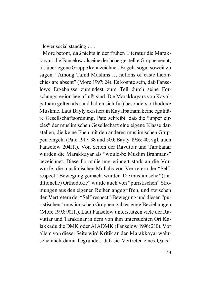lower social standing … .

More betont, daß nichts in der frühen Literatur die Marakkayar, die Fanselow als eine der höhergestellte Gruppe nennt, als überlegene Gruppe kennzeichnet. Er geht sogar soweit zu sagen: "Among Tamil Muslims … notions of caste hierarchies are absent" (More 1997: 24). Es könnte sein, daß Fanselows Ergebnisse zumindest zum Teil durch seine Forschungsregion beeinflußt sind. Die Marakkayars von Kayalpatnam gelten als (und halten sich für) besonders orthodoxe Muslime. Laut Bayly existiert in Kayalpatnam keine egalitäre Gesellschaftsordnung. Pate schreibt, daß die "upper circles" der muslimischen Gesellschaft eine eigene Klasse darstellen, die keine Ehen mit den anderen muslimischen Gruppen eingeht (Pate 1917: 98 und 500; Bayly 1986: 40; vgl. auch Fanselow 204ff.). Von Seiten der Ravuttar und Tarakanar wurden die Marakkayar als "would-be Muslim Brahmans" bezeichnet. Diese Formulierung erinnert stark an die Vorwürfe, die muslimischen Mullahs von Vertretern der "Selfrespect"-Bewegung gemacht wurden. Die muslimische "(traditionelle) Orthodoxie" wurde auch von "puristischen" Strömungen aus den eigenen Reihen angegriffen, und zwischen den Vertretern der "Self-respect"-Bewegung und diesen "puristischen" muslimischen Gruppen gab es enge Beziehungen (More 1993: 90ff.). Laut Fanselow unterstützen viele der Ravuttar und Tarakanar in dem von ihm untersuchten Ort Kalakkadu die DMK oder AIADMK (Fanselow 1996: 210). Vor allem von dieser Seite wird Kritik an den Marakkayar wahrscheinlich damit begründet, daß sie Vertreter eines Quasi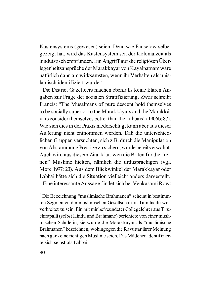Kastensystems (gewesen) seien. Denn wie Fanselow selber gezeigt hat, wird das Kastensystem seit der Kolonialzeit als hinduistisch empfunden. Ein Angriff auf die religiösen Überlegenheitsansprüche der Marakkayar von Kayalpatnam wäre natürlich dann am wirksamsten, wenn ihr Verhalten als unislamisch identifiziert würde.<sup>2</sup>

Die District Gazetteers machen ebenfalls keine klaren Angaben zur Frage der sozialen Stratifizierung. Zwar schreibt Francis: "The Musalmans of pure descent hold themselves to be socially superior to the Marakkáyars and the Marakkáyars consider themselves better than the Labbais" (1906b: 87). Wie sich dies in der Praxis niederschlug, kann aber aus dieser Äußerung nicht entnommen werden. Daß die unterschiedlichen Gruppen versuchten, sich z.B. durch die Manipulation von Abstammung Prestige zu sichern, wurde bereits erwähnt. Auch wird aus diesem Zitat klar, wen die Briten für die "reinen" Muslime hielten, nämlich die urdusprachigen (vgl. More 1997: 23). Aus dem Blickwinkel der Marakkayar oder Labbai hätte sich die Situation vielleicht anders dargestellt.

Eine interessante Aussage findet sich bei Venkasami Row:

<sup>&</sup>lt;sup>2</sup> Die Bezeichnung "muslimische Brahmanen" scheint in bestimmten Segmenten der muslimischen Gesellschaft in Tamilnadu weit verbreitet zu sein. Ein mit mir befreundeter Collegelehrer aus Tiruchirapalli (selbst Hindu und Brahmane) berichtete von einer muslimischen Schülerin, sie würde die Marakkayar als "muslimische Brahmanen" bezeichnen, wohingegen die Ravuttar ihrer Meinung nach gar keine richtigen Muslime seien. Das Mädchen identifizierte sich selbst als Labbai.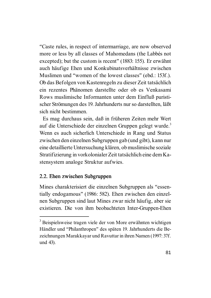"Caste rules, in respect of intermarriage, are now observed more or less by all classes of Mahomedans (the Labbés not excepted); but the custom is recent" (1883: 155). Er erwähnt auch häufige Ehen und Konkubinatsverhältnisse zwischen Muslimen und "women of the lowest classes" (ebd.: 153f.). Ob das Befolgen von Kastenregeln zu dieser Zeit tatsächlich ein rezentes Phänomen darstellte oder ob es Venkasami Rows muslimische Informanten unter dem Einfluß puristischer Strömungen des 19. Jahrhunderts nur so darstellten, läßt sich nicht bestimmen.

Es mag durchaus sein, daß in früheren Zeiten mehr Wert auf die Unterschiede der einzelnen Gruppen gelegt wurde.<sup>3</sup> Wenn es auch sicherlich Unterschiede in Rang und Status zwischen den einzelnen Subgruppen gab (und gibt), kann nur eine detaillierte Untersuchung klären, ob muslimische soziale Stratifizierung in vorkolonialer Zeit tatsächlich eine dem Kastensystem analoge Struktur aufwies.

#### 2.2. Ehen zwischen Subgruppen

Mines charakterisiert die einzelnen Subgruppen als "essentially endogamous" (1986: 582). Ehen zwischen den einzelnen Subgruppen sind laut Mines zwar nicht häufig, aber sie existieren. Die von ihm beobachteten Inter-Gruppen-Ehen

<sup>&</sup>lt;sup>3</sup> Beispielsweise tragen viele der von More erwähnten wichtigen Händler und "Philanthropen" des späten 19. Jahrhunderts die Bezeichnungen Marakkayar und Ravuttar in ihren Namen (1997: 37f. und 43).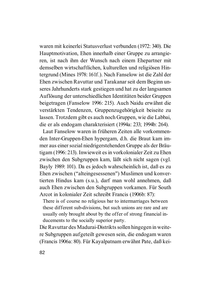waren mit keinerlei Statusverlust verbunden (1972: 340). Die Hauptmotivation, Ehen innerhalb einer Gruppe zu arrangieren, ist nach ihm der Wunsch nach einem Ehepartner mit demselben wirtschaftlichen, kulturellen und religiösen Hintergrund (Mines 1978: 161f.). Nach Fanselow ist die Zahl der Ehen zwischen Ravuttar und Tarakanar seit dem Beginn unseres Jahrhunderts stark gestiegen und hat zu der langsamen Auflösung der unterschiedlichen Identitäten beider Gruppen beigetragen (Fanselow 1996: 215). Auch Naidu erwähnt die verstärkten Tendenzen, Gruppenzugehörigkeit beiseite zu lassen. Trotzdem gibt es auch noch Gruppen, wie die Labbai, die er als endogam charakterisiert (1994a: 233; 1994b: 264).

Laut Fanselow waren in früheren Zeiten alle vorkommenden Inter-Gruppen-Ehen hypergam, d.h. die Braut kam immer aus einer sozial niedrigerstehenden Gruppe als der Bräutigam (1996: 213). Inwieweit es in vorkolonialer Zeit zu Ehen zwischen den Subgruppen kam, läßt sich nicht sagen (vgl. Bayly 1989: 101). Da es jedoch wahrscheinlich ist, daß es zu Ehen zwischen ("alteingesessenen") Muslimen und konvertierten Hindus kam (s.u.), darf man wohl annehmen, daß auch Ehen zwischen den Subgruppen vorkamen. Für South Arcot in kolonialer Zeit schreibt Francis (1906b: 87):

There is of course no religious bar to intermarriages between these different sub-divisions, but such unions are rare and are usually only brought about by the offer of strong financial inducements to the socially superior party.

Die Ravuttar des Madurai-Distrikts sollen hingegen in weitere Subgruppen aufgeteilt gewesen sein, die endogam waren (Francis 1906a: 80). Für Kayalpatnam erwähnt Pate, daß kei-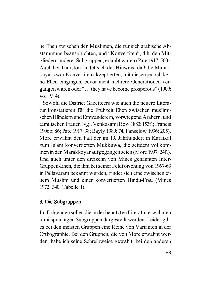ne Ehen zwischen den Muslimen, die für sich arabische Abstammung beanspruchten, und "Konvertiten", d.h. den Mitgliedern anderer Subgruppen, erlaubt waren (Pate 1917: 500). Auch bei Thurston findet sich der Hinweis, daß die Marakkayar zwar Konvertiten akzeptierten, mit diesen jedoch keine Ehen eingingen, bevor nicht mehrere Generationen vergangen waren oder "… they have become prosperous" (1909: vol. V 4).

Sowohl die District Gazetteers wie auch die neuere Literatur konstatieren für die Frühzeit Ehen zwischen muslimischen Händlern und Einwanderern, vorwiegend Arabern, und tamilischen Frauen (vgl. Venkasami Row 1883: 153f.; Francis 1906b: 86; Pate 1917: 98; Bayly 1989: 74; Fanselow 1996: 205). More erwähnt den Fall der im 19. Jahrhundert in Karaikal zum Islam konvertierten Mukkuwa, die seitdem vollkommen in den Marakkayar aufgegangen seien (More 1997: 24f.). Und auch unter den dreizehn von Mines genannten Inter-Gruppen-Ehen, die ihm bei seiner Feldforschung von 1967-69 in Pallavaram bekannt wurden, findet sich eine zwischen einem Muslim und einer konvertierten Hindu-Frau (Mines 1972: 340, Tabelle 1).

#### 3. Die Subgruppen

Im Folgenden sollen die in der benutzten Literatur erwähnten tamilsprachigen Subgruppen dargestellt werden. Leider gibt es bei den meisten Gruppen eine Reihe von Varianten in der Orthographie. Bei den Gruppen, die von More erwähnt werden, habe ich seine Schreibweise gewählt, bei den anderen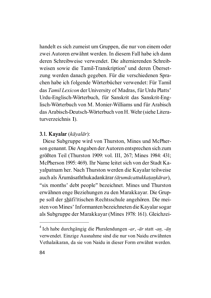handelt es sich zumeist um Gruppen, die nur von einem oder zwei Autoren erwähnt werden. In diesem Fall habe ich dann deren Schreibweise verwendet. Die alternierenden Schreibweisen sowie die Tamil-Transkription<sup>4</sup> und deren Übersetzung werden danach gegeben. Für die verschiedenen Sprachen habe ich folgende Wörterbücher verwendet: Für Tamil das *Tamil Lexicon* der University of Madras, für Urdu Platts' Urdu-Englisch-Wörterbuch, für Sanskrit das Sanskrit-Englisch-Wörterbuch von M. Monier-Williams und für Arabisch das Arabisch-Deutsch-Wörterbuch von H. Wehr (siehe Literaturverzeichnis 1).

#### 3.1. Kayalar ( Kayalar *k¢yal¢r*):

Diese Subgruppe wird von Thurston, Mines und McPherson genannt. Die Angaben der Autoren entsprechen sich zum größten Teil (Thurston 1909: vol. III, 267; Mines 1984: 431; McPherson 1995: 469). Ihr Name leitet sich von der Stadt Kayalpatnam her. Nach Thurston werden die Kayalar teilweise auch als Ārumāsaththukadankārar *(ārumācattukkatankārar*), "six months' debt people" bezeichnet. Mines und Thurston erwähnen enge Beziehungen zu den Marakkayar. Die Gruppe soll der shafi<sup>c</sup>itischen Rechtsschule angehören. Die meisten von Mines' Informanten bezeichneten die Kayalar sogar als Subgruppe der Marakkayar (Mines 1978: 161). Gleichzei-

<sup>&</sup>lt;sup>4</sup> Ich habe durchgängig die Pluralendungen *-ar*, *-ār* statt *-an*, *-ān* verwendet. Einzige Ausnahme sind die nur von Naidu erwähnten Vethalaikaran, da sie von Naidu in dieser Form erwähnt werden.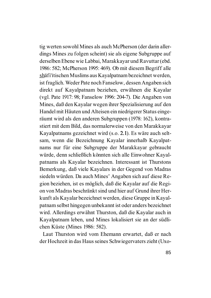tig werten sowohl Mines als auch McPherson (der darin allerdings Mines zu folgen scheint) sie als eigene Subgruppe auf derselben Ebene wie Labbai, Marakkayar und Ravuttar (ebd. 1986: 582; McPherson 1995: 469). Ob mit diesem Begriff alle shāfi<sup> $\tilde{a}$ </sup>tischen Muslims aus Kayalpatnam bezeichnet werden, ist fraglich. Weder Pate noch Fanselow, dessen Angaben sich direkt auf Kayalpatnam beziehen, erwähnen die Kayalar (vgl. Pate 1917: 98; Fanselow 1996: 204-7). Die Angaben von Mines, daß den Kayalar wegen ihrer Spezialisierung auf den Handel mit Häuten und Alteisen ein niedrigerer Status eingeräumt wird als den anderen Subgruppen (1978: 162), kontrastiert mit dem Bild, das normalerweise von den Marakkayar Kayalpatnams gezeichnet wird (s.o. 2.1). Es wäre auch seltsam, wenn die Bezeichnung Kayalar innerhalb Kayalpatnams nur für eine Subgruppe der Marakkayar gebraucht würde, denn schließlich könnten sich alle Einwohner Kayalpatnams als Kayalar bezeichnen. Interessant ist Thurstons Bemerkung, daß viele Kayalars in der Gegend von Madras siedeln würden. Da auch Mines' Angaben sich auf diese Region beziehen, ist es möglich, daß die Kayalar auf die Region von Madras beschränkt sind und hier auf Grund ihrer Herkunft als Kayalar bezeichnet werden, diese Gruppe in Kayalpatnam selbst hingegen unbekannt ist oder anders bezeichnet wird. Allerdings erwähnt Thurston, daß die Kayalar auch in Kayalpatnam leben, und Mines lokalisiert sie an der südlichen Küste (Mines 1986: 582).

Laut Thurston wird vom Ehemann erwartet, daß er nach der Hochzeit in das Haus seines Schwiegervaters zieht (Uxo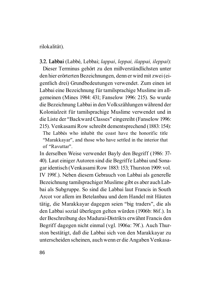rilokalität).

3.2. Labbai 3.2. Labbai (Labbé, Lebbai; *lappai*, *leppai, ilappai, ileppai*):

Dieser Terminus gehört zu den mißverständlichsten unter den hier erörterten Bezeichnungen, denn er wird mit zwei (eigentlich drei) Grundbedeutungen verwendet. Zum einen ist Labbai eine Bezeichnung für tamilsprachige Muslime im allgemeinen (Mines 1984: 431; Fanselow 1996: 215). So wurde die Bezeichnung Labbai in den Volkszählungen während der Kolonialzeit für tamilsprachige Muslime verwendet und in die Liste der "Backward Classes" eingereiht (Fanselow 1996: 215). Venkasami Row schreibt dementsprechend (1883: 154): The Labbés who inhabit the coast have the honorific title "Marakkayar", and those who have settled in the interior that of "Ravuttar".

In derselben Weise verwendet Bayly den Begriff (1986: 37- 40). Laut einiger Autoren sind die Begriffe Labbai und Sonagar identisch (Venkasami Row 1883: 153; Thurston 1909: vol. IV 199f.). Neben diesem Gebrauch von Labbai als generelle Bezeichnung tamilsprachiger Muslime gibt es aber auch Labbai als Subgruppe. So sind die Labbai laut Francis in South Arcot vor allem im Betelanbau und dem Handel mit Häuten tätig, die Marakkayar dagegen seien "big traders", die als den Labbai sozial überlegen gelten würden (1906b: 86f.). In der Beschreibung des Madurai-Distrikts erwähnt Francis den Begriff dagegen nicht einmal (vgl. 1906a: 79f.). Auch Thurston bestätigt, daß die Labbai sich von den Marakkayar zu unterscheiden scheinen, auch wenn er die Angaben Venkasa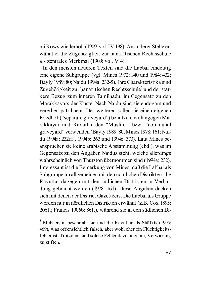mi Rows wiederholt (1909: vol. IV 198). An anderer Stelle erwähnt er die Zugehörigkeit zur hanafītischen Rechtsschule als zentrales Merkmal (1909: vol. V 4).

In den meisten neueren Texten sind die Labbai eindeutig eine eigene Subgruppe (vgl. Mines 1972: 340 und 1984: 432; Bayly 1989: 80; Naidu 1994a: 232-5). Ihre Charakteristika sind Zugehörigkeit zur hanafītischen Rechtsschule<sup>5</sup> und der stärkere Bezug zum inneren Tamilnadu, im Gegensatz zu den Marakkayars der Küste. Nach Naidu sind sie endogam und vererben patrilinear. Des weiteren sollen sie einen eigenen Friedhof ("separate graveyard") benutzen, wohingegen Marakkayar und Ravuttar den "Muslim-" bzw. "communal graveyard" verwenden (Bayly 1989: 80; Mines 1978: 161; Naidu 1994a: 232ff., 1994b: 263 und 1994c: 373). Laut Mines beanspruchen sie keine arabische Abstammung (ebd.), was im Gegensatz zu den Angaben Naidus steht, welche allerdings wahrscheinlich von Thurston übernommen sind (1994a: 232). Interessant ist die Bemerkung von Mines, daß die Labbai als Subgruppe im allgemeinen mit den nördlichen Distrikten, die Ravuttar dagegen mit den südlichen Distrikten in Verbindung gebracht werden (1978: 161). Diese Angaben decken sich mit denen der District Gazetteers. Die Labbai als Gruppe werden nur in nördlichen Distrikten erwähnt (z.B. Cox 1895: 206f.; Francis 1906b: 86f.), während sie in den südlichen Di-

 $<sup>5</sup>$  McPherson beschreibt sie und die Ravuttar als  $\frac{Sh}{\tilde{a}}$ fi<sup>ci</sup>is (1995:</sup> 469), was offensichtlich falsch, aber wohl eher ein Flüchtigkeitsfehler ist. Trotzdem sind solche Fehler dazu angetan, Verwirrung zu stiften.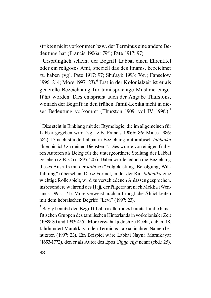strikten nicht vorkommen bzw. der Terminus eine andere Bedeutung hat (Francis 1906a: 79f.; Pate 1917: 97).

Ursprünglich scheint der Begriff Labbai einen Ehrentitel oder ein religöses Amt, speziell das des Imams, bezeichnet zu haben (vgl. Pate 1917: 97; Shu'ayb 1993: 76f.; Fanselow 1996: 214; More 1997: 23).<sup>6</sup> Erst in der Kolonialzeit ist er als generelle Bezeichnung für tamilsprachige Muslime eingeführt worden. Dies entspricht auch der Angabe Thurstons, wonach der Begriff in den frühen Tamil-Lexika nicht in dieser Bedeutung vorkommt (Thurston 1909: vol IV 199f.).<sup>7</sup>

<sup>6</sup> Dies steht in Einklang mit der Etymologie, die im allgemeinen für Labbai gegeben wird (vgl. z.B. Francis 1906b: 86; Mines 1986: 582). Danach stünde Labbai in Beziehung mit arabisch *labbaika* "hier bin ich! zu deinen Diensten!". Dies wurde von einigen früheren Autoren als Beleg für die untergeordnete Stellung der Labbai gesehen (z.B. Cox 1895: 207). Dabei wurde jedoch die Beziehung dieses Ausrufs mit der *talbiya* ("Folgeleistung, Befolgung, Willfahrung") übersehen. Diese Formel, in der der Ruf *labbaika* eine wichtige Rolle spielt, wird zu verschiedenen Anlässen gesprochen, insbesondere während des Hajj, der Pilgerfahrt nach Mekka (Wensinck 1995: 571). More verweist auch auf mögliche Ählichkeiten mit dem hebräischen Begriff "Levi" (1997: 23).

 $<sup>7</sup>$  Bayly benutzt den Begriff Labbai allerdings bereits für die hana-</sup> fitischen Gruppen des tamilischen Hinterlands in vorkolonialer Zeit (1989: 80 und 1993: 455). More erwähnt jedoch zu Recht, daß im 18. Jahrhundert Marakkayar den Terminus Labbai in ihren Namen benutzten (1997: 23). Ein Beispiel wäre Labbai Nayna Maraikayar (1693-1772), den er als Autor des Epos *Cizza c¤|¢* nennt (ebd.: 25),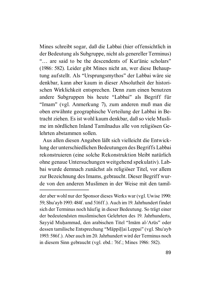Mines schreibt sogar, daß die Labbai (hier offensichtlich in der Bedeutung als Subgruppe, nicht als genereller Terminus) "... are said to be the descendents of Kur'anic scholars" (1986: 582). Leider gibt Mines nicht an, wer diese Behauptung aufstellt. Als "Ursprungsmythos" der Labbai wäre sie denkbar, kann aber kaum in dieser Absolutheit der historischen Wirklichkeit entsprechen. Denn zum einen benutzen andere Subgruppen bis heute "Labbai" als Begriff für "Imam" (vgl. Anmerkung 7), zum anderen muß man die oben erwähnte geographische Verteilung der Labbai in Betracht ziehen. Es ist wohl kaum denkbar, daß so viele Muslime im nördlichen Inland Tamilnadus alle von religiösen Gelehrten abstammen sollen.

Aus allen diesen Angaben läßt sich vielleicht die Entwicklung der unterschiedlichen Bedeutungen des Begriffs Labbai rekonstruieren (eine solche Rekonstruktion bleibt natürlich ohne genaue Untersuchungen weitgehend spekulativ). Labbai wurde demnach zunächst als religiöser Titel, vor allem zur Bezeichnung des Imams, gebraucht. Dieser Begriff wurde von den anderen Muslimen in der Weise mit den tamil-

der aber wohl nur der Sponsor dieses Werks war (vgl. Uwise 1990: 59; Shu'ayb 1993: 484f. und 516ff.). Auch im 19. Jahrhundert findet sich der Terminus noch häufig in dieser Bedeutung. So trägt einer der bedeutendsten muslimischen Gelehrten des 19. Jahrhunderts, Sayyid Muḥammad, den arabischen Titel "Imām al-ʿArūs" oder dessen tamilische Entsprechung "Māppillai Leppai" (vgl. Shu'ayb 1993: 586f.). Aber auch im 20. Jahrhundert wird der Terminus noch in diesem Sinn gebraucht (vgl. ebd.: 76f.; Mines 1986: 582).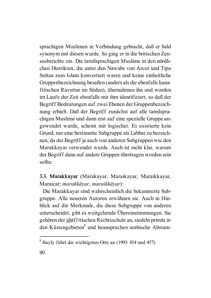sprachigen Muslimen in Verbindung gebracht, daß er bald synonym mit diesen wurde. So ging er in die britischen Zensusberichte ein. Die tamilsprachigen Muslime in den nördlichen Distrikten, die unter den Nawabs von Arcot und Tipu Sultan zum Islam konvertiert waren und keine einheitliche Gruppenbezeichnung besaßen (anders als die ebenfalls Àanafītischen Ravuttar im Süden), übernahmen ihn und wurden im Laufe der Zeit ebenfalls mit ihm identifiziert, so daß der Begriff Bedeutungen auf zwei Ebenen der Gruppenbezeichnung erhielt. Daß der Begriff zunächst auf alle tamilsprachigen Muslime und dann erst auf eine spezielle Gruppe angewendet wurde, scheint mir logischer. Es existierte kein Grund, nur eine bestimmte Subgruppe als Labbai zu bezeichnen, da der Begriff ja auch von anderen Subgruppen wie den Marakkayar verwendet wurde. Auch ist nicht klar, warum der Begriff dann auf andere Gruppen übertragen worden sein sollte.

## 3.3. Marakkayar (Marakayar, Maraikayar, Maraikkayar, Maraicar; *marakk¢yar*, *maraikk¢yar*):

Die Marakkayar sind wahrscheinlich die bekannteste Subgruppe. Alle neueren Autoren erwähnen sie. Auch in Hinblick auf die Merkmale, die diese Subgruppe von anderen unterscheidet, gibt es weitgehende Übereinstimmungen. Sie gehören der shāfi<sup> $\tilde{t}$ </sup>itischen Rechtsschule an, siedeln primär in den Küstengebieten<sup>8</sup> und beanspruchen arabische Abstam-

<sup>&</sup>lt;sup>8</sup> Bayly führt die wichtigsten Orte an (1993: 454 und 457).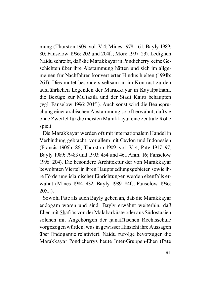mung (Thurston 1909: vol. V 4; Mines 1978: 161; Bayly 1989: 80; Fanselow 1996: 202 und 204f.; More 1997: 23). Lediglich Naidu schreibt, daß die Marakkayar in Pondicherry keine Geschichten über ihre Abstammung hätten und sich im allgemeinen für Nachfahren konvertierter Hindus hielten (1994b: 261). Dies mutet besonders seltsam an im Kontrast zu den ausführlichen Legenden der Marakkayar in Kayalpatnam, die Bezüge zur Mu'tazila und der Stadt Kairo behaupten (vgl. Fanselow 1996: 204f.). Auch sonst wird die Beanspruchung einer arabischen Abstammung so oft erwähnt, daß sie ohne Zweifel für die meisten Marakkayar eine zentrale Rolle spielt.

Die Marakkayar werden oft mit internationalem Handel in Verbindung gebracht, vor allem mit Ceylon und Indonesien (Francis 1906b: 86; Thurston 1909: vol. V 4; Pate 1917: 97; Bayly 1989: 79-83 und 1993: 454 und 461 Anm. 16; Fanselow 1996: 204). Die besondere Architektur der von Marakkayar bewohnten Viertel in ihren Hauptsiedlungsgebieten sowie ihre Förderung islamischer Einrichtungen werden ebenfalls erwähnt (Mines 1984: 432; Bayly 1989: 84f.; Fanselow 1996: 205f.).

Sowohl Pate als auch Bayly geben an, daß die Marakkayar endogam waren und sind. Bayly erwähnt weiterhin, daß Ehen mit Shāfi<sup>°</sup>is von der Malabarküste oder aus Südostasien solchen mit Angehörigen der hanafītischen Rechtsschule vorgezogen würden, was in gewisser Hinsicht ihre Aussagen über Endogamie relativiert. Naidu zufolge bevorzugen die Marakkayar Pondicherrys heute Inter-Gruppen-Ehen (Pate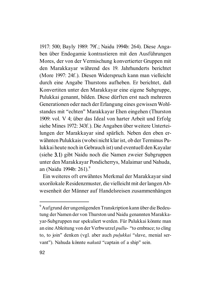1917: 500; Bayly 1989: 79f.; Naidu 1994b: 264). Diese Angaben über Endogamie kontrastieren mit den Ausführungen Mores, der von der Vermischung konvertierter Gruppen mit den Marakkayar während des 19. Jahrhunderts berichtet (More 1997: 24f.). Diesen Widerspruch kann man vielleicht durch eine Angabe Thurstons aufheben. Er berichtet, daß Konvertiten unter den Marakkayar eine eigene Subgruppe, Pulukkai genannt, bilden. Diese dürften erst nach mehreren Generationen oder nach der Erlangung eines gewissen Wohlstandes mit "echten" Marakkayar Ehen eingehen (Thurston 1909: vol. V 4; über das Ideal von harter Arbeit und Erfolg siehe Mines 1972: 343f.). Die Angaben über weitere Unterteilungen der Marakkayar sind spärlich. Neben den eben erwähnten Pulukkais (wobei nicht klar ist, ob der Terminus Pulukkai heute noch in Gebrauch ist) und eventuell den Kayalar (siehe 3.1) gibt Naidu noch die Namen zweier Subgruppen unter den Marakkayar Pondicherrys, Malaimar und Nahuda, an (Naidu 1994b: 261).<sup>9</sup>

Ein weiteres oft erwähntes Merkmal der Marakkayar sind uxorilokale Residenzmuster, die vielleicht mit der langen Abwesenheit der Männer auf Handelsreisen zusammenhängen

 $^{9}$ Aufgrund der ungenügenden Transkription kann über die Bedeutung der Namen der von Thurston und Naidu genannten Marakkayar-Subgruppen nur spekuliert werden. Für Pulukkai könnte man an eine Ableitung von der Verbwurzel *pullu*- "to embrace; to cling to, to join" denken (vgl. aber auch *pu{ukkai* "slave, menial servant"). Nahuda könnte *nakutā* "captain of a ship" sein.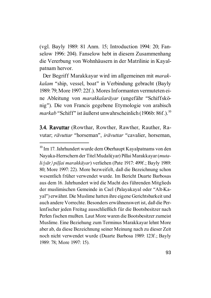(vgl. Bayly 1989: 81 Anm. 15; Introduction 1994: 20; Fanselow 1996: 204). Fanselow hebt in diesem Zusammenhang die Vererbung von Wohnhäusern in der Matrilinie in Kayalpatnam hervor.

Der Begriff Marakkayar wird im allgemeinen mit *marakkalam* "ship, vessel, boat" in Verbindung gebracht (Bayly 1989: 79; More 1997: 22f.). Mores Informanten vermuteten eine Ableitung von *marakkalarāyar* (ungefähr "Schiffskönig"). Die von Francis gegebene Etymologie von arabisch *markab* "Schiff" ist äußerst unwahrscheinlich (1906b: 86f.).<sup>10</sup>

3.4. Ravuttar (Rowthar, Rowther, Rawther, Rauther, Ra vutar; *rāvuttar* "horseman", *irāvuttar* "cavalier, horseman,

<sup>&</sup>lt;sup>10</sup> Im 17. Jahrhundert wurde dem Oberhaupt Kayalpatnams von den Nayaka-Herrschern der Titel Mudali(yar) Pillai Marakkayar (*mutali* $\langle \nu \bar{a}r \rangle$  *pillai marakk* $\bar{a}$ *var*) verliehen (Pate 1917: 499f.; Bayly 1989: 80; More 1997: 22). More bezweifelt, daß die Bezeichnung schon wesentlich früher verwendet wurde. Im Bericht Duarte Barbosas aus dem 16. Jahrhundert wird die Macht des führenden Mitglieds der muslimischen Gemeinde in Cael (Palayakayal oder "Alt-Kayal") erwähnt. Die Muslime hatten ihre eigene Gerichtsbarkeit und auch andere Vorrechte. Besonders erwähnenswert ist, daß die Perlenfischer jeden Freitag ausschließlich für die Bootsbesitzer nach Perlen fischen mußten. Laut More waren die Bootsbesitzer zumeist Muslime. Eine Beziehung zum Terminus Marakkayar lehnt More aber ab, da diese Bezeichnung seiner Meinung nach zu dieser Zeit noch nicht verwendet wurde (Duarte Barbosa 1989: 123f.; Bayly 1989: 78; More 1997: 15).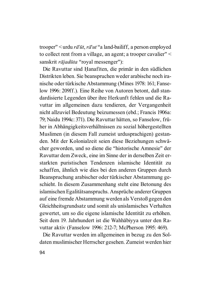trooper" < urdu *rā ūt*, *rā ut* "a land-bailiff, a person employed to collect rent from a village, an agent; a trooper cavalier" < sanskrit *rājadūta* "royal messenger"):

Die Ravuttar sind Hanafīten, die primär in den südlichen Distrikten leben. Sie beanspruchen weder arabische noch iranische oder türkische Abstammung (Mines 1978: 161; Fanselow 1996: 209ff.). Eine Reihe von Autoren betont, daß standardisierte Legenden über ihre Herkunft fehlen und die Ravuttar im allgemeinen dazu tendieren, der Vergangenheit nicht allzuviel Bedeutung beizumessen (ebd.; Francis 1906a: 79; Naidu 1994c: 371). Die Ravuttar hätten, so Fanselow, früher in Abhängigkeitsverhältnissen zu sozial höhergestellten Muslimen (in diesem Fall zumeist urdusprachigen) gestanden. Mit der Kolonialzeit seien diese Beziehungen schwächer geworden, und so diene die "historische Amnesie" der Ravuttar dem Zweck, eine im Sinne der in derselben Zeit erstarkten puristischen Tendenzen islamische Identität zu schaffen, ähnlich wie dies bei den anderen Gruppen durch Beanspruchung arabischer oder türkischer Abstammung geschieht. In diesem Zusammenhang steht eine Betonung des islamischen Egalitätsanspruchs. Ansprüche anderer Gruppen auf eine fremde Abstammung werden als Verstoß gegen den Gleichheitsgrundsatz und somit als unislamisches Verhalten gewertet, um so die eigene islamische Identität zu erhöhen. Seit dem 19. Jahrhundert ist die Wahhābiyya unter den Ravuttar aktiv (Fanselow 1996: 212-7; McPherson 1995: 469).

Die Ravuttar werden im allgemeinen in bezug zu den Soldaten muslimischer Herrscher gesehen. Zumeist werden hier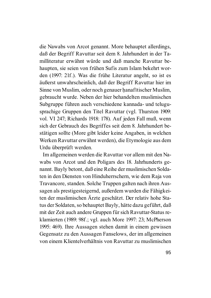die Nawabs von Arcot genannt. More behauptet allerdings, daß der Begriff Ravuttar seit dem 8. Jahrhundert in der Tamilliteratur erwähnt würde und daß manche Ravuttar behaupten, sie seien von frühen Sufis zum Islam bekehrt worden (1997: 21f.). Was die frühe Literatur angeht, so ist es äußerst unwahrscheinlich, daß der Begriff Ravuttar hier im Sinne von Muslim, oder noch genauer hanaf itischer Muslim, gebraucht wurde. Neben der hier behandelten muslimischen Subgruppe führen auch verschiedene kannada- und telugusprachige Gruppen den Titel Ravuttar (vgl. Thurston 1909: vol. VI 247; Richards 1918: 178). Auf jeden Fall muß, wenn sich der Gebrauch des Begriffes seit dem 8. Jahrhundert bestätigen sollte (More gibt leider keine Angaben, in welchen Werken Ravuttar erwähnt werden), die Etymologie aus dem Urdu überprüft werden.

Im allgemeinen werden die Ravuttar vor allem mit den Nawabs von Arcot und den Poligars des 18. Jahrhunderts genannt. Bayly betont, daß eine Reihe der muslimischen Soldaten in den Diensten von Hinduherrschern, wie dem Raja von Travancore, standen. Solche Truppen galten nach ihren Aussagen als prestigesteigernd, außerdem wurden die Fähigkeiten der muslimischen Ärzte geschätzt. Der relativ hohe Status der Soldaten, so behauptet Bayly, hätte dazu geführt, daß mit der Zeit auch andere Gruppen für sich Ravuttar-Status reklamierten (1989: 98f.; vgl. auch More 1997: 23; McPherson 1995: 469). Ihre Aussagen stehen damit in einem gewissen Gegensatz zu den Aussagen Fanselows, der im allgemeinen von einem Klientelverhältnis von Ravuttar zu muslimischen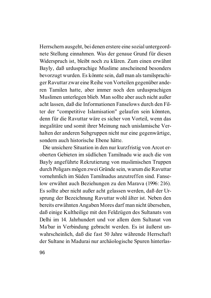Herrschern ausgeht, bei denen erstere eine sozial untergeordnete Stellung einnahmen. Was der genaue Grund für diesen Widerspruch ist, bleibt noch zu klären. Zum einen erwähnt Bayly, daß urdusprachige Muslime anscheinend besonders bevorzugt wurden. Es könnte sein, daß man als tamilsprachiger Ravuttar zwar eine Reihe von Vorteilen gegenüber anderen Tamilen hatte, aber immer noch den urdusprachigen Muslimen unterlegen blieb. Man sollte aber auch nicht außer acht lassen, daß die Informationen Fanselows durch den Filter der "competitive Islamisation" gelaufen sein könnten, denn für die Ravuttar wäre es sicher von Vorteil, wenn das inegalitäre und somit ihrer Meinung nach unislamische Verhalten der anderen Subgruppen nicht nur eine gegenwärtige, sondern auch historische Ebene hätte.

Die unsichere Situation in den nur kurzfristig von Arcot eroberten Gebieten im südlichen Tamilnadu wie auch die von Bayly angeführte Rekrutierung von muslimischen Truppen durch Poligars mögen zwei Gründe sein, warum die Ravuttar vornehmlich im Süden Tamilnadus anzutreffen sind. Fanselow erwähnt auch Beziehungen zu den Marava (1996: 216). Es sollte aber nicht außer acht gelassen werden, daß der Ursprung der Bezeichnung Ravuttar wohl älter ist. Neben den bereits erwähnten Angaben Mores darf man nicht übersehen, daß einige Kultheilige mit den Feldzügen des Sultanats von Delhi im 14. Jahrhundert und vor allem dem Sultanat von Ma©bar in Verbindung gebracht werden. Es ist äußerst unwahrscheinlich, daß die fast 50 Jahre währende Herrschaft der Sultane in Madurai nur archäologische Spuren hinterlas-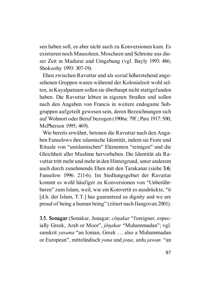sen haben soll, es aber nicht auch zu Konversionen kam. Es existieren noch Mausoleen, Moscheen und Schreine aus dieser Zeit in Madurai und Umgebung (vgl. Bayly 1993: 486; Shokoohy 1993: 307-19).

Ehen zwischen Ravuttar und als sozial höherstehend angesehenen Gruppen waren während der Kolonialzeit wohl selten, in Kayalpatnam sollen sie überhaupt nicht stattgefunden haben. Die Ravuttar lebten in eigenen Straßen und sollen nach den Angaben von Francis in weitere endogame Subgruppen aufgeteilt gewesen sein, deren Bezeichnungen sich auf Wohnort oder Beruf bezogen (1906a: 79f.; Pate 1917: 500; McPherson 1995; 469).

Wie bereits erwähnt, betonen die Ravuttar nach den Angaben Fanselows ihre islamische Identität, indem sie Feste und Rituale von "unislamischen" Elementen "reinigen" und die Gleichheit aller Muslime hervorheben. Die Identität als Ravuttar tritt mehr und mehr in den Hintergrund, unter anderem auch durch zunehmende Ehen mit den Tarakanar (siehe 3.6; Fanselow 1996: 211-6). Im Siedlungsgebiet der Ravuttar kommt es wohl häufiger zu Konversionen von "Unberührbaren" zum Islam, weil, wie ein Konvertit es ausdrückte, "it [d.h. der Islam, T.T.] has guaranteed us dignity and we are proud of being a human being" (zitiert nach Ilangovan 2001).

3.5. Sonagar (Sonakar, Jonagar; *cōnakar* "foreigner, especially Greek, Arab or Moor", *jōnakar* "Muhammadan"; vgl. sanskrit *yavana* "an Ionian, Greek … also a Muhammadan or European", mittelindisch *yona* und *jona*, urdu *jawan* "an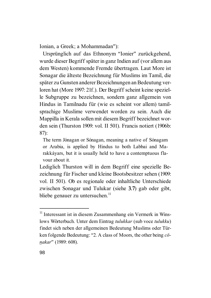Ionian, a Greek; a Mohammadan"):

Ursprünglich auf das Ethnonym "Ionier" zurückgehend, wurde dieser Begriff später in ganz Indien auf (vor allem aus dem Westen) kommende Fremde übertragen. Laut More ist Sonagar die älteste Bezeichnung für Muslims im Tamil, die später zu Gunsten anderer Bezeichnungen an Bedeutung verloren hat (More 1997: 21f.). Der Begriff scheint keine spezielle Subgruppe zu bezeichnen, sondern ganz allgemein von Hindus in Tamilnadu für (wie es scheint vor allem) tamilsprachige Muslime verwendet worden zu sein. Auch die Mappilla in Kerala sollen mit diesem Begriff bezeichnet worden sein (Thurston 1909: vol. II 501). Francis notiert (1906b: 87):

The term Jónagan or Sónagan, meaning a native of Sónagam or Arabia, is applied by Hindus to both Labbai and Marakkáyars, but it is usually held to have a contemptuous flavour about it.

Lediglich Thurston will in dem Begriff eine spezielle Bezeichnung für Fischer und kleine Bootsbesitzer sehen (1909: vol. II 501). Ob es regionale oder inhaltliche Unterschiede zwischen Sonagar und Tulukar (siehe 3.7) gab oder gibt, bliebe genauer zu untersuchen. $^{11}$ 

<sup>&</sup>lt;sup>11</sup> Interessant ist in diesem Zusammenhang ein Vermerk in Winslows Wörterbuch. Unter dem Eintrag *tulukkar* (sub voce *tulukku*) findet sich neben der allgemeinen Bedeutung Muslims oder Türken folgende Bedeutung: "2. A class of Moors, the other being  $c\bar{o}$ *zakar*" (1989: 608).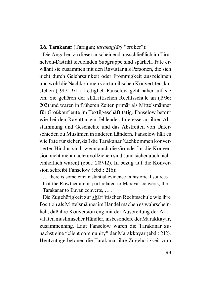#### 3.6. Tarakanar (Taragan; *tarakan(ār)* "broker"):

Die Angaben zu dieser anscheinend ausschließlich im Tirunelveli-Distrikt siedelnden Subgruppe sind spärlich. Pate erwähnt sie zusammen mit den Ravuttar als Personen, die sich nicht durch Gelehrsamkeit oder Frömmigkeit auszeichnen und wohl die Nachkommen von tamilischen Konvertiten darstellen (1917: 97f.). Lediglich Fanselow geht näher auf sie ein. Sie gehören der shāfi°itischen Rechtsschule an (1996: 202) und waren in früheren Zeiten primär als Mittelsmänner für Großkaufleute im Textilgeschäft tätig. Fanselow betont wie bei den Ravuttar ein fehlendes Interesse an ihrer Abstammung und Geschichte und das Abstreiten von Unterschieden zu Muslimen in anderen Ländern. Fanselow hält es wie Pate für sicher, daß die Tarakanar Nachkommen konvertierter Hindus sind, wenn auch die Gründe für die Konversion nicht mehr nachzuvollziehen sind (und sicher auch nicht einheitlich waren) (ebd.: 209-12). In bezug auf die Konversion schreibt Fanselow (ebd.: 216):

… there is some circumstantial evidence in historical sources that the Rowther are in part related to Maravar converts, the Tarakanar to Iluvan converts, … .

Die Zugehörigkeit zur shafi<sup>c</sup>itischen Rechtsschule wie ihre Position als Mittelsmänner im Handel machen es wahrscheinlich, daß ihre Konversion eng mit der Ausbreitung der Aktivitäten muslimischer Händler, insbesondere der Marakkayar, zusammenhing. Laut Fanselow waren die Tarakanar zunächst eine "client community" der Marakkayar (ebd.: 212). Heutzutage betonen die Tarakanar ihre Zugehörigkeit zum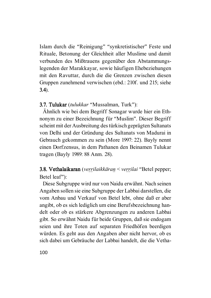Islam durch die "Reinigung" "synkretistischer" Feste und Rituale, Betonung der Gleichheit aller Muslime und damit verbunden des Mißtrauens gegenüber den Abstammungslegenden der Marakkayar, sowie häufigen Ehebeziehungen mit den Ravuttar, durch die die Grenzen zwischen diesen Gruppen zunehmend verwischen (ebd.: 210f. und 215; siehe 3.4).

3.7. Tulukar (tulukkar "Mussalman, Turk"):

Ähnlich wie bei dem Begriff Sonagar wurde hier ein Ethnonym zu einer Bezeichnung für "Muslim". Dieser Begriff scheint mit der Ausbreitung des türkisch geprägten Sultanats von Delhi und der Gründung des Sultanats von Madurai in Gebrauch gekommen zu sein (More 1997: 22). Bayly nennt einen Dorfzensus, in dem Pathanen den Beinamen Tulukar tragen (Bayly 1989: 88 Anm. 28).

3.8. Vethalaikaran (*verrilaikkāran < verrilai* "Betel pepper; Betel leaf"):

Diese Subgruppe wird nur von Naidu erwähnt. Nach seinen Angaben sollen sie eine Subgruppe der Labbai darstellen, die vom Anbau und Verkauf von Betel lebt, ohne daß er aber angibt, ob es sich lediglich um eine Berufsbezeichnung handelt oder ob es stärkere Abgrenzungen zu anderen Labbai gibt. So erwähnt Naidu für beide Gruppen, daß sie endogam seien und ihre Toten auf separaten Friedhöfen beerdigen würden. Es geht aus den Angaben aber nicht hervor, ob es sich dabei um Gebräuche der Labbai handelt, die die Vetha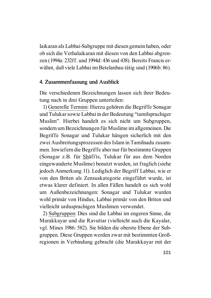laikaran als Labbai-Subgruppe mit diesen gemein haben, oder ob sich die Vethalaikaran mit diesen von den Labbai abgrenzen (1994a: 232ff. und 1994d: 436 und 438). Bereits Francis erwähnt, daß viele Labbai im Betelanbau tätig sind (1906b: 86).

#### 4. Zusammenfassung und Ausblick

Die verschiedenen Bezeichnungen lassen sich ihrer Bedeutung nach in drei Gruppen unterteilen:

1) Generelle Termini: Hierzu gehören die Begriffe Sonagar und Tulukar sowie Labbai in der Bedeutung "tamilsprachiger Muslim". Hierbei handelt es sich nicht um Subgruppen, sondern um Bezeichnungen für Muslime im allgemeinen. Die Begriffe Sonagar und Tulukar hängen sicherlich mit den zwei Ausbreitungsprozessen des Islam in Tamilnadu zusammen. Inwiefern die Begriffe aber nur für bestimmte Gruppen (Sonagar z.B. für Shafi'is, Tulukar für aus dem Norden eingewanderte Muslime) benutzt wurden, ist fraglich (siehe jedoch Anmerkung 11). Lediglich der Begriff Labbai, wie er von den Briten als Zensuskategorie eingeführt wurde, ist etwas klarer definiert. In allen Fällen handelt es sich wohl um Außenbezeichnungen: Sonagar und Tulukar wurden wohl primär von Hindus, Labbai primär von den Briten und vielleicht urdusprachigen Muslimen verwendet.

2) Subgruppen: Dies sind die Labbai im engeren Sinne, die Marakkayar und die Ravuttar (vielleicht auch die Kayalar, vgl. Mines 1986: 582). Sie bilden die oberste Ebene der Subgruppen. Diese Gruppen werden zwar mit bestimmten Großregionen in Verbindung gebracht (die Marakkayar mit der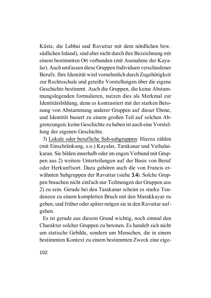Küste, die Labbai und Ravuttar mit dem nördlichen bzw. südlichen Inland), sind aber nicht durch ihre Bezeichnung mit einem bestimmten Ort verbunden (mit Ausnahme der Kayalar). Auch umfassen diese Gruppen Individuen verschiedener Berufe. Ihre Identität wird vornehmlich durch Zugehörigkeit zur Rechtsschule und geteilte Vorstellungen über die eigene Geschichte bestimmt. Auch die Gruppen, die keine Abstammungslegenden formulieren, nutzen dies als Merkmal zur Identitätsbildung, denn es kontrastiert mit der starken Betonung von Abstammung anderer Gruppen auf dieser Ebene, und Identität basiert zu einem großen Teil auf solchen Abgrenzungen; keine Geschichte zu haben ist auch eine Vorstellung der eigenen Geschichte.

3) Lokale oder berufliche Sub-subgruppen: Hierzu zählen (mit Einschränkung, s.o.) Kayalar, Tarakanar und Vethalaikaran. Sie bilden innerhalb oder im engen Verbund mit Gruppen aus 2) weitere Unterteilungen auf der Basis von Beruf oder Herkunftsort. Dazu gehören auch die von Francis erwähnten Subgruppen der Ravuttar (siehe 3.4). Solche Gruppen brauchen nicht einfach nur Teilmengen der Gruppen aus 2) zu sein. Gerade bei den Tarakanar scheint es starke Tendenzen zu einem kompletten Bruch mit den Marakkayar zu geben, und früher oder später mögen sie in den Ravuttar aufgehen.

Es ist gerade aus diesem Grund wichtig, noch einmal den Charakter solcher Gruppen zu betonen. Es handelt sich nicht um statische Gebilde, sondern um Menschen, die in einem bestimmten Kontext zu einem bestimmten Zweck eine eige-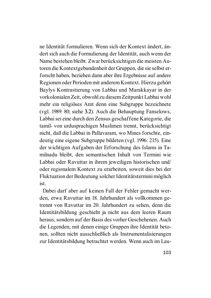ne Identität formulieren. Wenn sich der Kontext ändert, ändert sich auch die Formulierung der Identität, auch wenn der Name bestehen bleibt. Zwar berücksichtigen die meisten Autoren die Kontextgebundenheit der Gruppen, die sie selbst erforscht haben, beziehen dann aber ihre Ergebnisse auf andere Regionen oder Perioden mit anderem Kontext. Hierzu gehört Baylys Kontrastierung von Labbai und Marakkayar in der vorkolonialen Zeit, obwohl zu diesem Zeitpunkt Labbai wohl mehr ein religiöses Amt denn eine Subgruppe bezeichnete (vgl. 1989: 80; siehe 3.2). Auch die Behauptung Fanselows, Labbai sei eine durch den Zensus geschaffene Kategorie, die tamil- von urdusprachigen Muslimen trennt, berücksichtigt nicht, daß die Labbai in Pallavaram, wo Mines forschte, eindeutig eine eigene Subgruppe bildeten (vgl. 1996: 215). Eine der wichtigen Aufgaben der Erforschung des Islams in Tamilnadu bleibt, den semantischen Inhalt von Termini wie Labbai oder Ravuttar in ihrem jeweiligen historischen und/ oder regionalem Kontext zu erarbeiten, soweit dies bei der Fluktuation der Bedeutung solcher Identitätstermini möglich ist.

Dabei darf aber auf keinen Fall der Fehler gemacht werden, etwa Ravuttar im 18. Jahrhundert als vollkommen getrennt von Ravuttar im 20. Jahrhundert zu sehen, denn die Identitätsbildung geschieht ja nicht aus dem leeren Raum heraus, sondern auf der Basis des vorher Geschehenen. Auch die Legenden, mit denen einige Gruppen ihre Identität betonen, sollten nicht ausschließlich als Instrumentalisierungen zur Identitätsbildung betrachtet werden. Wenn auch im Lau-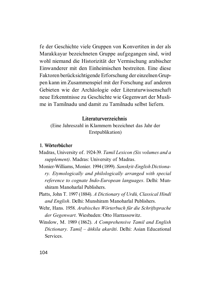fe der Geschichte viele Gruppen von Konvertiten in der als Marakkayar bezeichneten Gruppe aufgegangen sind, wird wohl niemand die Historizität der Vermischung arabischer Einwanderer mit den Einheimischen bestreiten. Eine diese Faktoren berücksichtigende Erforschung der einzelnen Gruppen kann im Zusammenspiel mit der Forschung auf anderen Gebieten wie der Archäologie oder Literaturwissenschaft neue Erkenntnisse zu Geschichte wie Gegenwart der Muslime in Tamilnadu und damit zu Tamilnadu selbst liefern.

# Literaturverzeichnis

(Eine Jahreszahl in Klammern bezeichnet das Jahr der Erstpublikation)

# 1. Wörterbücher

- Madras, University of. 1924-39. *Tamil Lexicon (Six volumes and a supplement)*. Madras: University of Madras.
- Monier-Williams, Monier. 1994 (1899). *Sansk'it-English Dictionary. Etymologically and philologically arranged with special reference to cognate Indo-European languages*. Delhi: Munshiram Manoharlal Publishers.
- Platts, John T. 1997 (1884). *A Dictionary of Urdū, Classical Hindī and English*. Delhi: Munshiram Manoharlal Publishers.
- Wehr, Hans. 1958. *Arabisches Wörterbuch für die Schriftsprache der Gegenwart*. Wiesbaden: Otto Harrassowitz.
- Winslow, M. 1989 (1862). *A Comprehensive Tamil and English Dictionary. Tamil – ānkila akarāti. Delhi: Asian Educational* Services.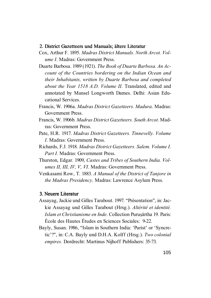### 2. District Gazetteers und Manuals; ältere Literatur

- Cox, Arthur F. 1895. *Madras District Manuals. North Arcot. Volume I*. Madras: Government Press.
- Duarte Barbosa. 1989 (1921). *The Book of Duarte Barbosa. An Account of the Countries bordering on the Indian Ocean and their Inhabitants, written by Duarte Barbosa and completed about the Year 1518 A.D. Volume II*. Translated, edited and annotated by Mansel Longworth Dames. Delhi: Asian Educational Services.
- Francis, W. 1906a. *Madras District Gazetteers. Madura*. Madras: Government Press.
- Francis, W. 1906b. *Madras District Gazetteers. South Arcot*. Madras: Government Press.
- Pate, H.R. 1917. *Madras District Gazetteers. Tinnevelly. Volume I*. Madras: Government Press.
- Richards, F.J. 1918. *Madras District Gazetteers. Salem. Volume I. Part I.* Madras: Government Press.
- Thurston, Edgar. 1909, *Castes and Tribes of Southern India. Volumes II, III, IV, V, VI*. Madras: Government Press.
- Venkasami Row, T. 1883. *A Manual of the District of Tanjore in the Madras Presidency*. Madras: Lawrence Asylum Press.

#### 3. Neuere Literatur

- Assayag, Jackie und Gilles Tarabout. 1997. "Présentation", in: Jackie Assayag und Gilles Tarabout (Hrsg.). *Altérité et identité. Islam et Christianisme en Inde.* Collection Purusartha 19. Paris: École des Hautes Études en Sciences Sociales: 9-22.
- Bayly, Susan. 1986, "Islam in Southern India: 'Purist' or 'Syncretic'?", in: C.A. Bayly und D.H.A. Kolff (Hrsg.). *Two colonial empires.* Dordrecht: Martinus Nijhoff Publishers: 35-73.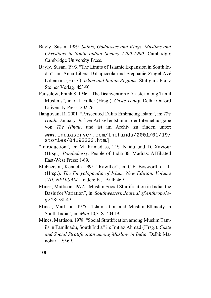- Bayly, Susan. 1989. *Saints, Goddesses and Kings. Muslims and Christians in South Indian Society 1700-1900*. Cambridge: Cambridge University Press.
- Bayly, Susan. 1993. "The Limits of Islamic Expansion in South India", in: Anna Libera Dallapiccola und Stephanie Zingel-Avé Lallemant (Hrsg.). *Islam and Indian Regions*. Stuttgart: Franz Steiner Verlag: 453-90
- Fanselow, Frank S. 1996. "The Disinvention of Caste among Tamil Muslims", in: C.J. Fuller (Hrsg.). *Caste Today*. Delhi: Oxford University Press: 202-26.
- Ilangovan, R. 2001. "Persecuted Dalits Embracing Islam", in: *The Hindu*, January 19. [Der Artikel entstammt der Internetausgabe von *The Hindu*, und ist im Archiv zu finden unter: www.indiaserver.com/thehindu/2001/01/19/ stories/04192233.htm.]
- "Introduction", in: M. Ramadass, T.S. Naidu und D. Xaviour (Hrsg.). *Pondicherry*. People of India 36. Madras: Affiliated East-West Press: 1-69.
- McPherson, Kenneth. 1995. "Rawther", in: C.E. Bosworth et al. (Hrsg.). *The Encyclopaedia of Islam. New Edition. Volume VIII. NED-SAM.* Leiden: E.J. Brill: 469.
- Mines, Mattison. 1972. "Muslim Social Stratification in India: the Basis for Variation", in: *Southwestern Journal of Anthropology* 28: 331-49.
- Mines, Mattison. 1975. "Islamisation and Muslim Ethnicity in South India", in: *Man* 10,3: S. 404-19.
- Mines, Mattison. 1978. "Social Stratification among Muslim Tamils in Tamilnadu, South India" in: Imtiaz Ahmad (Hrsg.). *Caste and Social Stratification among Muslims in India*. Delhi: Manohar: 159-69.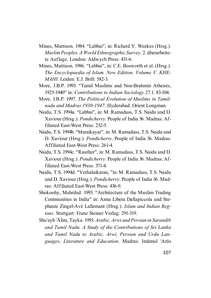- Mines, Mattison. 1984. "Labbai", in: Richard V. Weekes (Hrsg.). *Muslim Peoples. A World Ethnographic Survey*. 2. überarbeitete Auflage. London: Aldwych Press: 431-6.
- Mines, Mattison. 1986. "Labbai", in: C.E. Bosworth et al. (Hrsg.). *The Encyclopaedia of Islam. New Edition. Volume V. KHE-MAHI*. Leiden: E.J. Brill: 582-3.
- More, J.B.P. 1993. "Tamil Muslims and Non-Brahmin Atheists, 1925-1940" in: *Contributions to Indian Sociology* 27.1: 83-104.
- More. J.B.P. 1997. *The Political Evolution of Muslims in Tamilnadu and Madras 1930-1947*. Hyderabad: Orient Longman.
- Naidu, T.S. 1994a. "Labbai", in: M. Ramadass, T.S. Naidu und D. Xaviour (Hrsg.). *Pondicherry*. People of India 36. Madras: Affiliated East-West Press: 232-5.
- Naidu, T.S. 1994b. "Maraikayar", in: M. Ramadass, T.S. Naidu und D. Xaviour (Hrsg.). *Pondicherry*. People of India 36. Madras: Affiliated East-West Press: 261-4.
- Naidu, T.S. 1994c. "Rauther", in: M. Ramadass, T.S. Naidu und D. Xaviour (Hrsg.). *Pondicherry*. People of India 36. Madras: Affiliated East-West Press: 371-4.
- Naidu, T.S. 1994d. "Vethalaikaran, "in: M. Ramadass, T.S. Naidu und D. Xaviour (Hrsg.). *Pondicherry*. People of India 36. Madras: Affiliated East-West Press: 436-9.
- Shokoohy, Mehrdad. 1993. "Architecture of the Muslim Trading Communities in India" in: Anna Libera Dallapiccola und Stephanie Zingel-Avé Lallemant (Hrsg.). *Islam and Indian Regions*. Stuttgart: Franz Steiner Verlag: 291-319.
- Shu'ayb ©¨lim, Tayka. 1993. *Arabic, Arwi and Persian in Sarandib and Tamil Nadu. A Study of the Contributions of Sri Lanka and Tamil Nadu to Arabic, Arwi, Persian and Urdu Lan*guages, Literature and Education. Madras: Imamul 'Arūs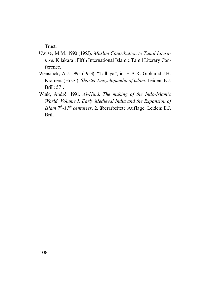Trust.

- Uwise, M.M. 1990 (1953). *Muslim Contribution to Tamil Literature.* Kilakarai: Fifth International Islamic Tamil Literary Conference.
- Wensinck, A.J. 1995 (1953). "Talbiya", in: H.A.R. Gibb und J.H. Kramers (Hrsg.). *Shorter Encyclopaedia of Islam*. Leiden: E.J. Brill: 571.
- Wink, André. 1991. *Al-Hind. The making of the Indo-Islamic World. Volume I. Early Medieval India and the Expansion of Islam 7th-11th centuries*. 2. überarbeitete Auflage. Leiden: E.J. Brill.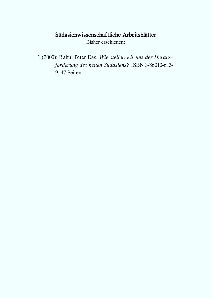# Südasienwissenschaftliche Arbeitsblätter

Bisher erschienen:

1 (2000): Rahul Peter Das, Wie stellen wir uns der Heraus*forderung des neuen Südasiens?* ISBN 3-86010-613- 9. 47 Seiten.